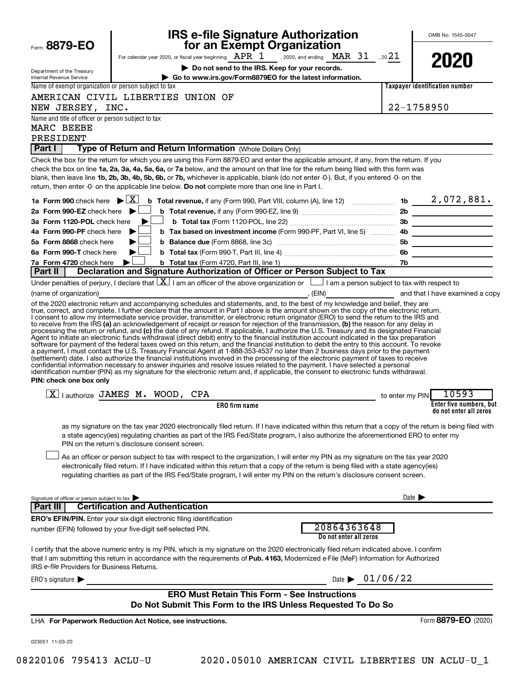|                                                                     | <b>IRS e-file Signature Authorization<br/>for an Exempt Organization</b>                                                                                                                                                                                                                                                                                                                                                                                                                                                                                                                                                                                                                                                                                                                                                                          |                            | OMB No. 1545-0047                                                                                                      |
|---------------------------------------------------------------------|---------------------------------------------------------------------------------------------------------------------------------------------------------------------------------------------------------------------------------------------------------------------------------------------------------------------------------------------------------------------------------------------------------------------------------------------------------------------------------------------------------------------------------------------------------------------------------------------------------------------------------------------------------------------------------------------------------------------------------------------------------------------------------------------------------------------------------------------------|----------------------------|------------------------------------------------------------------------------------------------------------------------|
| Form 8879-EO                                                        | For calendar year 2020, or fiscal year beginning $APR$ $1$ , 2020, and ending MAR 31, 2021                                                                                                                                                                                                                                                                                                                                                                                                                                                                                                                                                                                                                                                                                                                                                        |                            |                                                                                                                        |
|                                                                     | Do not send to the IRS. Keep for your records.                                                                                                                                                                                                                                                                                                                                                                                                                                                                                                                                                                                                                                                                                                                                                                                                    |                            | 2020                                                                                                                   |
| Department of the Treasury<br>Internal Revenue Service              | Go to www.irs.gov/Form8879EO for the latest information.                                                                                                                                                                                                                                                                                                                                                                                                                                                                                                                                                                                                                                                                                                                                                                                          |                            |                                                                                                                        |
| Name of exempt organization or person subject to tax                |                                                                                                                                                                                                                                                                                                                                                                                                                                                                                                                                                                                                                                                                                                                                                                                                                                                   |                            | <b>Taxpaver identification number</b>                                                                                  |
|                                                                     | AMERICAN CIVIL LIBERTIES UNION OF                                                                                                                                                                                                                                                                                                                                                                                                                                                                                                                                                                                                                                                                                                                                                                                                                 |                            |                                                                                                                        |
| NEW JERSEY, INC.                                                    |                                                                                                                                                                                                                                                                                                                                                                                                                                                                                                                                                                                                                                                                                                                                                                                                                                                   |                            | 22-1758950                                                                                                             |
| Name and title of officer or person subject to tax                  |                                                                                                                                                                                                                                                                                                                                                                                                                                                                                                                                                                                                                                                                                                                                                                                                                                                   |                            |                                                                                                                        |
| MARC BEEBE                                                          |                                                                                                                                                                                                                                                                                                                                                                                                                                                                                                                                                                                                                                                                                                                                                                                                                                                   |                            |                                                                                                                        |
| PRESIDENT                                                           |                                                                                                                                                                                                                                                                                                                                                                                                                                                                                                                                                                                                                                                                                                                                                                                                                                                   |                            |                                                                                                                        |
| Part I                                                              | Type of Return and Return Information (Whole Dollars Only)                                                                                                                                                                                                                                                                                                                                                                                                                                                                                                                                                                                                                                                                                                                                                                                        |                            |                                                                                                                        |
|                                                                     | Check the box for the return for which you are using this Form 8879-EO and enter the applicable amount, if any, from the return. If you<br>check the box on line 1a, 2a, 3a, 4a, 5a, 6a, or 7a below, and the amount on that line for the return being filed with this form was<br>blank, then leave line 1b, 2b, 3b, 4b, 5b, 6b, or 7b, whichever is applicable, blank (do not enter -0-). But, if you entered -0- on the<br>return, then enter -0- on the applicable line below. Do not complete more than one line in Part I.                                                                                                                                                                                                                                                                                                                  |                            |                                                                                                                        |
| 1a Form 990 check here $\mathbf{\triangleright} \boxed{\mathbf{X}}$ | <b>b</b> Total revenue, if any (Form 990, Part VIII, column (A), line 12) <b>Election Luist 10</b> 2 , 072 , 881 .                                                                                                                                                                                                                                                                                                                                                                                                                                                                                                                                                                                                                                                                                                                                |                            |                                                                                                                        |
| 2a Form 990-EZ check here                                           |                                                                                                                                                                                                                                                                                                                                                                                                                                                                                                                                                                                                                                                                                                                                                                                                                                                   |                            | 2b                                                                                                                     |
| 3a Form 1120-POL check here                                         |                                                                                                                                                                                                                                                                                                                                                                                                                                                                                                                                                                                                                                                                                                                                                                                                                                                   | 3b                         |                                                                                                                        |
| 4a Form 990-PF check here                                           | b Tax based on investment income (Form 990-PF, Part VI, line 5)                                                                                                                                                                                                                                                                                                                                                                                                                                                                                                                                                                                                                                                                                                                                                                                   | 4b                         | <u> 1980 - Jan Barbara Barat, martin da k</u>                                                                          |
| 5a Form 8868 check here                                             |                                                                                                                                                                                                                                                                                                                                                                                                                                                                                                                                                                                                                                                                                                                                                                                                                                                   | 5b                         | <u> 1980 - Jan Barbara Barbara, maskin</u>                                                                             |
| 6a Form 990-T check here                                            |                                                                                                                                                                                                                                                                                                                                                                                                                                                                                                                                                                                                                                                                                                                                                                                                                                                   | 6b                         | <u> 1980 - Jan Barbara Barbara, manazarta bashkar a shekara 1980 - André a Santa Barbara a Santa Barbara a Santa B</u> |
| 7a Form 4720 check here                                             |                                                                                                                                                                                                                                                                                                                                                                                                                                                                                                                                                                                                                                                                                                                                                                                                                                                   | 7b                         |                                                                                                                        |
| Part II                                                             | Declaration and Signature Authorization of Officer or Person Subject to Tax                                                                                                                                                                                                                                                                                                                                                                                                                                                                                                                                                                                                                                                                                                                                                                       |                            |                                                                                                                        |
|                                                                     | Under penalties of perjury, I declare that $\lfloor x \rfloor$ am an officer of the above organization or $\lfloor$ am a person subject to tax with respect to                                                                                                                                                                                                                                                                                                                                                                                                                                                                                                                                                                                                                                                                                    |                            |                                                                                                                        |
| (name of organization)                                              | $\overline{\phantom{a}}$ , (EIN)<br>of the 2020 electronic return and accompanying schedules and statements, and, to the best of my knowledge and belief, they are                                                                                                                                                                                                                                                                                                                                                                                                                                                                                                                                                                                                                                                                                |                            | and that I have examined a copy                                                                                        |
| PIN: check one box only                                             | Agent to initiate an electronic funds withdrawal (direct debit) entry to the financial institution account indicated in the tax preparation<br>software for payment of the federal taxes owed on this return, and the financial institution to debit the entry to this account. To revoke<br>a payment, I must contact the U.S. Treasury Financial Agent at 1-888-353-4537 no later than 2 business days prior to the payment<br>(settlement) date. I also authorize the financial institutions involved in the processing of the electronic payment of taxes to receive<br>confidential information necessary to answer inquiries and resolve issues related to the payment. I have selected a personal<br>identification number (PIN) as my signature for the electronic return and, if applicable, the consent to electronic funds withdrawal. |                            |                                                                                                                        |
|                                                                     | $\overline{X}$   authorize JAMES M. WOOD, CPA                                                                                                                                                                                                                                                                                                                                                                                                                                                                                                                                                                                                                                                                                                                                                                                                     |                            | 10593                                                                                                                  |
|                                                                     | ERO firm name                                                                                                                                                                                                                                                                                                                                                                                                                                                                                                                                                                                                                                                                                                                                                                                                                                     | to enter my PIN            | Enter five numbers, but                                                                                                |
|                                                                     |                                                                                                                                                                                                                                                                                                                                                                                                                                                                                                                                                                                                                                                                                                                                                                                                                                                   |                            | do not enter all zeros                                                                                                 |
|                                                                     | as my signature on the tax year 2020 electronically filed return. If I have indicated within this return that a copy of the return is being filed with<br>a state agency(ies) regulating charities as part of the IRS Fed/State program, I also authorize the aforementioned ERO to enter my<br>PIN on the return's disclosure consent screen.<br>As an officer or person subject to tax with respect to the organization, I will enter my PIN as my signature on the tax year 2020<br>electronically filed return. If I have indicated within this return that a copy of the return is being filed with a state agency(ies)<br>regulating charities as part of the IRS Fed/State program, I will enter my PIN on the return's disclosure consent screen.                                                                                         |                            |                                                                                                                        |
|                                                                     |                                                                                                                                                                                                                                                                                                                                                                                                                                                                                                                                                                                                                                                                                                                                                                                                                                                   |                            |                                                                                                                        |
| Signature of officer or person subject to tax<br>Part III           | <b>Certification and Authentication</b>                                                                                                                                                                                                                                                                                                                                                                                                                                                                                                                                                                                                                                                                                                                                                                                                           | Date $\blacktriangleright$ |                                                                                                                        |
|                                                                     | <b>ERO's EFIN/PIN.</b> Enter your six-digit electronic filing identification                                                                                                                                                                                                                                                                                                                                                                                                                                                                                                                                                                                                                                                                                                                                                                      |                            |                                                                                                                        |
|                                                                     | 20864363648<br>number (EFIN) followed by your five-digit self-selected PIN.<br>Do not enter all zeros                                                                                                                                                                                                                                                                                                                                                                                                                                                                                                                                                                                                                                                                                                                                             |                            |                                                                                                                        |
| IRS e-file Providers for Business Returns.                          | I certify that the above numeric entry is my PIN, which is my signature on the 2020 electronically filed return indicated above. I confirm<br>that I am submitting this return in accordance with the requirements of Pub. 4163, Modernized e-File (MeF) Information for Authorized                                                                                                                                                                                                                                                                                                                                                                                                                                                                                                                                                               |                            |                                                                                                                        |
| ERO's signature $\blacktriangleright$                               | Date $\blacktriangleright$                                                                                                                                                                                                                                                                                                                                                                                                                                                                                                                                                                                                                                                                                                                                                                                                                        | 01/06/22                   |                                                                                                                        |
|                                                                     | <b>ERO Must Retain This Form - See Instructions</b><br>Do Not Submit This Form to the IRS Unless Requested To Do So                                                                                                                                                                                                                                                                                                                                                                                                                                                                                                                                                                                                                                                                                                                               |                            |                                                                                                                        |
|                                                                     | LHA For Paperwork Reduction Act Notice, see instructions.                                                                                                                                                                                                                                                                                                                                                                                                                                                                                                                                                                                                                                                                                                                                                                                         |                            | Form 8879-EO (2020)                                                                                                    |
| 023051 11-03-20                                                     |                                                                                                                                                                                                                                                                                                                                                                                                                                                                                                                                                                                                                                                                                                                                                                                                                                                   |                            |                                                                                                                        |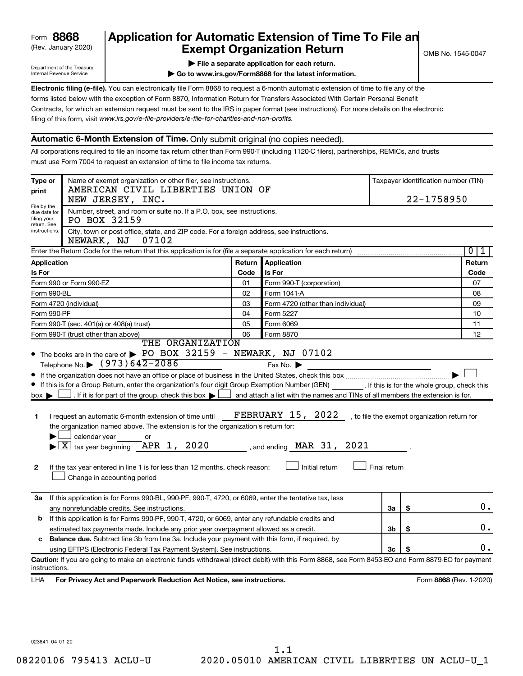## (Rev. January 2020) **Cxempt Organization Return** Manuary 2020) and the settern metal combined the Second Exempt Organization Return **Form 8868 Application for Automatic Extension of Time To File an**<br>**Exempt Organization Return**

Department of the Treasury Internal Revenue Service

|  |  |  |  | File a separate application for each return. |  |
|--|--|--|--|----------------------------------------------|--|
|  |  |  |  |                                              |  |

**| Go to www.irs.gov/Form8868 for the latest information.**

**Electronic filing (e-file).** You can electronically file Form 8868 to request a 6-month automatic extension of time to file any of the filing of this form, visit www.irs.gov/e-file-providers/e-file-for-charities-and-non-profits. forms listed below with the exception of Form 8870, Information Return for Transfers Associated With Certain Personal Benefit Contracts, for which an extension request must be sent to the IRS in paper format (see instructions). For more details on the electronic

## **Automatic 6-Month Extension of Time.** Only submit original (no copies needed).

All corporations required to file an income tax return other than Form 990-T (including 1120-C filers), partnerships, REMICs, and trusts must use Form 7004 to request an extension of time to file income tax returns.

| Type or<br>print                           | Name of exempt organization or other filer, see instructions.<br>AMERICAN CIVIL LIBERTIES UNION OF                                                                                                                                                                                                                                                                                                                                                                                                                            |        |                                                                                                                                                                                |              | 22-1758950                                   | Taxpayer identification number (TIN) |
|--------------------------------------------|-------------------------------------------------------------------------------------------------------------------------------------------------------------------------------------------------------------------------------------------------------------------------------------------------------------------------------------------------------------------------------------------------------------------------------------------------------------------------------------------------------------------------------|--------|--------------------------------------------------------------------------------------------------------------------------------------------------------------------------------|--------------|----------------------------------------------|--------------------------------------|
| File by the<br>due date for<br>filing your | NEW JERSEY, INC.<br>Number, street, and room or suite no. If a P.O. box, see instructions.<br>PO BOX 32159                                                                                                                                                                                                                                                                                                                                                                                                                    |        |                                                                                                                                                                                |              |                                              |                                      |
| return. See<br>instructions.               | City, town or post office, state, and ZIP code. For a foreign address, see instructions.<br>07102<br>NEWARK, NJ                                                                                                                                                                                                                                                                                                                                                                                                               |        |                                                                                                                                                                                |              |                                              |                                      |
|                                            | Enter the Return Code for the return that this application is for (file a separate application for each return)                                                                                                                                                                                                                                                                                                                                                                                                               |        |                                                                                                                                                                                |              |                                              | 0<br>1                               |
| Application                                |                                                                                                                                                                                                                                                                                                                                                                                                                                                                                                                               | Return | Application                                                                                                                                                                    |              |                                              | Return                               |
| <b>Is For</b>                              |                                                                                                                                                                                                                                                                                                                                                                                                                                                                                                                               | Code   | Is For                                                                                                                                                                         |              |                                              | Code                                 |
|                                            | Form 990 or Form 990-EZ                                                                                                                                                                                                                                                                                                                                                                                                                                                                                                       | 01     | Form 990-T (corporation)                                                                                                                                                       |              |                                              | 07                                   |
| Form 990-BL                                |                                                                                                                                                                                                                                                                                                                                                                                                                                                                                                                               | 02     | Form 1041-A                                                                                                                                                                    |              |                                              | 08                                   |
|                                            | Form 4720 (individual)                                                                                                                                                                                                                                                                                                                                                                                                                                                                                                        | 03     | Form 4720 (other than individual)                                                                                                                                              |              |                                              | 09                                   |
| Form 990-PF                                |                                                                                                                                                                                                                                                                                                                                                                                                                                                                                                                               | 04     | Form 5227                                                                                                                                                                      |              |                                              | 10                                   |
|                                            | Form 990-T (sec. 401(a) or 408(a) trust)                                                                                                                                                                                                                                                                                                                                                                                                                                                                                      | 05     | Form 6069                                                                                                                                                                      |              |                                              | 11                                   |
|                                            | Form 990-T (trust other than above)                                                                                                                                                                                                                                                                                                                                                                                                                                                                                           | 06     | Form 8870                                                                                                                                                                      |              |                                              | 12                                   |
|                                            | THE ORGANIZATION<br>• The books are in the care of > PO BOX 32159 - NEWARK, NJ 07102                                                                                                                                                                                                                                                                                                                                                                                                                                          |        |                                                                                                                                                                                |              |                                              |                                      |
| $box \blacktriangleright$<br>1             | Telephone No. $\bullet$ (973) 642-2086<br>If this is for a Group Return, enter the organization's four digit Group Exemption Number (GEN) [If this is for the whole group, check this<br>$\Box$ . If it is for part of the group, check this box $\blacktriangleright$ $\Box$<br>I request an automatic 6-month extension of time until<br>the organization named above. The extension is for the organization's return for:<br>calendar year<br>or<br>$\blacktriangleright$ $ \underline{X} $ tax year beginning APR 1, 2020 |        | Fax No. $\blacktriangleright$<br>and attach a list with the names and TINs of all members the extension is for.<br><b>FEBRUARY 15, 2022</b><br>, and ending $\n  MAR$ 31, 2021 |              | , to file the exempt organization return for |                                      |
| 2                                          | If the tax year entered in line 1 is for less than 12 months, check reason:<br>Change in accounting period                                                                                                                                                                                                                                                                                                                                                                                                                    |        | Initial return                                                                                                                                                                 | Final return |                                              |                                      |
| За                                         | If this application is for Forms 990-BL, 990-PF, 990-T, 4720, or 6069, enter the tentative tax, less                                                                                                                                                                                                                                                                                                                                                                                                                          |        |                                                                                                                                                                                |              |                                              |                                      |
|                                            | any nonrefundable credits. See instructions.                                                                                                                                                                                                                                                                                                                                                                                                                                                                                  |        |                                                                                                                                                                                | 3a           | \$                                           | 0.                                   |
| b                                          | If this application is for Forms 990-PF, 990-T, 4720, or 6069, enter any refundable credits and                                                                                                                                                                                                                                                                                                                                                                                                                               |        |                                                                                                                                                                                |              |                                              |                                      |
|                                            | estimated tax payments made. Include any prior year overpayment allowed as a credit.                                                                                                                                                                                                                                                                                                                                                                                                                                          |        |                                                                                                                                                                                | 3b           | \$                                           | Ο.                                   |
|                                            | <b>Balance due.</b> Subtract line 3b from line 3a. Include your payment with this form, if required, by                                                                                                                                                                                                                                                                                                                                                                                                                       |        |                                                                                                                                                                                |              |                                              |                                      |
|                                            | using EFTPS (Electronic Federal Tax Payment System). See instructions.                                                                                                                                                                                                                                                                                                                                                                                                                                                        |        |                                                                                                                                                                                | Зc           |                                              | 0.                                   |
| instructions.                              | Caution: If you are going to make an electronic funds withdrawal (direct debit) with this Form 8868, see Form 8453-EO and Form 8879-EO for payment                                                                                                                                                                                                                                                                                                                                                                            |        |                                                                                                                                                                                |              |                                              |                                      |
| LHA                                        | For Privacy Act and Paperwork Reduction Act Notice, see instructions.                                                                                                                                                                                                                                                                                                                                                                                                                                                         |        |                                                                                                                                                                                |              |                                              | Form 8868 (Rev. 1-2020)              |

023841 04-01-20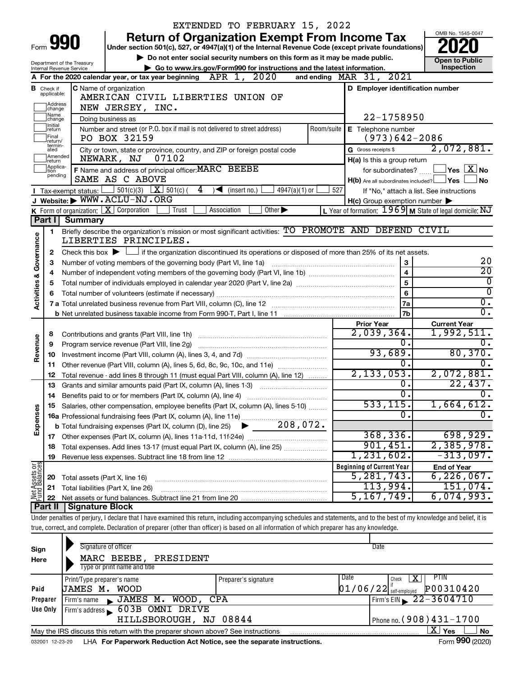| OMB No. 1545-0047<br><b>Return of Organization Exempt From Income Tax</b><br>Form 990<br>Under section 501(c), 527, or 4947(a)(1) of the Internal Revenue Code (except private foundations)<br>Do not enter social security numbers on this form as it may be made public.<br><b>Open to Public</b><br>Department of the Treasury<br>Inspection<br>Go to www.irs.gov/Form990 for instructions and the latest information.<br>Internal Revenue Service<br>A For the 2020 calendar year, or tax year beginning $APR$ 1, $2020$<br>MAR 31, 2021<br>and ending<br>D Employer identification number<br>C Name of organization<br><b>B</b> Check if<br>applicable:<br>AMERICAN CIVIL LIBERTIES UNION OF<br>Address<br>NEW JERSEY, INC.<br>change<br>Name<br>22-1758950<br>Doing business as<br>change<br>Initial<br>Number and street (or P.O. box if mail is not delivered to street address)<br>Room/suite<br>E Telephone number<br>return<br>Final<br>PO BOX 32159<br>$(973)642 - 2086$<br>return/<br>termin-<br>2,072,881.<br>G Gross receipts \$<br>City or town, state or province, country, and ZIP or foreign postal code<br>ated<br>Amended<br>NEWARK, NJ<br>07102<br>H(a) Is this a group return<br>return<br>Applica-<br>Ition<br>$ {\mathsf Y}\mathsf{es}\ \overline{{\mathsf X}}$ No<br>F Name and address of principal officer: MARC BEEBE<br>for subordinates?<br>pending<br>SAME AS C ABOVE<br>$H(b)$ Are all subordinates included? $\Box$ Yes<br><b>No</b><br>$501(c)(3)$ $\boxed{\textbf{X}}$ 501(c) (<br>4<br>$\sqrt{\frac{1}{1}}$ (insert no.)<br>527<br>4947(a)(1) or<br>$\blacksquare$ Tax-exempt status: $\lfloor$<br>If "No," attach a list. See instructions<br>J Website: WWW.ACLU-NJ.ORG<br>$H(c)$ Group exemption number $\blacktriangleright$<br>K Form of organization: $X$ Corporation<br>Trust<br>Association<br>Other $\blacktriangleright$<br>L Year of formation: $1969$ M State of legal domicile: NJ<br>Part I<br><b>Summary</b><br>Briefly describe the organization's mission or most significant activities: TO PROMOTE AND DEFEND CIVIL<br>1.<br>Governance<br>LIBERTIES PRINCIPLES.<br>Check this box $\blacktriangleright$ $\Box$ if the organization discontinued its operations or disposed of more than 25% of its net assets.<br>2<br>20<br>Number of voting members of the governing body (Part VI, line 1a)<br>з<br>$\overline{20}$<br>$\overline{4}$<br>4<br><b>Activities &amp;</b><br>$\overline{5}$<br>0<br>5<br>$\overline{0}$<br>6<br>$\overline{0}$ .<br>7a<br>7 a Total unrelated business revenue from Part VIII, column (C), line 12 [11] [2] [11] [12] [11] [12] [11] [12<br>σ.<br>7 <sub>b</sub><br><b>Prior Year</b><br><b>Current Year</b><br>2,039,364.<br>1,992,511.<br>8<br>Revenue<br>$\mathbf 0$ .<br>0.<br>Program service revenue (Part VIII, line 2g)<br>9<br>93,689.<br>80,370.<br>10<br>Ω.<br>Other revenue (Part VIII, column (A), lines 5, 6d, 8c, 9c, 10c, and 11e)<br>11<br>2, 133, 053.<br>2,072,881.<br>Total revenue - add lines 8 through 11 (must equal Part VIII, column (A), line 12)<br>12<br>22,437.<br>0.<br>Grants and similar amounts paid (Part IX, column (A), lines 1-3)<br>13<br><u> 1986 - Jan Stein Stein Stein Stein Stein Stein Stein Stein Stein Stein Stein Stein Stein Stein Stein Stein S</u><br>σ.<br>$\overline{0}$ .<br>14<br>533, 115.<br>1,664,612.<br>15 Salaries, other compensation, employee benefits (Part IX, column (A), lines 5-10)<br>Expenses<br>$\overline{0}$<br>σ.<br>368, 336.<br>698,929.<br>901,451.<br>2,385,978.<br>Total expenses. Add lines 13-17 (must equal Part IX, column (A), line 25)<br>18<br>1,231,602.<br>$-313,097$ .<br>19<br>Net Assets or<br><b>Beginning of Current Year</b><br><b>End of Year</b><br>$6,226,067$ .<br>5, 281, 743.<br>Total assets (Part X, line 16)<br>20<br>113,994.<br>151,074 <b>.</b><br>Total liabilities (Part X, line 26)<br>21<br>5, 167, 749.<br>6,074,993.<br>22<br>Part II<br><b>Signature Block</b><br>Under penalties of perjury, I declare that I have examined this return, including accompanying schedules and statements, and to the best of my knowledge and belief, it is<br>true, correct, and complete. Declaration of preparer (other than officer) is based on all information of which preparer has any knowledge.<br>Signature of officer<br>Date<br>Sign<br>MARC BEEBE,<br>PRESIDENT<br>Here<br>Type or print name and title<br>Date<br><b>PTIN</b><br>x<br>Check<br>Print/Type preparer's name<br>Preparer's signature<br>$01/06/22$ self-employed<br>P00310420<br>Paid<br>JAMES M. WOOD |  | EXTENDED TO FEBRUARY 15, 2022 |  |
|-------------------------------------------------------------------------------------------------------------------------------------------------------------------------------------------------------------------------------------------------------------------------------------------------------------------------------------------------------------------------------------------------------------------------------------------------------------------------------------------------------------------------------------------------------------------------------------------------------------------------------------------------------------------------------------------------------------------------------------------------------------------------------------------------------------------------------------------------------------------------------------------------------------------------------------------------------------------------------------------------------------------------------------------------------------------------------------------------------------------------------------------------------------------------------------------------------------------------------------------------------------------------------------------------------------------------------------------------------------------------------------------------------------------------------------------------------------------------------------------------------------------------------------------------------------------------------------------------------------------------------------------------------------------------------------------------------------------------------------------------------------------------------------------------------------------------------------------------------------------------------------------------------------------------------------------------------------------------------------------------------------------------------------------------------------------------------------------------------------------------------------------------------------------------------------------------------------------------------------------------------------------------------------------------------------------------------------------------------------------------------------------------------------------------------------------------------------------------------------------------------------------------------------------------------------------------------------------------------------------------------------------------------------------------------------------------------------------------------------------------------------------------------------------------------------------------------------------------------------------------------------------------------------------------------------------------------------------------------------------------------------------------------------------------------------------------------------------------------------------------------------------------------------------------------------------------------------------------------------------------------------------------------------------------------------------------------------------------------------------------------------------------------------------------------------------------------------------------------------------------------------------------------------------------------------------------------------------------------------------------------------------------------------------------------------------------------------------------------------------------------------------------------------------------------------------------------------------------------------------------------------------------------------------------------------------------------------------------------------------------------------------------------------------------------------------------------------------------------------------------------------------------------------------------------------------------------------------------------------------------------------------------------------------------------------------------------------------------------------------------------------------------------------------------------------------------------------------------------------------------------------------------------------------------------------------------------|--|-------------------------------|--|
|                                                                                                                                                                                                                                                                                                                                                                                                                                                                                                                                                                                                                                                                                                                                                                                                                                                                                                                                                                                                                                                                                                                                                                                                                                                                                                                                                                                                                                                                                                                                                                                                                                                                                                                                                                                                                                                                                                                                                                                                                                                                                                                                                                                                                                                                                                                                                                                                                                                                                                                                                                                                                                                                                                                                                                                                                                                                                                                                                                                                                                                                                                                                                                                                                                                                                                                                                                                                                                                                                                                                                                                                                                                                                                                                                                                                                                                                                                                                                                                                                                                                                                                                                                                                                                                                                                                                                                                                                                                                                                                                                                               |  |                               |  |
|                                                                                                                                                                                                                                                                                                                                                                                                                                                                                                                                                                                                                                                                                                                                                                                                                                                                                                                                                                                                                                                                                                                                                                                                                                                                                                                                                                                                                                                                                                                                                                                                                                                                                                                                                                                                                                                                                                                                                                                                                                                                                                                                                                                                                                                                                                                                                                                                                                                                                                                                                                                                                                                                                                                                                                                                                                                                                                                                                                                                                                                                                                                                                                                                                                                                                                                                                                                                                                                                                                                                                                                                                                                                                                                                                                                                                                                                                                                                                                                                                                                                                                                                                                                                                                                                                                                                                                                                                                                                                                                                                                               |  |                               |  |
|                                                                                                                                                                                                                                                                                                                                                                                                                                                                                                                                                                                                                                                                                                                                                                                                                                                                                                                                                                                                                                                                                                                                                                                                                                                                                                                                                                                                                                                                                                                                                                                                                                                                                                                                                                                                                                                                                                                                                                                                                                                                                                                                                                                                                                                                                                                                                                                                                                                                                                                                                                                                                                                                                                                                                                                                                                                                                                                                                                                                                                                                                                                                                                                                                                                                                                                                                                                                                                                                                                                                                                                                                                                                                                                                                                                                                                                                                                                                                                                                                                                                                                                                                                                                                                                                                                                                                                                                                                                                                                                                                                               |  |                               |  |
|                                                                                                                                                                                                                                                                                                                                                                                                                                                                                                                                                                                                                                                                                                                                                                                                                                                                                                                                                                                                                                                                                                                                                                                                                                                                                                                                                                                                                                                                                                                                                                                                                                                                                                                                                                                                                                                                                                                                                                                                                                                                                                                                                                                                                                                                                                                                                                                                                                                                                                                                                                                                                                                                                                                                                                                                                                                                                                                                                                                                                                                                                                                                                                                                                                                                                                                                                                                                                                                                                                                                                                                                                                                                                                                                                                                                                                                                                                                                                                                                                                                                                                                                                                                                                                                                                                                                                                                                                                                                                                                                                                               |  |                               |  |
|                                                                                                                                                                                                                                                                                                                                                                                                                                                                                                                                                                                                                                                                                                                                                                                                                                                                                                                                                                                                                                                                                                                                                                                                                                                                                                                                                                                                                                                                                                                                                                                                                                                                                                                                                                                                                                                                                                                                                                                                                                                                                                                                                                                                                                                                                                                                                                                                                                                                                                                                                                                                                                                                                                                                                                                                                                                                                                                                                                                                                                                                                                                                                                                                                                                                                                                                                                                                                                                                                                                                                                                                                                                                                                                                                                                                                                                                                                                                                                                                                                                                                                                                                                                                                                                                                                                                                                                                                                                                                                                                                                               |  |                               |  |
|                                                                                                                                                                                                                                                                                                                                                                                                                                                                                                                                                                                                                                                                                                                                                                                                                                                                                                                                                                                                                                                                                                                                                                                                                                                                                                                                                                                                                                                                                                                                                                                                                                                                                                                                                                                                                                                                                                                                                                                                                                                                                                                                                                                                                                                                                                                                                                                                                                                                                                                                                                                                                                                                                                                                                                                                                                                                                                                                                                                                                                                                                                                                                                                                                                                                                                                                                                                                                                                                                                                                                                                                                                                                                                                                                                                                                                                                                                                                                                                                                                                                                                                                                                                                                                                                                                                                                                                                                                                                                                                                                                               |  |                               |  |
|                                                                                                                                                                                                                                                                                                                                                                                                                                                                                                                                                                                                                                                                                                                                                                                                                                                                                                                                                                                                                                                                                                                                                                                                                                                                                                                                                                                                                                                                                                                                                                                                                                                                                                                                                                                                                                                                                                                                                                                                                                                                                                                                                                                                                                                                                                                                                                                                                                                                                                                                                                                                                                                                                                                                                                                                                                                                                                                                                                                                                                                                                                                                                                                                                                                                                                                                                                                                                                                                                                                                                                                                                                                                                                                                                                                                                                                                                                                                                                                                                                                                                                                                                                                                                                                                                                                                                                                                                                                                                                                                                                               |  |                               |  |
|                                                                                                                                                                                                                                                                                                                                                                                                                                                                                                                                                                                                                                                                                                                                                                                                                                                                                                                                                                                                                                                                                                                                                                                                                                                                                                                                                                                                                                                                                                                                                                                                                                                                                                                                                                                                                                                                                                                                                                                                                                                                                                                                                                                                                                                                                                                                                                                                                                                                                                                                                                                                                                                                                                                                                                                                                                                                                                                                                                                                                                                                                                                                                                                                                                                                                                                                                                                                                                                                                                                                                                                                                                                                                                                                                                                                                                                                                                                                                                                                                                                                                                                                                                                                                                                                                                                                                                                                                                                                                                                                                                               |  |                               |  |
|                                                                                                                                                                                                                                                                                                                                                                                                                                                                                                                                                                                                                                                                                                                                                                                                                                                                                                                                                                                                                                                                                                                                                                                                                                                                                                                                                                                                                                                                                                                                                                                                                                                                                                                                                                                                                                                                                                                                                                                                                                                                                                                                                                                                                                                                                                                                                                                                                                                                                                                                                                                                                                                                                                                                                                                                                                                                                                                                                                                                                                                                                                                                                                                                                                                                                                                                                                                                                                                                                                                                                                                                                                                                                                                                                                                                                                                                                                                                                                                                                                                                                                                                                                                                                                                                                                                                                                                                                                                                                                                                                                               |  |                               |  |
|                                                                                                                                                                                                                                                                                                                                                                                                                                                                                                                                                                                                                                                                                                                                                                                                                                                                                                                                                                                                                                                                                                                                                                                                                                                                                                                                                                                                                                                                                                                                                                                                                                                                                                                                                                                                                                                                                                                                                                                                                                                                                                                                                                                                                                                                                                                                                                                                                                                                                                                                                                                                                                                                                                                                                                                                                                                                                                                                                                                                                                                                                                                                                                                                                                                                                                                                                                                                                                                                                                                                                                                                                                                                                                                                                                                                                                                                                                                                                                                                                                                                                                                                                                                                                                                                                                                                                                                                                                                                                                                                                                               |  |                               |  |
|                                                                                                                                                                                                                                                                                                                                                                                                                                                                                                                                                                                                                                                                                                                                                                                                                                                                                                                                                                                                                                                                                                                                                                                                                                                                                                                                                                                                                                                                                                                                                                                                                                                                                                                                                                                                                                                                                                                                                                                                                                                                                                                                                                                                                                                                                                                                                                                                                                                                                                                                                                                                                                                                                                                                                                                                                                                                                                                                                                                                                                                                                                                                                                                                                                                                                                                                                                                                                                                                                                                                                                                                                                                                                                                                                                                                                                                                                                                                                                                                                                                                                                                                                                                                                                                                                                                                                                                                                                                                                                                                                                               |  |                               |  |
|                                                                                                                                                                                                                                                                                                                                                                                                                                                                                                                                                                                                                                                                                                                                                                                                                                                                                                                                                                                                                                                                                                                                                                                                                                                                                                                                                                                                                                                                                                                                                                                                                                                                                                                                                                                                                                                                                                                                                                                                                                                                                                                                                                                                                                                                                                                                                                                                                                                                                                                                                                                                                                                                                                                                                                                                                                                                                                                                                                                                                                                                                                                                                                                                                                                                                                                                                                                                                                                                                                                                                                                                                                                                                                                                                                                                                                                                                                                                                                                                                                                                                                                                                                                                                                                                                                                                                                                                                                                                                                                                                                               |  |                               |  |
|                                                                                                                                                                                                                                                                                                                                                                                                                                                                                                                                                                                                                                                                                                                                                                                                                                                                                                                                                                                                                                                                                                                                                                                                                                                                                                                                                                                                                                                                                                                                                                                                                                                                                                                                                                                                                                                                                                                                                                                                                                                                                                                                                                                                                                                                                                                                                                                                                                                                                                                                                                                                                                                                                                                                                                                                                                                                                                                                                                                                                                                                                                                                                                                                                                                                                                                                                                                                                                                                                                                                                                                                                                                                                                                                                                                                                                                                                                                                                                                                                                                                                                                                                                                                                                                                                                                                                                                                                                                                                                                                                                               |  |                               |  |
|                                                                                                                                                                                                                                                                                                                                                                                                                                                                                                                                                                                                                                                                                                                                                                                                                                                                                                                                                                                                                                                                                                                                                                                                                                                                                                                                                                                                                                                                                                                                                                                                                                                                                                                                                                                                                                                                                                                                                                                                                                                                                                                                                                                                                                                                                                                                                                                                                                                                                                                                                                                                                                                                                                                                                                                                                                                                                                                                                                                                                                                                                                                                                                                                                                                                                                                                                                                                                                                                                                                                                                                                                                                                                                                                                                                                                                                                                                                                                                                                                                                                                                                                                                                                                                                                                                                                                                                                                                                                                                                                                                               |  |                               |  |
|                                                                                                                                                                                                                                                                                                                                                                                                                                                                                                                                                                                                                                                                                                                                                                                                                                                                                                                                                                                                                                                                                                                                                                                                                                                                                                                                                                                                                                                                                                                                                                                                                                                                                                                                                                                                                                                                                                                                                                                                                                                                                                                                                                                                                                                                                                                                                                                                                                                                                                                                                                                                                                                                                                                                                                                                                                                                                                                                                                                                                                                                                                                                                                                                                                                                                                                                                                                                                                                                                                                                                                                                                                                                                                                                                                                                                                                                                                                                                                                                                                                                                                                                                                                                                                                                                                                                                                                                                                                                                                                                                                               |  |                               |  |
|                                                                                                                                                                                                                                                                                                                                                                                                                                                                                                                                                                                                                                                                                                                                                                                                                                                                                                                                                                                                                                                                                                                                                                                                                                                                                                                                                                                                                                                                                                                                                                                                                                                                                                                                                                                                                                                                                                                                                                                                                                                                                                                                                                                                                                                                                                                                                                                                                                                                                                                                                                                                                                                                                                                                                                                                                                                                                                                                                                                                                                                                                                                                                                                                                                                                                                                                                                                                                                                                                                                                                                                                                                                                                                                                                                                                                                                                                                                                                                                                                                                                                                                                                                                                                                                                                                                                                                                                                                                                                                                                                                               |  |                               |  |
|                                                                                                                                                                                                                                                                                                                                                                                                                                                                                                                                                                                                                                                                                                                                                                                                                                                                                                                                                                                                                                                                                                                                                                                                                                                                                                                                                                                                                                                                                                                                                                                                                                                                                                                                                                                                                                                                                                                                                                                                                                                                                                                                                                                                                                                                                                                                                                                                                                                                                                                                                                                                                                                                                                                                                                                                                                                                                                                                                                                                                                                                                                                                                                                                                                                                                                                                                                                                                                                                                                                                                                                                                                                                                                                                                                                                                                                                                                                                                                                                                                                                                                                                                                                                                                                                                                                                                                                                                                                                                                                                                                               |  |                               |  |
|                                                                                                                                                                                                                                                                                                                                                                                                                                                                                                                                                                                                                                                                                                                                                                                                                                                                                                                                                                                                                                                                                                                                                                                                                                                                                                                                                                                                                                                                                                                                                                                                                                                                                                                                                                                                                                                                                                                                                                                                                                                                                                                                                                                                                                                                                                                                                                                                                                                                                                                                                                                                                                                                                                                                                                                                                                                                                                                                                                                                                                                                                                                                                                                                                                                                                                                                                                                                                                                                                                                                                                                                                                                                                                                                                                                                                                                                                                                                                                                                                                                                                                                                                                                                                                                                                                                                                                                                                                                                                                                                                                               |  |                               |  |
|                                                                                                                                                                                                                                                                                                                                                                                                                                                                                                                                                                                                                                                                                                                                                                                                                                                                                                                                                                                                                                                                                                                                                                                                                                                                                                                                                                                                                                                                                                                                                                                                                                                                                                                                                                                                                                                                                                                                                                                                                                                                                                                                                                                                                                                                                                                                                                                                                                                                                                                                                                                                                                                                                                                                                                                                                                                                                                                                                                                                                                                                                                                                                                                                                                                                                                                                                                                                                                                                                                                                                                                                                                                                                                                                                                                                                                                                                                                                                                                                                                                                                                                                                                                                                                                                                                                                                                                                                                                                                                                                                                               |  |                               |  |
|                                                                                                                                                                                                                                                                                                                                                                                                                                                                                                                                                                                                                                                                                                                                                                                                                                                                                                                                                                                                                                                                                                                                                                                                                                                                                                                                                                                                                                                                                                                                                                                                                                                                                                                                                                                                                                                                                                                                                                                                                                                                                                                                                                                                                                                                                                                                                                                                                                                                                                                                                                                                                                                                                                                                                                                                                                                                                                                                                                                                                                                                                                                                                                                                                                                                                                                                                                                                                                                                                                                                                                                                                                                                                                                                                                                                                                                                                                                                                                                                                                                                                                                                                                                                                                                                                                                                                                                                                                                                                                                                                                               |  |                               |  |
|                                                                                                                                                                                                                                                                                                                                                                                                                                                                                                                                                                                                                                                                                                                                                                                                                                                                                                                                                                                                                                                                                                                                                                                                                                                                                                                                                                                                                                                                                                                                                                                                                                                                                                                                                                                                                                                                                                                                                                                                                                                                                                                                                                                                                                                                                                                                                                                                                                                                                                                                                                                                                                                                                                                                                                                                                                                                                                                                                                                                                                                                                                                                                                                                                                                                                                                                                                                                                                                                                                                                                                                                                                                                                                                                                                                                                                                                                                                                                                                                                                                                                                                                                                                                                                                                                                                                                                                                                                                                                                                                                                               |  |                               |  |
|                                                                                                                                                                                                                                                                                                                                                                                                                                                                                                                                                                                                                                                                                                                                                                                                                                                                                                                                                                                                                                                                                                                                                                                                                                                                                                                                                                                                                                                                                                                                                                                                                                                                                                                                                                                                                                                                                                                                                                                                                                                                                                                                                                                                                                                                                                                                                                                                                                                                                                                                                                                                                                                                                                                                                                                                                                                                                                                                                                                                                                                                                                                                                                                                                                                                                                                                                                                                                                                                                                                                                                                                                                                                                                                                                                                                                                                                                                                                                                                                                                                                                                                                                                                                                                                                                                                                                                                                                                                                                                                                                                               |  |                               |  |
|                                                                                                                                                                                                                                                                                                                                                                                                                                                                                                                                                                                                                                                                                                                                                                                                                                                                                                                                                                                                                                                                                                                                                                                                                                                                                                                                                                                                                                                                                                                                                                                                                                                                                                                                                                                                                                                                                                                                                                                                                                                                                                                                                                                                                                                                                                                                                                                                                                                                                                                                                                                                                                                                                                                                                                                                                                                                                                                                                                                                                                                                                                                                                                                                                                                                                                                                                                                                                                                                                                                                                                                                                                                                                                                                                                                                                                                                                                                                                                                                                                                                                                                                                                                                                                                                                                                                                                                                                                                                                                                                                                               |  |                               |  |
|                                                                                                                                                                                                                                                                                                                                                                                                                                                                                                                                                                                                                                                                                                                                                                                                                                                                                                                                                                                                                                                                                                                                                                                                                                                                                                                                                                                                                                                                                                                                                                                                                                                                                                                                                                                                                                                                                                                                                                                                                                                                                                                                                                                                                                                                                                                                                                                                                                                                                                                                                                                                                                                                                                                                                                                                                                                                                                                                                                                                                                                                                                                                                                                                                                                                                                                                                                                                                                                                                                                                                                                                                                                                                                                                                                                                                                                                                                                                                                                                                                                                                                                                                                                                                                                                                                                                                                                                                                                                                                                                                                               |  |                               |  |
|                                                                                                                                                                                                                                                                                                                                                                                                                                                                                                                                                                                                                                                                                                                                                                                                                                                                                                                                                                                                                                                                                                                                                                                                                                                                                                                                                                                                                                                                                                                                                                                                                                                                                                                                                                                                                                                                                                                                                                                                                                                                                                                                                                                                                                                                                                                                                                                                                                                                                                                                                                                                                                                                                                                                                                                                                                                                                                                                                                                                                                                                                                                                                                                                                                                                                                                                                                                                                                                                                                                                                                                                                                                                                                                                                                                                                                                                                                                                                                                                                                                                                                                                                                                                                                                                                                                                                                                                                                                                                                                                                                               |  |                               |  |
|                                                                                                                                                                                                                                                                                                                                                                                                                                                                                                                                                                                                                                                                                                                                                                                                                                                                                                                                                                                                                                                                                                                                                                                                                                                                                                                                                                                                                                                                                                                                                                                                                                                                                                                                                                                                                                                                                                                                                                                                                                                                                                                                                                                                                                                                                                                                                                                                                                                                                                                                                                                                                                                                                                                                                                                                                                                                                                                                                                                                                                                                                                                                                                                                                                                                                                                                                                                                                                                                                                                                                                                                                                                                                                                                                                                                                                                                                                                                                                                                                                                                                                                                                                                                                                                                                                                                                                                                                                                                                                                                                                               |  |                               |  |
|                                                                                                                                                                                                                                                                                                                                                                                                                                                                                                                                                                                                                                                                                                                                                                                                                                                                                                                                                                                                                                                                                                                                                                                                                                                                                                                                                                                                                                                                                                                                                                                                                                                                                                                                                                                                                                                                                                                                                                                                                                                                                                                                                                                                                                                                                                                                                                                                                                                                                                                                                                                                                                                                                                                                                                                                                                                                                                                                                                                                                                                                                                                                                                                                                                                                                                                                                                                                                                                                                                                                                                                                                                                                                                                                                                                                                                                                                                                                                                                                                                                                                                                                                                                                                                                                                                                                                                                                                                                                                                                                                                               |  |                               |  |
|                                                                                                                                                                                                                                                                                                                                                                                                                                                                                                                                                                                                                                                                                                                                                                                                                                                                                                                                                                                                                                                                                                                                                                                                                                                                                                                                                                                                                                                                                                                                                                                                                                                                                                                                                                                                                                                                                                                                                                                                                                                                                                                                                                                                                                                                                                                                                                                                                                                                                                                                                                                                                                                                                                                                                                                                                                                                                                                                                                                                                                                                                                                                                                                                                                                                                                                                                                                                                                                                                                                                                                                                                                                                                                                                                                                                                                                                                                                                                                                                                                                                                                                                                                                                                                                                                                                                                                                                                                                                                                                                                                               |  |                               |  |
|                                                                                                                                                                                                                                                                                                                                                                                                                                                                                                                                                                                                                                                                                                                                                                                                                                                                                                                                                                                                                                                                                                                                                                                                                                                                                                                                                                                                                                                                                                                                                                                                                                                                                                                                                                                                                                                                                                                                                                                                                                                                                                                                                                                                                                                                                                                                                                                                                                                                                                                                                                                                                                                                                                                                                                                                                                                                                                                                                                                                                                                                                                                                                                                                                                                                                                                                                                                                                                                                                                                                                                                                                                                                                                                                                                                                                                                                                                                                                                                                                                                                                                                                                                                                                                                                                                                                                                                                                                                                                                                                                                               |  |                               |  |
|                                                                                                                                                                                                                                                                                                                                                                                                                                                                                                                                                                                                                                                                                                                                                                                                                                                                                                                                                                                                                                                                                                                                                                                                                                                                                                                                                                                                                                                                                                                                                                                                                                                                                                                                                                                                                                                                                                                                                                                                                                                                                                                                                                                                                                                                                                                                                                                                                                                                                                                                                                                                                                                                                                                                                                                                                                                                                                                                                                                                                                                                                                                                                                                                                                                                                                                                                                                                                                                                                                                                                                                                                                                                                                                                                                                                                                                                                                                                                                                                                                                                                                                                                                                                                                                                                                                                                                                                                                                                                                                                                                               |  |                               |  |
|                                                                                                                                                                                                                                                                                                                                                                                                                                                                                                                                                                                                                                                                                                                                                                                                                                                                                                                                                                                                                                                                                                                                                                                                                                                                                                                                                                                                                                                                                                                                                                                                                                                                                                                                                                                                                                                                                                                                                                                                                                                                                                                                                                                                                                                                                                                                                                                                                                                                                                                                                                                                                                                                                                                                                                                                                                                                                                                                                                                                                                                                                                                                                                                                                                                                                                                                                                                                                                                                                                                                                                                                                                                                                                                                                                                                                                                                                                                                                                                                                                                                                                                                                                                                                                                                                                                                                                                                                                                                                                                                                                               |  |                               |  |
|                                                                                                                                                                                                                                                                                                                                                                                                                                                                                                                                                                                                                                                                                                                                                                                                                                                                                                                                                                                                                                                                                                                                                                                                                                                                                                                                                                                                                                                                                                                                                                                                                                                                                                                                                                                                                                                                                                                                                                                                                                                                                                                                                                                                                                                                                                                                                                                                                                                                                                                                                                                                                                                                                                                                                                                                                                                                                                                                                                                                                                                                                                                                                                                                                                                                                                                                                                                                                                                                                                                                                                                                                                                                                                                                                                                                                                                                                                                                                                                                                                                                                                                                                                                                                                                                                                                                                                                                                                                                                                                                                                               |  |                               |  |
|                                                                                                                                                                                                                                                                                                                                                                                                                                                                                                                                                                                                                                                                                                                                                                                                                                                                                                                                                                                                                                                                                                                                                                                                                                                                                                                                                                                                                                                                                                                                                                                                                                                                                                                                                                                                                                                                                                                                                                                                                                                                                                                                                                                                                                                                                                                                                                                                                                                                                                                                                                                                                                                                                                                                                                                                                                                                                                                                                                                                                                                                                                                                                                                                                                                                                                                                                                                                                                                                                                                                                                                                                                                                                                                                                                                                                                                                                                                                                                                                                                                                                                                                                                                                                                                                                                                                                                                                                                                                                                                                                                               |  |                               |  |
|                                                                                                                                                                                                                                                                                                                                                                                                                                                                                                                                                                                                                                                                                                                                                                                                                                                                                                                                                                                                                                                                                                                                                                                                                                                                                                                                                                                                                                                                                                                                                                                                                                                                                                                                                                                                                                                                                                                                                                                                                                                                                                                                                                                                                                                                                                                                                                                                                                                                                                                                                                                                                                                                                                                                                                                                                                                                                                                                                                                                                                                                                                                                                                                                                                                                                                                                                                                                                                                                                                                                                                                                                                                                                                                                                                                                                                                                                                                                                                                                                                                                                                                                                                                                                                                                                                                                                                                                                                                                                                                                                                               |  |                               |  |
|                                                                                                                                                                                                                                                                                                                                                                                                                                                                                                                                                                                                                                                                                                                                                                                                                                                                                                                                                                                                                                                                                                                                                                                                                                                                                                                                                                                                                                                                                                                                                                                                                                                                                                                                                                                                                                                                                                                                                                                                                                                                                                                                                                                                                                                                                                                                                                                                                                                                                                                                                                                                                                                                                                                                                                                                                                                                                                                                                                                                                                                                                                                                                                                                                                                                                                                                                                                                                                                                                                                                                                                                                                                                                                                                                                                                                                                                                                                                                                                                                                                                                                                                                                                                                                                                                                                                                                                                                                                                                                                                                                               |  |                               |  |
|                                                                                                                                                                                                                                                                                                                                                                                                                                                                                                                                                                                                                                                                                                                                                                                                                                                                                                                                                                                                                                                                                                                                                                                                                                                                                                                                                                                                                                                                                                                                                                                                                                                                                                                                                                                                                                                                                                                                                                                                                                                                                                                                                                                                                                                                                                                                                                                                                                                                                                                                                                                                                                                                                                                                                                                                                                                                                                                                                                                                                                                                                                                                                                                                                                                                                                                                                                                                                                                                                                                                                                                                                                                                                                                                                                                                                                                                                                                                                                                                                                                                                                                                                                                                                                                                                                                                                                                                                                                                                                                                                                               |  |                               |  |
|                                                                                                                                                                                                                                                                                                                                                                                                                                                                                                                                                                                                                                                                                                                                                                                                                                                                                                                                                                                                                                                                                                                                                                                                                                                                                                                                                                                                                                                                                                                                                                                                                                                                                                                                                                                                                                                                                                                                                                                                                                                                                                                                                                                                                                                                                                                                                                                                                                                                                                                                                                                                                                                                                                                                                                                                                                                                                                                                                                                                                                                                                                                                                                                                                                                                                                                                                                                                                                                                                                                                                                                                                                                                                                                                                                                                                                                                                                                                                                                                                                                                                                                                                                                                                                                                                                                                                                                                                                                                                                                                                                               |  |                               |  |
|                                                                                                                                                                                                                                                                                                                                                                                                                                                                                                                                                                                                                                                                                                                                                                                                                                                                                                                                                                                                                                                                                                                                                                                                                                                                                                                                                                                                                                                                                                                                                                                                                                                                                                                                                                                                                                                                                                                                                                                                                                                                                                                                                                                                                                                                                                                                                                                                                                                                                                                                                                                                                                                                                                                                                                                                                                                                                                                                                                                                                                                                                                                                                                                                                                                                                                                                                                                                                                                                                                                                                                                                                                                                                                                                                                                                                                                                                                                                                                                                                                                                                                                                                                                                                                                                                                                                                                                                                                                                                                                                                                               |  |                               |  |
|                                                                                                                                                                                                                                                                                                                                                                                                                                                                                                                                                                                                                                                                                                                                                                                                                                                                                                                                                                                                                                                                                                                                                                                                                                                                                                                                                                                                                                                                                                                                                                                                                                                                                                                                                                                                                                                                                                                                                                                                                                                                                                                                                                                                                                                                                                                                                                                                                                                                                                                                                                                                                                                                                                                                                                                                                                                                                                                                                                                                                                                                                                                                                                                                                                                                                                                                                                                                                                                                                                                                                                                                                                                                                                                                                                                                                                                                                                                                                                                                                                                                                                                                                                                                                                                                                                                                                                                                                                                                                                                                                                               |  |                               |  |
|                                                                                                                                                                                                                                                                                                                                                                                                                                                                                                                                                                                                                                                                                                                                                                                                                                                                                                                                                                                                                                                                                                                                                                                                                                                                                                                                                                                                                                                                                                                                                                                                                                                                                                                                                                                                                                                                                                                                                                                                                                                                                                                                                                                                                                                                                                                                                                                                                                                                                                                                                                                                                                                                                                                                                                                                                                                                                                                                                                                                                                                                                                                                                                                                                                                                                                                                                                                                                                                                                                                                                                                                                                                                                                                                                                                                                                                                                                                                                                                                                                                                                                                                                                                                                                                                                                                                                                                                                                                                                                                                                                               |  |                               |  |
|                                                                                                                                                                                                                                                                                                                                                                                                                                                                                                                                                                                                                                                                                                                                                                                                                                                                                                                                                                                                                                                                                                                                                                                                                                                                                                                                                                                                                                                                                                                                                                                                                                                                                                                                                                                                                                                                                                                                                                                                                                                                                                                                                                                                                                                                                                                                                                                                                                                                                                                                                                                                                                                                                                                                                                                                                                                                                                                                                                                                                                                                                                                                                                                                                                                                                                                                                                                                                                                                                                                                                                                                                                                                                                                                                                                                                                                                                                                                                                                                                                                                                                                                                                                                                                                                                                                                                                                                                                                                                                                                                                               |  |                               |  |
|                                                                                                                                                                                                                                                                                                                                                                                                                                                                                                                                                                                                                                                                                                                                                                                                                                                                                                                                                                                                                                                                                                                                                                                                                                                                                                                                                                                                                                                                                                                                                                                                                                                                                                                                                                                                                                                                                                                                                                                                                                                                                                                                                                                                                                                                                                                                                                                                                                                                                                                                                                                                                                                                                                                                                                                                                                                                                                                                                                                                                                                                                                                                                                                                                                                                                                                                                                                                                                                                                                                                                                                                                                                                                                                                                                                                                                                                                                                                                                                                                                                                                                                                                                                                                                                                                                                                                                                                                                                                                                                                                                               |  |                               |  |
|                                                                                                                                                                                                                                                                                                                                                                                                                                                                                                                                                                                                                                                                                                                                                                                                                                                                                                                                                                                                                                                                                                                                                                                                                                                                                                                                                                                                                                                                                                                                                                                                                                                                                                                                                                                                                                                                                                                                                                                                                                                                                                                                                                                                                                                                                                                                                                                                                                                                                                                                                                                                                                                                                                                                                                                                                                                                                                                                                                                                                                                                                                                                                                                                                                                                                                                                                                                                                                                                                                                                                                                                                                                                                                                                                                                                                                                                                                                                                                                                                                                                                                                                                                                                                                                                                                                                                                                                                                                                                                                                                                               |  |                               |  |
|                                                                                                                                                                                                                                                                                                                                                                                                                                                                                                                                                                                                                                                                                                                                                                                                                                                                                                                                                                                                                                                                                                                                                                                                                                                                                                                                                                                                                                                                                                                                                                                                                                                                                                                                                                                                                                                                                                                                                                                                                                                                                                                                                                                                                                                                                                                                                                                                                                                                                                                                                                                                                                                                                                                                                                                                                                                                                                                                                                                                                                                                                                                                                                                                                                                                                                                                                                                                                                                                                                                                                                                                                                                                                                                                                                                                                                                                                                                                                                                                                                                                                                                                                                                                                                                                                                                                                                                                                                                                                                                                                                               |  |                               |  |
|                                                                                                                                                                                                                                                                                                                                                                                                                                                                                                                                                                                                                                                                                                                                                                                                                                                                                                                                                                                                                                                                                                                                                                                                                                                                                                                                                                                                                                                                                                                                                                                                                                                                                                                                                                                                                                                                                                                                                                                                                                                                                                                                                                                                                                                                                                                                                                                                                                                                                                                                                                                                                                                                                                                                                                                                                                                                                                                                                                                                                                                                                                                                                                                                                                                                                                                                                                                                                                                                                                                                                                                                                                                                                                                                                                                                                                                                                                                                                                                                                                                                                                                                                                                                                                                                                                                                                                                                                                                                                                                                                                               |  |                               |  |
|                                                                                                                                                                                                                                                                                                                                                                                                                                                                                                                                                                                                                                                                                                                                                                                                                                                                                                                                                                                                                                                                                                                                                                                                                                                                                                                                                                                                                                                                                                                                                                                                                                                                                                                                                                                                                                                                                                                                                                                                                                                                                                                                                                                                                                                                                                                                                                                                                                                                                                                                                                                                                                                                                                                                                                                                                                                                                                                                                                                                                                                                                                                                                                                                                                                                                                                                                                                                                                                                                                                                                                                                                                                                                                                                                                                                                                                                                                                                                                                                                                                                                                                                                                                                                                                                                                                                                                                                                                                                                                                                                                               |  |                               |  |
|                                                                                                                                                                                                                                                                                                                                                                                                                                                                                                                                                                                                                                                                                                                                                                                                                                                                                                                                                                                                                                                                                                                                                                                                                                                                                                                                                                                                                                                                                                                                                                                                                                                                                                                                                                                                                                                                                                                                                                                                                                                                                                                                                                                                                                                                                                                                                                                                                                                                                                                                                                                                                                                                                                                                                                                                                                                                                                                                                                                                                                                                                                                                                                                                                                                                                                                                                                                                                                                                                                                                                                                                                                                                                                                                                                                                                                                                                                                                                                                                                                                                                                                                                                                                                                                                                                                                                                                                                                                                                                                                                                               |  |                               |  |
|                                                                                                                                                                                                                                                                                                                                                                                                                                                                                                                                                                                                                                                                                                                                                                                                                                                                                                                                                                                                                                                                                                                                                                                                                                                                                                                                                                                                                                                                                                                                                                                                                                                                                                                                                                                                                                                                                                                                                                                                                                                                                                                                                                                                                                                                                                                                                                                                                                                                                                                                                                                                                                                                                                                                                                                                                                                                                                                                                                                                                                                                                                                                                                                                                                                                                                                                                                                                                                                                                                                                                                                                                                                                                                                                                                                                                                                                                                                                                                                                                                                                                                                                                                                                                                                                                                                                                                                                                                                                                                                                                                               |  |                               |  |
|                                                                                                                                                                                                                                                                                                                                                                                                                                                                                                                                                                                                                                                                                                                                                                                                                                                                                                                                                                                                                                                                                                                                                                                                                                                                                                                                                                                                                                                                                                                                                                                                                                                                                                                                                                                                                                                                                                                                                                                                                                                                                                                                                                                                                                                                                                                                                                                                                                                                                                                                                                                                                                                                                                                                                                                                                                                                                                                                                                                                                                                                                                                                                                                                                                                                                                                                                                                                                                                                                                                                                                                                                                                                                                                                                                                                                                                                                                                                                                                                                                                                                                                                                                                                                                                                                                                                                                                                                                                                                                                                                                               |  |                               |  |
|                                                                                                                                                                                                                                                                                                                                                                                                                                                                                                                                                                                                                                                                                                                                                                                                                                                                                                                                                                                                                                                                                                                                                                                                                                                                                                                                                                                                                                                                                                                                                                                                                                                                                                                                                                                                                                                                                                                                                                                                                                                                                                                                                                                                                                                                                                                                                                                                                                                                                                                                                                                                                                                                                                                                                                                                                                                                                                                                                                                                                                                                                                                                                                                                                                                                                                                                                                                                                                                                                                                                                                                                                                                                                                                                                                                                                                                                                                                                                                                                                                                                                                                                                                                                                                                                                                                                                                                                                                                                                                                                                                               |  |                               |  |
|                                                                                                                                                                                                                                                                                                                                                                                                                                                                                                                                                                                                                                                                                                                                                                                                                                                                                                                                                                                                                                                                                                                                                                                                                                                                                                                                                                                                                                                                                                                                                                                                                                                                                                                                                                                                                                                                                                                                                                                                                                                                                                                                                                                                                                                                                                                                                                                                                                                                                                                                                                                                                                                                                                                                                                                                                                                                                                                                                                                                                                                                                                                                                                                                                                                                                                                                                                                                                                                                                                                                                                                                                                                                                                                                                                                                                                                                                                                                                                                                                                                                                                                                                                                                                                                                                                                                                                                                                                                                                                                                                                               |  |                               |  |
|                                                                                                                                                                                                                                                                                                                                                                                                                                                                                                                                                                                                                                                                                                                                                                                                                                                                                                                                                                                                                                                                                                                                                                                                                                                                                                                                                                                                                                                                                                                                                                                                                                                                                                                                                                                                                                                                                                                                                                                                                                                                                                                                                                                                                                                                                                                                                                                                                                                                                                                                                                                                                                                                                                                                                                                                                                                                                                                                                                                                                                                                                                                                                                                                                                                                                                                                                                                                                                                                                                                                                                                                                                                                                                                                                                                                                                                                                                                                                                                                                                                                                                                                                                                                                                                                                                                                                                                                                                                                                                                                                                               |  |                               |  |
|                                                                                                                                                                                                                                                                                                                                                                                                                                                                                                                                                                                                                                                                                                                                                                                                                                                                                                                                                                                                                                                                                                                                                                                                                                                                                                                                                                                                                                                                                                                                                                                                                                                                                                                                                                                                                                                                                                                                                                                                                                                                                                                                                                                                                                                                                                                                                                                                                                                                                                                                                                                                                                                                                                                                                                                                                                                                                                                                                                                                                                                                                                                                                                                                                                                                                                                                                                                                                                                                                                                                                                                                                                                                                                                                                                                                                                                                                                                                                                                                                                                                                                                                                                                                                                                                                                                                                                                                                                                                                                                                                                               |  |                               |  |

| Paid     | UAMES M. WOOD |                                                                                 |                                                                                        | $ 01/06/22 $ self-employed $ P00310420 $ |           |                 |
|----------|---------------|---------------------------------------------------------------------------------|----------------------------------------------------------------------------------------|------------------------------------------|-----------|-----------------|
| Preparer |               | Firm's name JAMES M. WOOD, CPA                                                  |                                                                                        | $I$ Firm's EIN $\sqrt{22-3604710}$       |           |                 |
|          |               | Use Only Firm's address 603B OMNI DRIVE                                         |                                                                                        |                                          |           |                 |
|          |               | HILLSBOROUGH, NJ 08844                                                          |                                                                                        | Phone no. $(908)431 - 1700$              |           |                 |
|          |               | May the IRS discuss this return with the preparer shown above? See instructions |                                                                                        |                                          | ΧI<br>Yes | <b>No</b>       |
|          |               |                                                                                 | 032001 12-23-20 LHA For Paperwork Reduction Act Notice, see the separate instructions. |                                          |           | Form 990 (2020) |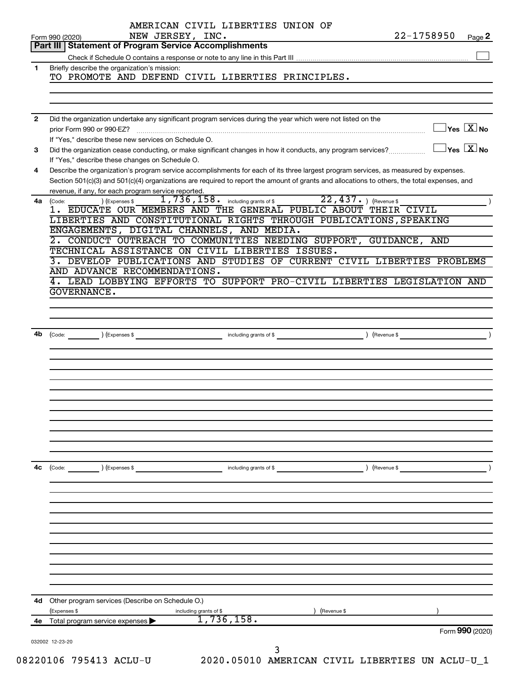|              | Form 990 (2020)                                                | AMERICAN CIVIL LIBERTIES UNION OF<br>NEW JERSEY, INC.                                                        |                                                        |             | 22-1758950                                                                                                                                   | Page 2                                  |
|--------------|----------------------------------------------------------------|--------------------------------------------------------------------------------------------------------------|--------------------------------------------------------|-------------|----------------------------------------------------------------------------------------------------------------------------------------------|-----------------------------------------|
|              | <b>Part III   Statement of Program Service Accomplishments</b> |                                                                                                              |                                                        |             |                                                                                                                                              |                                         |
|              |                                                                |                                                                                                              |                                                        |             |                                                                                                                                              |                                         |
| $\mathbf{1}$ | Briefly describe the organization's mission:                   |                                                                                                              |                                                        |             |                                                                                                                                              |                                         |
|              |                                                                | TO PROMOTE AND DEFEND CIVIL LIBERTIES PRINCIPLES.                                                            |                                                        |             |                                                                                                                                              |                                         |
|              |                                                                |                                                                                                              |                                                        |             |                                                                                                                                              |                                         |
|              |                                                                |                                                                                                              |                                                        |             |                                                                                                                                              |                                         |
|              |                                                                |                                                                                                              |                                                        |             |                                                                                                                                              |                                         |
| $\mathbf{2}$ |                                                                | Did the organization undertake any significant program services during the year which were not listed on the |                                                        |             |                                                                                                                                              | $\Box$ Yes $[\overline{\mathrm{X}}]$ No |
|              | prior Form 990 or 990-EZ?                                      |                                                                                                              |                                                        |             |                                                                                                                                              |                                         |
| 3            |                                                                | If "Yes," describe these new services on Schedule O.                                                         |                                                        |             | Did the organization cease conducting, or make significant changes in how it conducts, any program services?                                 | $\Box$ Yes $[\overline{\mathrm{X}}]$ No |
|              | If "Yes," describe these changes on Schedule O.                |                                                                                                              |                                                        |             |                                                                                                                                              |                                         |
| 4            |                                                                |                                                                                                              |                                                        |             | Describe the organization's program service accomplishments for each of its three largest program services, as measured by expenses.         |                                         |
|              |                                                                |                                                                                                              |                                                        |             | Section 501(c)(3) and 501(c)(4) organizations are required to report the amount of grants and allocations to others, the total expenses, and |                                         |
|              | revenue, if any, for each program service reported.            |                                                                                                              |                                                        |             |                                                                                                                                              |                                         |
| 4a           | ) (Expenses \$<br>(Code:                                       |                                                                                                              | 1,736,158. including grants of \$22,437. ) (Revenue \$ |             |                                                                                                                                              |                                         |
|              |                                                                |                                                                                                              |                                                        |             | 1. EDUCATE OUR MEMBERS AND THE GENERAL PUBLIC ABOUT THEIR CIVIL                                                                              |                                         |
|              |                                                                |                                                                                                              |                                                        |             | LIBERTIES AND CONSTITUTIONAL RIGHTS THROUGH PUBLICATIONS, SPEAKING                                                                           |                                         |
|              |                                                                | ENGAGEMENTS, DIGITAL CHANNELS, AND MEDIA.                                                                    |                                                        |             |                                                                                                                                              |                                         |
|              |                                                                |                                                                                                              |                                                        |             | CONDUCT OUTREACH TO COMMUNITIES NEEDING SUPPORT, GUIDANCE, AND                                                                               |                                         |
|              |                                                                | TECHNICAL ASSISTANCE ON CIVIL LIBERTIES ISSUES.                                                              |                                                        |             | DEVELOP PUBLICATIONS AND STUDIES OF CURRENT CIVIL LIBERTIES PROBLEMS                                                                         |                                         |
|              |                                                                | AND ADVANCE RECOMMENDATIONS.                                                                                 |                                                        |             |                                                                                                                                              |                                         |
|              |                                                                |                                                                                                              |                                                        |             | 4. LEAD LOBBYING EFFORTS TO SUPPORT PRO-CIVIL LIBERTIES LEGISLATION AND                                                                      |                                         |
|              | <b>GOVERNANCE.</b>                                             |                                                                                                              |                                                        |             |                                                                                                                                              |                                         |
|              |                                                                |                                                                                                              |                                                        |             |                                                                                                                                              |                                         |
|              |                                                                |                                                                                                              |                                                        |             |                                                                                                                                              |                                         |
|              |                                                                |                                                                                                              |                                                        |             |                                                                                                                                              |                                         |
|              |                                                                |                                                                                                              |                                                        |             | $\overbrace{\text{Code:}}$ (Expenses \$                                                                                                      |                                         |
|              |                                                                |                                                                                                              |                                                        |             |                                                                                                                                              |                                         |
|              |                                                                |                                                                                                              |                                                        |             |                                                                                                                                              |                                         |
|              |                                                                |                                                                                                              |                                                        |             |                                                                                                                                              |                                         |
|              |                                                                |                                                                                                              |                                                        |             |                                                                                                                                              |                                         |
|              |                                                                |                                                                                                              |                                                        |             |                                                                                                                                              |                                         |
|              |                                                                |                                                                                                              |                                                        |             |                                                                                                                                              |                                         |
|              |                                                                |                                                                                                              |                                                        |             |                                                                                                                                              |                                         |
|              |                                                                |                                                                                                              |                                                        |             |                                                                                                                                              |                                         |
|              |                                                                |                                                                                                              |                                                        |             |                                                                                                                                              |                                         |
|              |                                                                |                                                                                                              |                                                        |             |                                                                                                                                              |                                         |
|              |                                                                |                                                                                                              |                                                        |             |                                                                                                                                              |                                         |
| 4c           | ) (Expenses \$<br>(Code:                                       |                                                                                                              | including grants of \$                                 |             | ) (Revenue \$                                                                                                                                |                                         |
|              |                                                                |                                                                                                              |                                                        |             |                                                                                                                                              |                                         |
|              |                                                                |                                                                                                              |                                                        |             |                                                                                                                                              |                                         |
|              |                                                                |                                                                                                              |                                                        |             |                                                                                                                                              |                                         |
|              |                                                                |                                                                                                              |                                                        |             |                                                                                                                                              |                                         |
|              |                                                                |                                                                                                              |                                                        |             |                                                                                                                                              |                                         |
|              |                                                                |                                                                                                              |                                                        |             |                                                                                                                                              |                                         |
|              |                                                                |                                                                                                              |                                                        |             |                                                                                                                                              |                                         |
|              |                                                                |                                                                                                              |                                                        |             |                                                                                                                                              |                                         |
|              |                                                                |                                                                                                              |                                                        |             |                                                                                                                                              |                                         |
|              |                                                                |                                                                                                              |                                                        |             |                                                                                                                                              |                                         |
|              |                                                                |                                                                                                              |                                                        |             |                                                                                                                                              |                                         |
|              |                                                                |                                                                                                              |                                                        |             |                                                                                                                                              |                                         |
|              | <b>4d</b> Other program services (Describe on Schedule O.)     |                                                                                                              |                                                        |             |                                                                                                                                              |                                         |
|              | (Expenses \$                                                   | including grants of \$                                                                                       | 1,736,158.                                             | (Revenue \$ |                                                                                                                                              |                                         |
| 4е           | Total program service expenses >                               |                                                                                                              |                                                        |             |                                                                                                                                              | Form 990 (2020)                         |
|              | 032002 12-23-20                                                |                                                                                                              |                                                        |             |                                                                                                                                              |                                         |
|              |                                                                |                                                                                                              | 3                                                      |             |                                                                                                                                              |                                         |
|              | 220106 705112 2011-11                                          |                                                                                                              | 2020 A5010 AMEDICAN CIVII                              |             | זוז ססדחסססדז                                                                                                                                |                                         |

08220106 795413 ACLU-U 2020.05010 AMERICAN CIVIL LIBERTIES UN ACLU-U\_1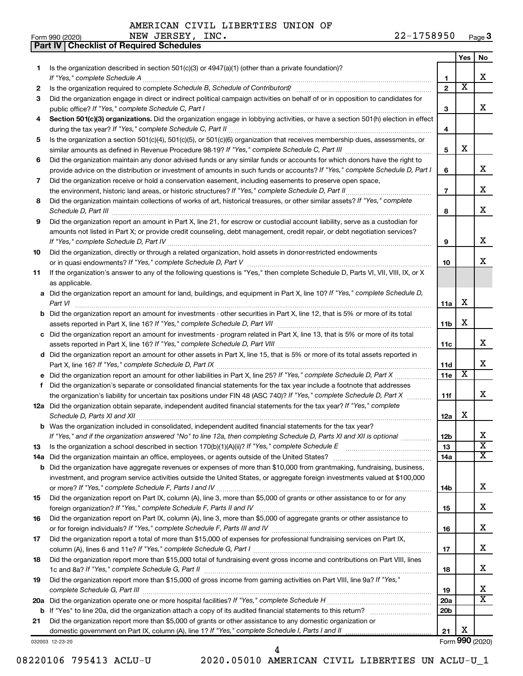**Part IV Checklist of Required Schedules**

|     |                                                                                                                                                                                                                                             |                 | Yes                     | No                    |
|-----|---------------------------------------------------------------------------------------------------------------------------------------------------------------------------------------------------------------------------------------------|-----------------|-------------------------|-----------------------|
| 1   | Is the organization described in section $501(c)(3)$ or $4947(a)(1)$ (other than a private foundation)?                                                                                                                                     |                 |                         |                       |
|     | If "Yes," complete Schedule A                                                                                                                                                                                                               | 1               |                         | x                     |
| 2   |                                                                                                                                                                                                                                             | $\overline{2}$  | $\overline{\textbf{x}}$ |                       |
| З   | Did the organization engage in direct or indirect political campaign activities on behalf of or in opposition to candidates for                                                                                                             |                 |                         |                       |
|     | public office? If "Yes," complete Schedule C, Part I                                                                                                                                                                                        | З               |                         | x                     |
| 4   | Section 501(c)(3) organizations. Did the organization engage in lobbying activities, or have a section 501(h) election in effect                                                                                                            |                 |                         |                       |
|     |                                                                                                                                                                                                                                             | 4               |                         |                       |
| 5   | Is the organization a section 501(c)(4), 501(c)(5), or 501(c)(6) organization that receives membership dues, assessments, or                                                                                                                |                 |                         |                       |
|     |                                                                                                                                                                                                                                             | 5               | х                       |                       |
| 6   | Did the organization maintain any donor advised funds or any similar funds or accounts for which donors have the right to                                                                                                                   |                 |                         | x                     |
|     | provide advice on the distribution or investment of amounts in such funds or accounts? If "Yes," complete Schedule D, Part I                                                                                                                | 6               |                         |                       |
| 7   | Did the organization receive or hold a conservation easement, including easements to preserve open space,                                                                                                                                   | $\overline{7}$  |                         | x                     |
|     | the environment, historic land areas, or historic structures? If "Yes," complete Schedule D, Part II<br>Did the organization maintain collections of works of art, historical treasures, or other similar assets? If "Yes," complete        |                 |                         |                       |
| 8   |                                                                                                                                                                                                                                             | 8               |                         | x                     |
| 9   | Schedule D, Part III <b>www.community.community.community.community.community.community.com</b><br>Did the organization report an amount in Part X, line 21, for escrow or custodial account liability, serve as a custodian for            |                 |                         |                       |
|     | amounts not listed in Part X; or provide credit counseling, debt management, credit repair, or debt negotiation services?                                                                                                                   |                 |                         |                       |
|     |                                                                                                                                                                                                                                             | 9               |                         | х                     |
| 10  | Did the organization, directly or through a related organization, hold assets in donor-restricted endowments                                                                                                                                |                 |                         |                       |
|     |                                                                                                                                                                                                                                             | 10              |                         | X.                    |
| 11  | If the organization's answer to any of the following questions is "Yes," then complete Schedule D, Parts VI, VII, VIII, IX, or X                                                                                                            |                 |                         |                       |
|     | as applicable.                                                                                                                                                                                                                              |                 |                         |                       |
|     | a Did the organization report an amount for land, buildings, and equipment in Part X, line 10? If "Yes," complete Schedule D,                                                                                                               |                 |                         |                       |
|     |                                                                                                                                                                                                                                             | 11a             | х                       |                       |
|     | <b>b</b> Did the organization report an amount for investments - other securities in Part X, line 12, that is 5% or more of its total                                                                                                       |                 |                         |                       |
|     |                                                                                                                                                                                                                                             | 11b             | х                       |                       |
|     | c Did the organization report an amount for investments - program related in Part X, line 13, that is 5% or more of its total                                                                                                               |                 |                         |                       |
|     |                                                                                                                                                                                                                                             | 11c             |                         | x                     |
|     | d Did the organization report an amount for other assets in Part X, line 15, that is 5% or more of its total assets reported in                                                                                                             |                 |                         |                       |
|     |                                                                                                                                                                                                                                             | 11d             |                         | x                     |
|     |                                                                                                                                                                                                                                             | 11e             | X                       |                       |
| f   | Did the organization's separate or consolidated financial statements for the tax year include a footnote that addresses                                                                                                                     |                 |                         |                       |
|     | the organization's liability for uncertain tax positions under FIN 48 (ASC 740)? If "Yes," complete Schedule D, Part X                                                                                                                      | 11f             |                         | X.                    |
|     | 12a Did the organization obtain separate, independent audited financial statements for the tax year? If "Yes," complete                                                                                                                     |                 | x                       |                       |
|     | Schedule D, Parts XI and XII                                                                                                                                                                                                                | 12a             |                         |                       |
|     | <b>b</b> Was the organization included in consolidated, independent audited financial statements for the tax year?<br>If "Yes," and if the organization answered "No" to line 12a, then completing Schedule D, Parts XI and XII is optional | 12 <sub>b</sub> |                         | х                     |
| 13  |                                                                                                                                                                                                                                             | 13              |                         | $\overline{\text{x}}$ |
| 14a |                                                                                                                                                                                                                                             | 14a             |                         | x                     |
|     | <b>b</b> Did the organization have aggregate revenues or expenses of more than \$10,000 from grantmaking, fundraising, business,                                                                                                            |                 |                         |                       |
|     | investment, and program service activities outside the United States, or aggregate foreign investments valued at \$100,000                                                                                                                  |                 |                         |                       |
|     |                                                                                                                                                                                                                                             | 14b             |                         | x                     |
| 15  | Did the organization report on Part IX, column (A), line 3, more than \$5,000 of grants or other assistance to or for any                                                                                                                   |                 |                         |                       |
|     |                                                                                                                                                                                                                                             | 15              |                         | x                     |
| 16  | Did the organization report on Part IX, column (A), line 3, more than \$5,000 of aggregate grants or other assistance to                                                                                                                    |                 |                         |                       |
|     |                                                                                                                                                                                                                                             | 16              |                         | x                     |
| 17  | Did the organization report a total of more than \$15,000 of expenses for professional fundraising services on Part IX,                                                                                                                     |                 |                         |                       |
|     |                                                                                                                                                                                                                                             | 17              |                         | x                     |
| 18  | Did the organization report more than \$15,000 total of fundraising event gross income and contributions on Part VIII, lines                                                                                                                |                 |                         |                       |
|     |                                                                                                                                                                                                                                             | 18              |                         | x                     |
| 19  | Did the organization report more than \$15,000 of gross income from gaming activities on Part VIII, line 9a? If "Yes,"                                                                                                                      |                 |                         |                       |
|     |                                                                                                                                                                                                                                             | 19              |                         | х                     |
|     |                                                                                                                                                                                                                                             | <b>20a</b>      |                         | $\overline{\text{X}}$ |
|     |                                                                                                                                                                                                                                             | 20 <sub>b</sub> |                         |                       |
| 21  | Did the organization report more than \$5,000 of grants or other assistance to any domestic organization or                                                                                                                                 |                 |                         |                       |
|     | domestic government on Part IX, column (A), line 1? If "Yes," complete Schedule I, Parts I and II                                                                                                                                           | 21              | х                       |                       |
|     | 032003 12-23-20                                                                                                                                                                                                                             |                 |                         | Form 990 (2020)       |

08220106 795413 ACLU-U 2020.05010 AMERICAN CIVIL LIBERTIES UN ACLU-U\_1

4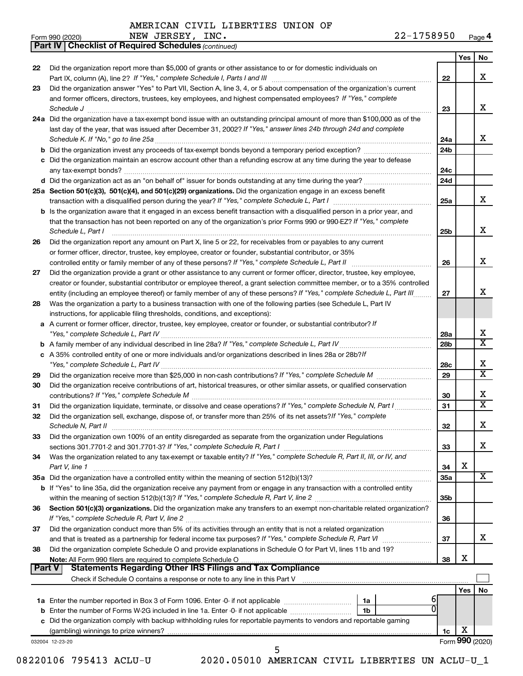*(continued)*

**Part IV Checklist of Required Schedules**

| Form 990 (2020) | NEW | <b>JERSEY</b> | INC. | 1758950<br>$22 -$ | Page 4 |
|-----------------|-----|---------------|------|-------------------|--------|
|-----------------|-----|---------------|------|-------------------|--------|

|               |                                                                                                                                                                                                                                                                                    |           | Yes             | No                      |
|---------------|------------------------------------------------------------------------------------------------------------------------------------------------------------------------------------------------------------------------------------------------------------------------------------|-----------|-----------------|-------------------------|
| 22            | Did the organization report more than \$5,000 of grants or other assistance to or for domestic individuals on                                                                                                                                                                      |           |                 |                         |
|               |                                                                                                                                                                                                                                                                                    | 22        |                 | х                       |
| 23            | Did the organization answer "Yes" to Part VII, Section A, line 3, 4, or 5 about compensation of the organization's current<br>and former officers, directors, trustees, key employees, and highest compensated employees? If "Yes," complete<br>Schedule J                         | 23        |                 | x                       |
|               | 24a Did the organization have a tax-exempt bond issue with an outstanding principal amount of more than \$100,000 as of the                                                                                                                                                        |           |                 |                         |
|               | last day of the year, that was issued after December 31, 2002? If "Yes," answer lines 24b through 24d and complete                                                                                                                                                                 | 24a       |                 | x                       |
|               |                                                                                                                                                                                                                                                                                    | 24b       |                 |                         |
|               | c Did the organization maintain an escrow account other than a refunding escrow at any time during the year to defease                                                                                                                                                             | 24c       |                 |                         |
|               |                                                                                                                                                                                                                                                                                    | 24d       |                 |                         |
|               | 25a Section 501(c)(3), 501(c)(4), and 501(c)(29) organizations. Did the organization engage in an excess benefit                                                                                                                                                                   |           |                 |                         |
|               |                                                                                                                                                                                                                                                                                    | 25a       |                 | X                       |
|               | <b>b</b> Is the organization aware that it engaged in an excess benefit transaction with a disqualified person in a prior year, and<br>that the transaction has not been reported on any of the organization's prior Forms 990 or 990-EZ? If "Yes," complete<br>Schedule L, Part I | 25b       |                 | X                       |
| 26            | Did the organization report any amount on Part X, line 5 or 22, for receivables from or payables to any current<br>or former officer, director, trustee, key employee, creator or founder, substantial contributor, or 35%                                                         |           |                 |                         |
|               |                                                                                                                                                                                                                                                                                    | 26        |                 | х                       |
| 27            | Did the organization provide a grant or other assistance to any current or former officer, director, trustee, key employee,                                                                                                                                                        |           |                 |                         |
|               | creator or founder, substantial contributor or employee thereof, a grant selection committee member, or to a 35% controlled                                                                                                                                                        |           |                 |                         |
|               | entity (including an employee thereof) or family member of any of these persons? If "Yes," complete Schedule L, Part III                                                                                                                                                           | 27        |                 | х                       |
| 28            | Was the organization a party to a business transaction with one of the following parties (see Schedule L, Part IV<br>instructions, for applicable filing thresholds, conditions, and exceptions):                                                                                  |           |                 |                         |
|               | a A current or former officer, director, trustee, key employee, creator or founder, or substantial contributor? If                                                                                                                                                                 | 28a       |                 | х                       |
|               |                                                                                                                                                                                                                                                                                    | 28b       |                 | $\overline{\textbf{x}}$ |
|               | c A 35% controlled entity of one or more individuals and/or organizations described in lines 28a or 28b?/f                                                                                                                                                                         |           |                 | х                       |
| 29            |                                                                                                                                                                                                                                                                                    | 28c<br>29 |                 | $\overline{\texttt{x}}$ |
| 30            | Did the organization receive contributions of art, historical treasures, or other similar assets, or qualified conservation                                                                                                                                                        | 30        |                 | х                       |
| 31            | Did the organization liquidate, terminate, or dissolve and cease operations? If "Yes," complete Schedule N, Part I                                                                                                                                                                 | 31        |                 | $\overline{\texttt{x}}$ |
| 32            | Did the organization sell, exchange, dispose of, or transfer more than 25% of its net assets? If "Yes," complete                                                                                                                                                                   | 32        |                 | X                       |
| 33            | Did the organization own 100% of an entity disregarded as separate from the organization under Regulations                                                                                                                                                                         |           |                 |                         |
|               |                                                                                                                                                                                                                                                                                    | 33        |                 | х                       |
| 34            | Was the organization related to any tax-exempt or taxable entity? If "Yes," complete Schedule R, Part II, III, or IV, and<br>Part V, line 1                                                                                                                                        | 34        | X               |                         |
|               |                                                                                                                                                                                                                                                                                    | 35a       |                 | X                       |
|               | b If "Yes" to line 35a, did the organization receive any payment from or engage in any transaction with a controlled entity                                                                                                                                                        | 35b       |                 |                         |
| 36            | Section 501(c)(3) organizations. Did the organization make any transfers to an exempt non-charitable related organization?                                                                                                                                                         | 36        |                 |                         |
| 37            | Did the organization conduct more than 5% of its activities through an entity that is not a related organization                                                                                                                                                                   | 37        |                 | x                       |
| 38            | Did the organization complete Schedule O and provide explanations in Schedule O for Part VI, lines 11b and 19?                                                                                                                                                                     | 38        | X               |                         |
| <b>Part V</b> | Statements Regarding Other IRS Filings and Tax Compliance<br>Check if Schedule O contains a response or note to any line in this Part V [111] [12] Check if Schedule O contains a response or note to any line in this Part V                                                      |           |                 |                         |
|               |                                                                                                                                                                                                                                                                                    |           | Yes             | No                      |
|               | 1a                                                                                                                                                                                                                                                                                 | 6         |                 |                         |
|               | <b>b</b> Enter the number of Forms W-2G included in line 1a. Enter -0- if not applicable<br>1 <sub>b</sub>                                                                                                                                                                         |           |                 |                         |
|               | c Did the organization comply with backup withholding rules for reportable payments to vendors and reportable gaming                                                                                                                                                               |           |                 |                         |
|               |                                                                                                                                                                                                                                                                                    | 1c        | X               |                         |
|               | 032004 12-23-20                                                                                                                                                                                                                                                                    |           | Form 990 (2020) |                         |
|               | 2020.05010 AMERICAN CIVIL LIBERTIES UN ACLU-U_1<br>08220106 795413 ACLU-U                                                                                                                                                                                                          |           |                 |                         |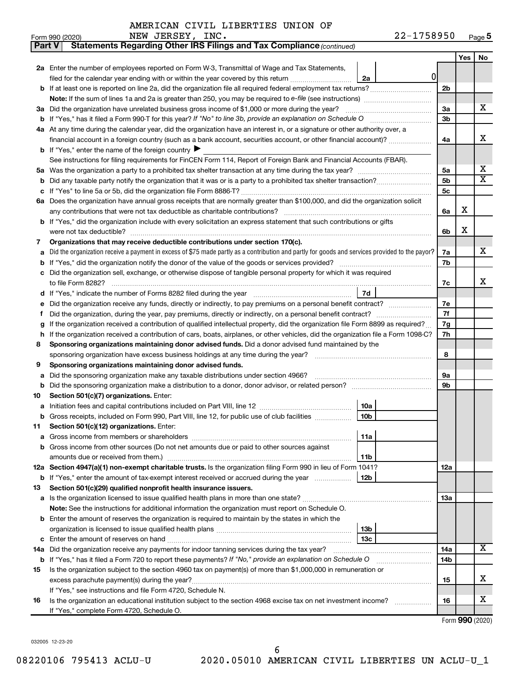| Part V | Statements Regarding Other IRS Filings and Tax Compliance (continued)                                                                                                         |                 |     |                         |
|--------|-------------------------------------------------------------------------------------------------------------------------------------------------------------------------------|-----------------|-----|-------------------------|
|        |                                                                                                                                                                               |                 | Yes | No                      |
|        | 2a Enter the number of employees reported on Form W-3, Transmittal of Wage and Tax Statements,                                                                                |                 |     |                         |
|        | 0<br>filed for the calendar year ending with or within the year covered by this return<br>2a                                                                                  |                 |     |                         |
| b      | If at least one is reported on line 2a, did the organization file all required federal employment tax returns?                                                                | 2 <sub>b</sub>  |     |                         |
|        |                                                                                                                                                                               |                 |     |                         |
|        | 3a Did the organization have unrelated business gross income of \$1,000 or more during the year?                                                                              | За              |     | х                       |
| b      |                                                                                                                                                                               | 3b              |     |                         |
|        | 4a At any time during the calendar year, did the organization have an interest in, or a signature or other authority over, a                                                  |                 |     |                         |
|        | financial account in a foreign country (such as a bank account, securities account, or other financial account)?                                                              | 4a              |     | х                       |
|        | <b>b</b> If "Yes," enter the name of the foreign country $\blacktriangleright$                                                                                                |                 |     |                         |
|        | See instructions for filing requirements for FinCEN Form 114, Report of Foreign Bank and Financial Accounts (FBAR).                                                           |                 |     |                         |
| 5a     |                                                                                                                                                                               | 5a              |     | х                       |
| b      |                                                                                                                                                                               | 5b              |     | $\overline{\textbf{X}}$ |
| с      |                                                                                                                                                                               | 5с              |     |                         |
|        | 6a Does the organization have annual gross receipts that are normally greater than \$100,000, and did the organization solicit                                                |                 |     |                         |
|        |                                                                                                                                                                               | 6a              | х   |                         |
| b      | If "Yes," did the organization include with every solicitation an express statement that such contributions or gifts                                                          |                 |     |                         |
|        |                                                                                                                                                                               | 6b              | х   |                         |
| 7      | Organizations that may receive deductible contributions under section 170(c).                                                                                                 |                 |     |                         |
| a      | Did the organization receive a payment in excess of \$75 made partly as a contribution and partly for goods and services provided to the payor?                               | 7a              |     | х                       |
| b      |                                                                                                                                                                               | 7b              |     |                         |
|        | Did the organization sell, exchange, or otherwise dispose of tangible personal property for which it was required                                                             |                 |     |                         |
|        |                                                                                                                                                                               | 7c              |     | х                       |
| d      | 7d                                                                                                                                                                            |                 |     |                         |
| е      |                                                                                                                                                                               | 7е              |     |                         |
| f      |                                                                                                                                                                               | 7f              |     |                         |
|        | If the organization received a contribution of qualified intellectual property, did the organization file Form 8899 as required?                                              | 7g              |     |                         |
| h      | If the organization received a contribution of cars, boats, airplanes, or other vehicles, did the organization file a Form 1098-C?                                            | 7h              |     |                         |
| 8      | Sponsoring organizations maintaining donor advised funds. Did a donor advised fund maintained by the                                                                          |                 |     |                         |
|        |                                                                                                                                                                               | 8               |     |                         |
| 9      | Sponsoring organizations maintaining donor advised funds.                                                                                                                     |                 |     |                         |
| а      | Did the sponsoring organization make any taxable distributions under section 4966?                                                                                            | 9а              |     |                         |
| b      |                                                                                                                                                                               | 9b              |     |                         |
| 10     | Section 501(c)(7) organizations. Enter:                                                                                                                                       |                 |     |                         |
| а      | 10a                                                                                                                                                                           |                 |     |                         |
|        | 10 <sub>b</sub><br>Gross receipts, included on Form 990, Part VIII, line 12, for public use of club facilities                                                                |                 |     |                         |
| 11     | Section 501(c)(12) organizations. Enter:                                                                                                                                      |                 |     |                         |
| а      | 11a                                                                                                                                                                           |                 |     |                         |
|        | Gross income from other sources (Do not net amounts due or paid to other sources against                                                                                      |                 |     |                         |
|        | 11b                                                                                                                                                                           |                 |     |                         |
|        | 12a Section 4947(a)(1) non-exempt charitable trusts. Is the organization filing Form 990 in lieu of Form 1041?                                                                | 12a             |     |                         |
|        | 12b<br><b>b</b> If "Yes," enter the amount of tax-exempt interest received or accrued during the year                                                                         |                 |     |                         |
| 13     | Section 501(c)(29) qualified nonprofit health insurance issuers.                                                                                                              |                 |     |                         |
| a      | Is the organization licensed to issue qualified health plans in more than one state?                                                                                          | 1За             |     |                         |
|        | Note: See the instructions for additional information the organization must report on Schedule O.                                                                             |                 |     |                         |
| b      | Enter the amount of reserves the organization is required to maintain by the states in which the                                                                              |                 |     |                         |
|        | 13 <sub>b</sub><br>13 <sub>c</sub>                                                                                                                                            |                 |     |                         |
| с      | Did the organization receive any payments for indoor tanning services during the tax year?                                                                                    |                 |     | х                       |
| 14a    |                                                                                                                                                                               | 14a             |     |                         |
|        | <b>b</b> If "Yes," has it filed a Form 720 to report these payments? If "No," provide an explanation on Schedule O                                                            | 14 <sub>b</sub> |     |                         |
| 15     | Is the organization subject to the section 4960 tax on payment(s) of more than \$1,000,000 in remuneration or                                                                 |                 |     | х                       |
|        |                                                                                                                                                                               | 15              |     |                         |
|        | If "Yes," see instructions and file Form 4720, Schedule N.<br>Is the organization an educational institution subject to the section 4968 excise tax on net investment income? | 16              |     | х                       |
| 16     |                                                                                                                                                                               |                 |     |                         |
|        | If "Yes," complete Form 4720, Schedule O.                                                                                                                                     |                 |     |                         |

Form (2020) **990**

032005 12-23-20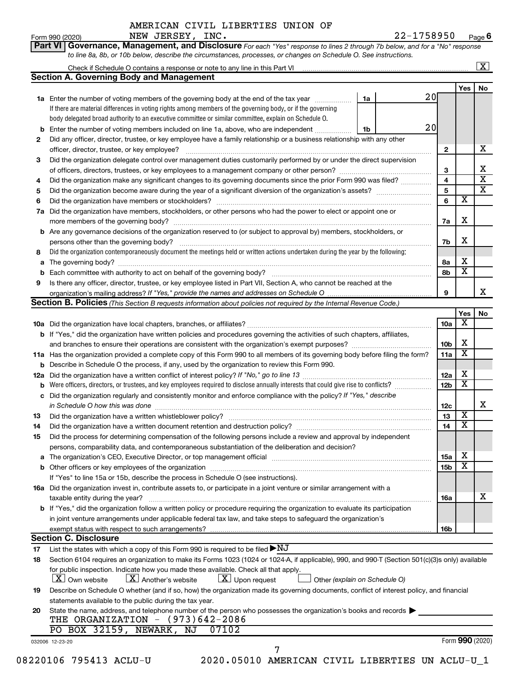Form 990 (2020) Page NEW JERSEY, INC. 22-1758950 **6**

| Part VI   Governance, Management, and Disclosure For each "Yes" response to lines 2 through 7b below, and for a "No" response |  |
|-------------------------------------------------------------------------------------------------------------------------------|--|
| to line 8a, 8b, or 10b below, describe the circumstances, processes, or changes on Schedule O. See instructions.              |  |

|     |                                                                                                                                                                                                                                |    |    |                 |                         | $\mathbf{X}$            |
|-----|--------------------------------------------------------------------------------------------------------------------------------------------------------------------------------------------------------------------------------|----|----|-----------------|-------------------------|-------------------------|
|     | <b>Section A. Governing Body and Management</b>                                                                                                                                                                                |    |    |                 |                         |                         |
|     |                                                                                                                                                                                                                                |    |    |                 | Yes                     | No                      |
|     | <b>1a</b> Enter the number of voting members of the governing body at the end of the tax year                                                                                                                                  | 1a | 20 |                 |                         |                         |
|     | If there are material differences in voting rights among members of the governing body, or if the governing                                                                                                                    |    |    |                 |                         |                         |
|     | body delegated broad authority to an executive committee or similar committee, explain on Schedule O.                                                                                                                          |    |    |                 |                         |                         |
| b   | Enter the number of voting members included on line 1a, above, who are independent                                                                                                                                             | 1b | 20 |                 |                         |                         |
| 2   | Did any officer, director, trustee, or key employee have a family relationship or a business relationship with any other                                                                                                       |    |    |                 |                         |                         |
|     | officer, director, trustee, or key employee?                                                                                                                                                                                   |    |    | $\mathbf{2}$    |                         | х                       |
| 3   | Did the organization delegate control over management duties customarily performed by or under the direct supervision                                                                                                          |    |    |                 |                         |                         |
|     |                                                                                                                                                                                                                                |    |    | 3               |                         | х                       |
| 4   | Did the organization make any significant changes to its governing documents since the prior Form 990 was filed?                                                                                                               |    |    | 4               |                         | $\overline{\mathbf{X}}$ |
| 5   |                                                                                                                                                                                                                                |    |    | 5               |                         | $\overline{\mathbf{x}}$ |
| 6   | Did the organization have members or stockholders?                                                                                                                                                                             |    |    | 6               | $\overline{\textbf{x}}$ |                         |
| 7a  | Did the organization have members, stockholders, or other persons who had the power to elect or appoint one or                                                                                                                 |    |    |                 |                         |                         |
|     |                                                                                                                                                                                                                                |    |    | 7a              | X                       |                         |
|     | <b>b</b> Are any governance decisions of the organization reserved to (or subject to approval by) members, stockholders, or                                                                                                    |    |    |                 |                         |                         |
|     | persons other than the governing body?                                                                                                                                                                                         |    |    | 7b              | X                       |                         |
| 8   | Did the organization contemporaneously document the meetings held or written actions undertaken during the year by the following:                                                                                              |    |    |                 |                         |                         |
| a   |                                                                                                                                                                                                                                |    |    | 8а              | х                       |                         |
| b   |                                                                                                                                                                                                                                |    |    | 8b              | $\overline{\mathbf{x}}$ |                         |
| 9   | Is there any officer, director, trustee, or key employee listed in Part VII, Section A, who cannot be reached at the                                                                                                           |    |    |                 |                         |                         |
|     |                                                                                                                                                                                                                                |    |    | 9               |                         | X.                      |
|     | <b>Section B. Policies</b> (This Section B requests information about policies not required by the Internal Revenue Code.)                                                                                                     |    |    |                 |                         |                         |
|     |                                                                                                                                                                                                                                |    |    |                 | Yes                     | No                      |
|     |                                                                                                                                                                                                                                |    |    | 10a             | X                       |                         |
|     | b If "Yes," did the organization have written policies and procedures governing the activities of such chapters, affiliates,                                                                                                   |    |    |                 |                         |                         |
|     |                                                                                                                                                                                                                                |    |    | 10 <sub>b</sub> | х                       |                         |
|     | 11a Has the organization provided a complete copy of this Form 990 to all members of its governing body before filing the form?                                                                                                |    |    | 11a             | X                       |                         |
| b   | Describe in Schedule O the process, if any, used by the organization to review this Form 990.                                                                                                                                  |    |    |                 |                         |                         |
| 12a |                                                                                                                                                                                                                                |    |    | 12a             | Х                       |                         |
| b   | Were officers, directors, or trustees, and key employees required to disclose annually interests that could give rise to conflicts?                                                                                            |    |    | 12 <sub>b</sub> | х                       |                         |
| c   | Did the organization regularly and consistently monitor and enforce compliance with the policy? If "Yes," describe                                                                                                             |    |    |                 |                         |                         |
|     | in Schedule O how this was done manufactured and a state of the state of the state of the state of the state o                                                                                                                 |    |    | 12c             |                         | х                       |
| 13  | Did the organization have a written whistleblower policy?                                                                                                                                                                      |    |    | 13              | $\overline{\mathbf{X}}$ |                         |
| 14  | Did the organization have a written document retention and destruction policy? [11] manufaction in the organization have a written document retention and destruction policy?                                                  |    |    | 14              | X                       |                         |
| 15  | Did the process for determining compensation of the following persons include a review and approval by independent                                                                                                             |    |    |                 |                         |                         |
|     | persons, comparability data, and contemporaneous substantiation of the deliberation and decision?                                                                                                                              |    |    |                 |                         |                         |
|     | The organization's CEO, Executive Director, or top management official manufactured content of the organization's CEO, Executive Director, or top management official manufactured content of the state of the state of the st |    |    | 15a             | х                       |                         |
| b   | Other officers or key employees of the organization                                                                                                                                                                            |    |    | 15 <sub>b</sub> | X                       |                         |
|     | If "Yes" to line 15a or 15b, describe the process in Schedule O (see instructions).                                                                                                                                            |    |    |                 |                         |                         |
|     | 16a Did the organization invest in, contribute assets to, or participate in a joint venture or similar arrangement with a                                                                                                      |    |    |                 |                         |                         |
|     | taxable entity during the year?                                                                                                                                                                                                |    |    | 16a             |                         | х                       |
|     | <b>b</b> If "Yes," did the organization follow a written policy or procedure requiring the organization to evaluate its participation                                                                                          |    |    |                 |                         |                         |
|     | in joint venture arrangements under applicable federal tax law, and take steps to safequard the organization's                                                                                                                 |    |    |                 |                         |                         |
|     | exempt status with respect to such arrangements?                                                                                                                                                                               |    |    | 16 <sub>b</sub> |                         |                         |
|     | <b>Section C. Disclosure</b>                                                                                                                                                                                                   |    |    |                 |                         |                         |
| 17  | List the states with which a copy of this Form 990 is required to be filed $\blacktriangleright\mathrm{NJ}$                                                                                                                    |    |    |                 |                         |                         |
| 18  | Section 6104 requires an organization to make its Forms 1023 (1024 or 1024-A, if applicable), 990, and 990-T (Section 501(c)(3)s only) available                                                                               |    |    |                 |                         |                         |
|     | for public inspection. Indicate how you made these available. Check all that apply.                                                                                                                                            |    |    |                 |                         |                         |
|     | $\lfloor x \rfloor$ Upon request<br><b>X</b> Own website<br>$ \mathbf{X} $ Another's website<br>Other (explain on Schedule O)                                                                                                  |    |    |                 |                         |                         |
| 19  | Describe on Schedule O whether (and if so, how) the organization made its governing documents, conflict of interest policy, and financial                                                                                      |    |    |                 |                         |                         |
|     | statements available to the public during the tax year.                                                                                                                                                                        |    |    |                 |                         |                         |
| 20  | State the name, address, and telephone number of the person who possesses the organization's books and records                                                                                                                 |    |    |                 |                         |                         |
|     | THE ORGANIZATION - (973)642-2086                                                                                                                                                                                               |    |    |                 |                         |                         |
|     | PO BOX 32159, NEWARK, NJ<br>07102                                                                                                                                                                                              |    |    |                 |                         |                         |
|     | 032006 12-23-20                                                                                                                                                                                                                |    |    |                 |                         | Form 990 (2020)         |
|     | 7                                                                                                                                                                                                                              |    |    |                 |                         |                         |

<sup>08220106 795413</sup> ACLU-U 2020.05010 AMERICAN CIVIL LIBERTIES UN ACLU-U\_1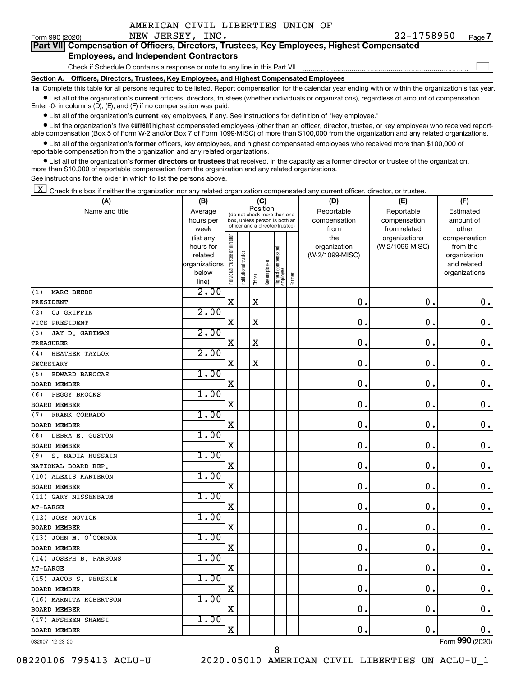| AMERICAN CIVIL LIBERTIES UNION OF |  |  |
|-----------------------------------|--|--|
|                                   |  |  |

 $\Box$ 

| Form 990 (2020) | NEW JERSEY, INC.                                                                           | 77-1758950 | Page |
|-----------------|--------------------------------------------------------------------------------------------|------------|------|
|                 | Part VII Compensation of Officers, Directors, Trustees, Key Employees, Highest Compensated |            |      |

#### **Employees, and Independent Contractors**

Check if Schedule O contains a response or note to any line in this Part VII

**Section A. Officers, Directors, Trustees, Key Employees, and Highest Compensated Employees**

**1a**  Complete this table for all persons required to be listed. Report compensation for the calendar year ending with or within the organization's tax year.  $\bullet$  List all of the organization's current officers, directors, trustees (whether individuals or organizations), regardless of amount of compensation.

Enter -0- in columns (D), (E), and (F) if no compensation was paid.

**•** List all of the organization's current key employees, if any. See instructions for definition of "key employee."

• List the organization's five *current* highest compensated employees (other than an officer, director, trustee, or key employee) who received reportable compensation (Box 5 of Form W-2 and/or Box 7 of Form 1099-MISC) of more than \$100,000 from the organization and any related organizations.

 $\bullet$  List all of the organization's former officers, key employees, and highest compensated employees who received more than \$100,000 of reportable compensation from the organization and any related organizations.

**•** List all of the organization's former directors or trustees that received, in the capacity as a former director or trustee of the organization, more than \$10,000 of reportable compensation from the organization and any related organizations.

See instructions for the order in which to list the persons above.

 $\boxed{\textbf{X}}$  Check this box if neither the organization nor any related organization compensated any current officer, director, or trustee.

| (A)                     | (B)                  |                                |                      |             | (C)          |                                                                  |        | (D)                             | (E)             | (F)                      |
|-------------------------|----------------------|--------------------------------|----------------------|-------------|--------------|------------------------------------------------------------------|--------|---------------------------------|-----------------|--------------------------|
| Name and title          | Average              |                                |                      | Position    |              | (do not check more than one                                      |        | Reportable                      | Reportable      | Estimated                |
|                         | hours per            |                                |                      |             |              | box, unless person is both an<br>officer and a director/trustee) |        | compensation                    | compensation    | amount of                |
|                         | week                 |                                |                      |             |              |                                                                  |        | from                            | from related    | other                    |
|                         | (list any            | Individual trustee or director |                      |             |              |                                                                  |        | the                             | organizations   | compensation             |
|                         | hours for<br>related |                                |                      |             |              |                                                                  |        | organization<br>(W-2/1099-MISC) | (W-2/1099-MISC) | from the<br>organization |
|                         | organizations        |                                |                      |             |              |                                                                  |        |                                 |                 | and related              |
|                         | below                |                                | nstitutional trustee |             |              |                                                                  |        |                                 |                 | organizations            |
|                         | line)                |                                |                      | Officer     | Key employee | Highest compensated<br>employee                                  | Former |                                 |                 |                          |
| MARC BEEBE<br>(1)       | 2.00                 |                                |                      |             |              |                                                                  |        |                                 |                 |                          |
| PRESIDENT               |                      | $\mathbf X$                    |                      | X           |              |                                                                  |        | $\mathbf 0$ .                   | $\mathbf 0$ .   | $\mathbf 0$ .            |
| CJ GRIFFIN<br>(2)       | 2.00                 |                                |                      |             |              |                                                                  |        |                                 |                 |                          |
| VICE PRESIDENT          |                      | $\mathbf X$                    |                      | $\mathbf X$ |              |                                                                  |        | 0                               | $\mathbf 0$ .   | $\mathbf 0$ .            |
| JAY D. GARTMAN<br>(3)   | 2.00                 |                                |                      |             |              |                                                                  |        |                                 |                 |                          |
| <b>TREASURER</b>        |                      | $\mathbf X$                    |                      | $\mathbf X$ |              |                                                                  |        | 0                               | 0               | 0.                       |
| HEATHER TAYLOR<br>(4)   | 2.00                 |                                |                      |             |              |                                                                  |        |                                 |                 |                          |
| <b>SECRETARY</b>        |                      | $\mathbf X$                    |                      | $\mathbf X$ |              |                                                                  |        | $\mathbf 0$ .                   | $\mathbf 0$ .   | $\mathbf 0$ .            |
| (5)<br>EDWARD BAROCAS   | 1.00                 |                                |                      |             |              |                                                                  |        |                                 |                 |                          |
| <b>BOARD MEMBER</b>     |                      | $\mathbf X$                    |                      |             |              |                                                                  |        | $\mathbf 0$ .                   | 0               | 0.                       |
| PEGGY BROOKS<br>(6)     | 1.00                 |                                |                      |             |              |                                                                  |        |                                 |                 |                          |
| <b>BOARD MEMBER</b>     |                      | X                              |                      |             |              |                                                                  |        | $\mathbf 0$ .                   | $\mathbf 0$ .   | $\mathbf 0$ .            |
| FRANK CORRADO<br>(7)    | 1.00                 |                                |                      |             |              |                                                                  |        |                                 |                 |                          |
| <b>BOARD MEMBER</b>     |                      | X                              |                      |             |              |                                                                  |        | $\mathbf 0$ .                   | $\mathbf 0$     | $\mathbf 0$ .            |
| DEBRA E. GUSTON<br>(8)  | 1.00                 |                                |                      |             |              |                                                                  |        |                                 |                 |                          |
| <b>BOARD MEMBER</b>     |                      | X                              |                      |             |              |                                                                  |        | 0                               | $\mathbf 0$ .   | $\mathbf 0$ .            |
| S. NADIA HUSSAIN<br>(9) | 1.00                 |                                |                      |             |              |                                                                  |        |                                 |                 |                          |
| NATIONAL BOARD REP.     |                      | X                              |                      |             |              |                                                                  |        | 0                               | $\mathbf 0$ .   | $\mathbf 0$ .            |
| (10) ALEXIS KARTERON    | 1.00                 |                                |                      |             |              |                                                                  |        |                                 |                 |                          |
| <b>BOARD MEMBER</b>     |                      | $\mathbf X$                    |                      |             |              |                                                                  |        | 0                               | $\mathbf 0$ .   | 0.                       |
| (11) GARY NISSENBAUM    | 1.00                 |                                |                      |             |              |                                                                  |        |                                 |                 |                          |
| $AT-LARGE$              |                      | $\mathbf X$                    |                      |             |              |                                                                  |        | 0                               | $\mathbf 0$     | $\mathbf 0$ .            |
| (12) JOEY NOVICK        | 1.00                 |                                |                      |             |              |                                                                  |        |                                 |                 |                          |
| <b>BOARD MEMBER</b>     |                      | X                              |                      |             |              |                                                                  |        | $\mathbf 0$ .                   | $\mathbf 0$ .   | 0.                       |
| (13) JOHN M. O'CONNOR   | 1.00                 |                                |                      |             |              |                                                                  |        |                                 |                 |                          |
| <b>BOARD MEMBER</b>     |                      | X                              |                      |             |              |                                                                  |        | $\mathbf 0$ .                   | $\mathbf 0$ .   | 0.                       |
| (14) JOSEPH B. PARSONS  | 1.00                 |                                |                      |             |              |                                                                  |        |                                 |                 |                          |
| $AT-LARGE$              |                      | $\mathbf X$                    |                      |             |              |                                                                  |        | $\mathbf 0$ .                   | $\mathbf 0$ .   | $\mathbf 0$ .            |
| (15) JACOB S. PERSKIE   | 1.00                 |                                |                      |             |              |                                                                  |        |                                 |                 |                          |
| <b>BOARD MEMBER</b>     |                      | X                              |                      |             |              |                                                                  |        | 0                               | $\mathbf 0$     | $\mathbf 0$ .            |
| (16) MARNITA ROBERTSON  | 1.00                 |                                |                      |             |              |                                                                  |        |                                 |                 |                          |
| <b>BOARD MEMBER</b>     |                      | X                              |                      |             |              |                                                                  |        | 0                               | $\mathbf 0$ .   | $0$ .                    |
| (17) AFSHEEN SHAMSI     | 1.00                 |                                |                      |             |              |                                                                  |        |                                 |                 |                          |
| <b>BOARD MEMBER</b>     |                      | X                              |                      |             |              |                                                                  |        | 0                               | $\mathbf 0$ .   | 0.                       |
| 032007 12-23-20         |                      |                                |                      |             |              |                                                                  |        |                                 |                 | Form 990 (2020)          |

8

032007 12-23-20

08220106 795413 ACLU-U 2020.05010 AMERICAN CIVIL LIBERTIES UN ACLU-U\_1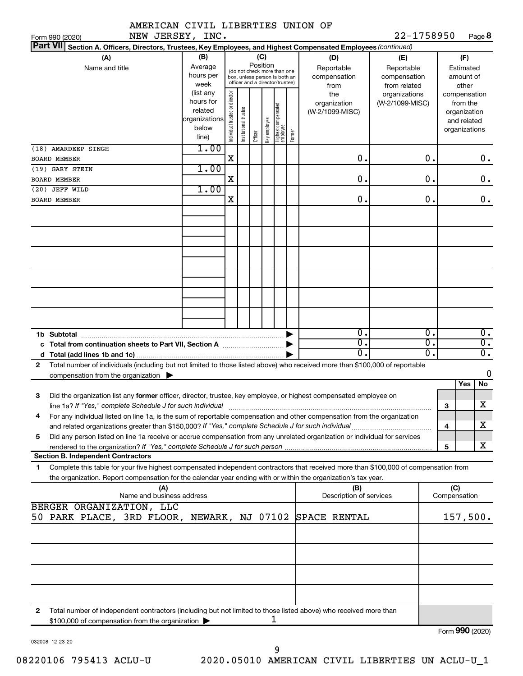|                | AMERICAN CIVIL LIBERTIES UNION OF |  |
|----------------|-----------------------------------|--|
| NEW TERSEY TNO |                                   |  |

 $22 - 1758950$  P<sub>209</sub> $\bf{8}$ 

| NEW JERSEY, INC.<br>Form 990 (2020)                                                                                                                                      |                                                                                                             |                                |                                                                                                                          |                            |              |                                 |        |                                                                                     | 22-1758950                                                                            |          |     |                                                                                                                    | Page <b>8</b>          |
|--------------------------------------------------------------------------------------------------------------------------------------------------------------------------|-------------------------------------------------------------------------------------------------------------|--------------------------------|--------------------------------------------------------------------------------------------------------------------------|----------------------------|--------------|---------------------------------|--------|-------------------------------------------------------------------------------------|---------------------------------------------------------------------------------------|----------|-----|--------------------------------------------------------------------------------------------------------------------|------------------------|
| <b>Part VII</b><br>Section A. Officers, Directors, Trustees, Key Employees, and Highest Compensated Employees (continued)                                                |                                                                                                             |                                |                                                                                                                          |                            |              |                                 |        |                                                                                     |                                                                                       |          |     |                                                                                                                    |                        |
| (A)<br>Name and title                                                                                                                                                    | (B)<br>Average<br>hours per<br>week<br>(list any<br>hours for<br>related<br>organizations<br>below<br>line) | Individual trustee or director | (do not check more than one<br>box, unless person is both an<br>officer and a director/trustee)<br>Institutional trustee | (C)<br>Position<br>Officer | Key employee | Highest compensated<br>employee | Former | (D)<br>Reportable<br>compensation<br>from<br>the<br>organization<br>(W-2/1099-MISC) | (E)<br>Reportable<br>compensation<br>from related<br>organizations<br>(W-2/1099-MISC) |          |     | (F)<br>Estimated<br>amount of<br>other<br>compensation<br>from the<br>organization<br>and related<br>organizations |                        |
| (18) AMARDEEP SINGH                                                                                                                                                      | 1.00                                                                                                        |                                |                                                                                                                          |                            |              |                                 |        |                                                                                     |                                                                                       |          |     |                                                                                                                    |                        |
| <b>BOARD MEMBER</b>                                                                                                                                                      |                                                                                                             | $\mathbf X$                    |                                                                                                                          |                            |              |                                 |        | О.                                                                                  |                                                                                       | О.       |     |                                                                                                                    | $0$ .                  |
| (19) GARY STEIN                                                                                                                                                          | 1.00                                                                                                        |                                |                                                                                                                          |                            |              |                                 |        |                                                                                     |                                                                                       |          |     |                                                                                                                    |                        |
| BOARD MEMBER                                                                                                                                                             |                                                                                                             | X                              |                                                                                                                          |                            |              |                                 |        | О.                                                                                  |                                                                                       | 0.       |     |                                                                                                                    | 0.                     |
| (20) JEFF WILD                                                                                                                                                           | 1.00                                                                                                        |                                |                                                                                                                          |                            |              |                                 |        |                                                                                     |                                                                                       |          |     |                                                                                                                    |                        |
| <b>BOARD MEMBER</b>                                                                                                                                                      |                                                                                                             | X                              |                                                                                                                          |                            |              |                                 |        | О.                                                                                  |                                                                                       | 0.       |     |                                                                                                                    | $0$ .                  |
|                                                                                                                                                                          |                                                                                                             |                                |                                                                                                                          |                            |              |                                 |        |                                                                                     |                                                                                       |          |     |                                                                                                                    |                        |
|                                                                                                                                                                          |                                                                                                             |                                |                                                                                                                          |                            |              |                                 |        |                                                                                     |                                                                                       |          |     |                                                                                                                    |                        |
|                                                                                                                                                                          |                                                                                                             |                                |                                                                                                                          |                            |              |                                 |        |                                                                                     |                                                                                       |          |     |                                                                                                                    |                        |
|                                                                                                                                                                          |                                                                                                             |                                |                                                                                                                          |                            |              |                                 |        |                                                                                     |                                                                                       |          |     |                                                                                                                    |                        |
|                                                                                                                                                                          |                                                                                                             |                                |                                                                                                                          |                            |              |                                 |        | о.                                                                                  |                                                                                       | Ο.       |     |                                                                                                                    | 0.                     |
|                                                                                                                                                                          |                                                                                                             |                                |                                                                                                                          |                            |              |                                 |        | σ.<br>$\overline{0}$ .                                                              |                                                                                       | σ.<br>σ. |     |                                                                                                                    | $\overline{0}$ .<br>σ. |
| Total number of individuals (including but not limited to those listed above) who received more than \$100,000 of reportable<br>$\mathbf{2}$                             |                                                                                                             |                                |                                                                                                                          |                            |              |                                 |        |                                                                                     |                                                                                       |          |     |                                                                                                                    |                        |
| compensation from the organization $\blacktriangleright$                                                                                                                 |                                                                                                             |                                |                                                                                                                          |                            |              |                                 |        |                                                                                     |                                                                                       |          |     |                                                                                                                    | 0                      |
|                                                                                                                                                                          |                                                                                                             |                                |                                                                                                                          |                            |              |                                 |        |                                                                                     |                                                                                       |          |     | Yes                                                                                                                | No                     |
| Did the organization list any former officer, director, trustee, key employee, or highest compensated employee on<br>3                                                   |                                                                                                             |                                |                                                                                                                          |                            |              |                                 |        |                                                                                     |                                                                                       |          |     |                                                                                                                    |                        |
|                                                                                                                                                                          |                                                                                                             |                                |                                                                                                                          |                            |              |                                 |        |                                                                                     |                                                                                       |          | 3   |                                                                                                                    | x                      |
| For any individual listed on line 1a, is the sum of reportable compensation and other compensation from the organization                                                 |                                                                                                             |                                |                                                                                                                          |                            |              |                                 |        |                                                                                     |                                                                                       |          |     |                                                                                                                    | х                      |
|                                                                                                                                                                          |                                                                                                             |                                |                                                                                                                          |                            |              |                                 |        |                                                                                     |                                                                                       |          | 4   |                                                                                                                    |                        |
| Did any person listed on line 1a receive or accrue compensation from any unrelated organization or individual for services<br>5                                          |                                                                                                             |                                |                                                                                                                          |                            |              |                                 |        |                                                                                     |                                                                                       |          | 5   |                                                                                                                    | x                      |
| <b>Section B. Independent Contractors</b>                                                                                                                                |                                                                                                             |                                |                                                                                                                          |                            |              |                                 |        |                                                                                     |                                                                                       |          |     |                                                                                                                    |                        |
| Complete this table for your five highest compensated independent contractors that received more than \$100,000 of compensation from<br>1.                               |                                                                                                             |                                |                                                                                                                          |                            |              |                                 |        |                                                                                     |                                                                                       |          |     |                                                                                                                    |                        |
| the organization. Report compensation for the calendar year ending with or within the organization's tax year.                                                           |                                                                                                             |                                |                                                                                                                          |                            |              |                                 |        |                                                                                     |                                                                                       |          |     |                                                                                                                    |                        |
| (A)<br>Name and business address                                                                                                                                         |                                                                                                             |                                |                                                                                                                          |                            |              |                                 |        | (B)<br>Description of services                                                      |                                                                                       |          | (C) | Compensation                                                                                                       |                        |
| BERGER ORGANIZATION, LLC                                                                                                                                                 |                                                                                                             |                                |                                                                                                                          |                            |              |                                 |        |                                                                                     |                                                                                       |          |     |                                                                                                                    |                        |
| 50 PARK PLACE, 3RD FLOOR, NEWARK, NJ 07102                                                                                                                               |                                                                                                             |                                |                                                                                                                          |                            |              |                                 |        | SPACE RENTAL                                                                        |                                                                                       |          |     | 157,500.                                                                                                           |                        |
|                                                                                                                                                                          |                                                                                                             |                                |                                                                                                                          |                            |              |                                 |        |                                                                                     |                                                                                       |          |     |                                                                                                                    |                        |
|                                                                                                                                                                          |                                                                                                             |                                |                                                                                                                          |                            |              |                                 |        |                                                                                     |                                                                                       |          |     |                                                                                                                    |                        |
|                                                                                                                                                                          |                                                                                                             |                                |                                                                                                                          |                            |              |                                 |        |                                                                                     |                                                                                       |          |     |                                                                                                                    |                        |
|                                                                                                                                                                          |                                                                                                             |                                |                                                                                                                          |                            |              |                                 |        |                                                                                     |                                                                                       |          |     |                                                                                                                    |                        |
| Total number of independent contractors (including but not limited to those listed above) who received more than<br>2<br>\$100,000 of compensation from the organization |                                                                                                             |                                |                                                                                                                          |                            |              |                                 |        |                                                                                     |                                                                                       |          |     | $000 \; \text{meV}$                                                                                                |                        |

032008 12-23-20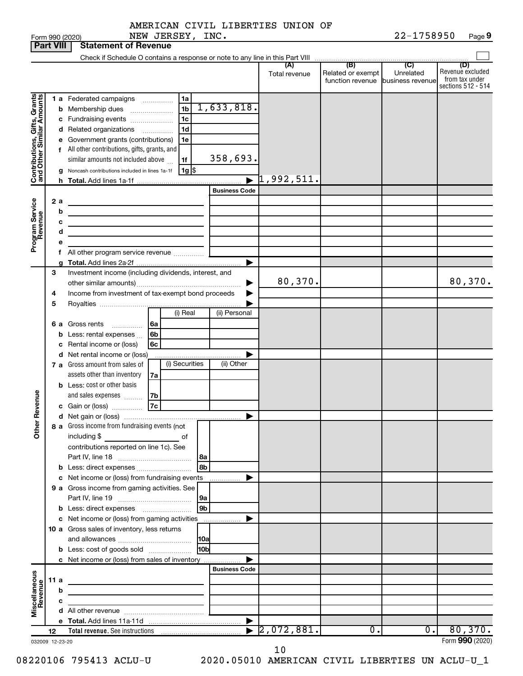Form 990 (2020) NEW JERSEY, INC. 22-1758950 Page 22-1758950 Page 9

|                                                           |      |        | NEW JERSEY, INC.<br>Form 990 (2020)                                                                                   |                       |                                  |                                              | 22-1758950                                      | Page 9                                                          |
|-----------------------------------------------------------|------|--------|-----------------------------------------------------------------------------------------------------------------------|-----------------------|----------------------------------|----------------------------------------------|-------------------------------------------------|-----------------------------------------------------------------|
| <b>Part VIII</b>                                          |      |        | <b>Statement of Revenue</b>                                                                                           |                       |                                  |                                              |                                                 |                                                                 |
|                                                           |      |        |                                                                                                                       |                       |                                  |                                              |                                                 |                                                                 |
|                                                           |      |        |                                                                                                                       |                       | (A)<br>Total revenue             | (B)<br>Related or exempt<br>function revenue | $\overline{C}$<br>Unrelated<br>business revenue | (D)<br>Revenue excluded<br>from tax under<br>sections 512 - 514 |
|                                                           |      |        | 1 a Federated campaigns<br>1a                                                                                         |                       |                                  |                                              |                                                 |                                                                 |
| Contributions, Gifts, Grants<br>and Other Similar Amounts |      |        | 1 <sub>b</sub><br><b>b</b> Membership dues<br>$\ldots \ldots \ldots \ldots \ldots$                                    | 1,633,818.            |                                  |                                              |                                                 |                                                                 |
|                                                           |      |        | 1c<br>c Fundraising events                                                                                            |                       |                                  |                                              |                                                 |                                                                 |
|                                                           |      |        | 1d<br>d Related organizations<br>$\overline{\phantom{a}}$                                                             |                       |                                  |                                              |                                                 |                                                                 |
|                                                           |      |        | e Government grants (contributions)<br>1e                                                                             |                       |                                  |                                              |                                                 |                                                                 |
|                                                           |      |        | f All other contributions, gifts, grants, and                                                                         |                       |                                  |                                              |                                                 |                                                                 |
|                                                           |      |        | similar amounts not included above<br>1f                                                                              | 358,693.              |                                  |                                              |                                                 |                                                                 |
|                                                           |      |        | g Noncash contributions included in lines 1a-1f<br>$1g$ $\frac{1}{3}$                                                 |                       |                                  |                                              |                                                 |                                                                 |
|                                                           |      |        |                                                                                                                       |                       | $\blacktriangleright$ 1,992,511. |                                              |                                                 |                                                                 |
|                                                           |      |        |                                                                                                                       | <b>Business Code</b>  |                                  |                                              |                                                 |                                                                 |
|                                                           | 2a   |        |                                                                                                                       |                       |                                  |                                              |                                                 |                                                                 |
|                                                           |      | b<br>c |                                                                                                                       |                       |                                  |                                              |                                                 |                                                                 |
|                                                           |      | d      | the control of the control of the control of the control of the control of<br><u> 1980 - Johann Barbara, martin a</u> |                       |                                  |                                              |                                                 |                                                                 |
| Program Service<br>Revenue                                |      |        |                                                                                                                       |                       |                                  |                                              |                                                 |                                                                 |
|                                                           |      |        |                                                                                                                       |                       |                                  |                                              |                                                 |                                                                 |
|                                                           |      |        |                                                                                                                       | ▶                     |                                  |                                              |                                                 |                                                                 |
|                                                           | 3    |        | Investment income (including dividends, interest, and                                                                 |                       |                                  |                                              |                                                 |                                                                 |
|                                                           |      |        |                                                                                                                       |                       | 80,370.                          |                                              |                                                 | 80,370.                                                         |
|                                                           | 4    |        | Income from investment of tax-exempt bond proceeds                                                                    |                       |                                  |                                              |                                                 |                                                                 |
|                                                           | 5    |        |                                                                                                                       |                       |                                  |                                              |                                                 |                                                                 |
|                                                           |      |        | (i) Real                                                                                                              | (ii) Personal         |                                  |                                              |                                                 |                                                                 |
|                                                           |      |        | 6 a Gross rents<br>6а<br>.                                                                                            |                       |                                  |                                              |                                                 |                                                                 |
|                                                           |      |        | <b>b</b> Less: rental expenses<br>6b                                                                                  |                       |                                  |                                              |                                                 |                                                                 |
|                                                           |      |        | c Rental income or (loss)<br>6c<br>d Net rental income or (loss)                                                      |                       |                                  |                                              |                                                 |                                                                 |
|                                                           |      |        | (i) Securities<br><b>7 a</b> Gross amount from sales of                                                               | (ii) Other            |                                  |                                              |                                                 |                                                                 |
|                                                           |      |        | assets other than inventory<br>7a                                                                                     |                       |                                  |                                              |                                                 |                                                                 |
|                                                           |      |        | <b>b</b> Less: cost or other basis                                                                                    |                       |                                  |                                              |                                                 |                                                                 |
|                                                           |      |        | and sales expenses<br>7b                                                                                              |                       |                                  |                                              |                                                 |                                                                 |
| evenue                                                    |      |        | 7c<br>c Gain or (loss)                                                                                                |                       |                                  |                                              |                                                 |                                                                 |
| Œ                                                         |      |        |                                                                                                                       |                       |                                  |                                              |                                                 |                                                                 |
| Other                                                     |      |        | 8 a Gross income from fundraising events (not                                                                         |                       |                                  |                                              |                                                 |                                                                 |
|                                                           |      |        | including $$$<br>of                                                                                                   |                       |                                  |                                              |                                                 |                                                                 |
|                                                           |      |        | contributions reported on line 1c). See                                                                               |                       |                                  |                                              |                                                 |                                                                 |
|                                                           |      |        | 8b                                                                                                                    |                       |                                  |                                              |                                                 |                                                                 |
|                                                           |      |        | c Net income or (loss) from fundraising events                                                                        |                       |                                  |                                              |                                                 |                                                                 |
|                                                           |      |        | 9 a Gross income from gaming activities. See                                                                          | .                     |                                  |                                              |                                                 |                                                                 |
|                                                           |      |        | 9a                                                                                                                    |                       |                                  |                                              |                                                 |                                                                 |
|                                                           |      |        | 9 <sub>b</sub>                                                                                                        |                       |                                  |                                              |                                                 |                                                                 |
|                                                           |      |        | c Net income or (loss) from gaming activities                                                                         |                       |                                  |                                              |                                                 |                                                                 |
|                                                           |      |        | 10 a Gross sales of inventory, less returns                                                                           |                       |                                  |                                              |                                                 |                                                                 |
|                                                           |      |        | 10a                                                                                                                   |                       |                                  |                                              |                                                 |                                                                 |
|                                                           |      |        | 10bl<br><b>b</b> Less: cost of goods sold                                                                             |                       |                                  |                                              |                                                 |                                                                 |
|                                                           |      |        | c Net income or (loss) from sales of inventory                                                                        |                       |                                  |                                              |                                                 |                                                                 |
|                                                           |      |        |                                                                                                                       | <b>Business Code</b>  |                                  |                                              |                                                 |                                                                 |
|                                                           | 11 a |        | the contract of the contract of the contract of the contract of                                                       |                       |                                  |                                              |                                                 |                                                                 |
|                                                           |      | b<br>c | <u> 1989 - Johann Barbara, martxa alemaniar a</u>                                                                     |                       |                                  |                                              |                                                 |                                                                 |
| Miscellaneous<br>Revenue                                  |      |        | the control of the control of the control of the control of                                                           |                       |                                  |                                              |                                                 |                                                                 |
|                                                           |      |        |                                                                                                                       | $\blacktriangleright$ |                                  |                                              |                                                 |                                                                 |
|                                                           | 12   |        |                                                                                                                       |                       | [2,072,881]                      | $\overline{0}$ .                             | $\overline{0}$ .                                | 80,370.                                                         |
| 032009 12-23-20                                           |      |        |                                                                                                                       |                       |                                  |                                              |                                                 | Form 990 (2020)                                                 |

10

08220106 795413 ACLU-U 2020.05010 AMERICAN CIVIL LIBERTIES UN ACLU-U\_1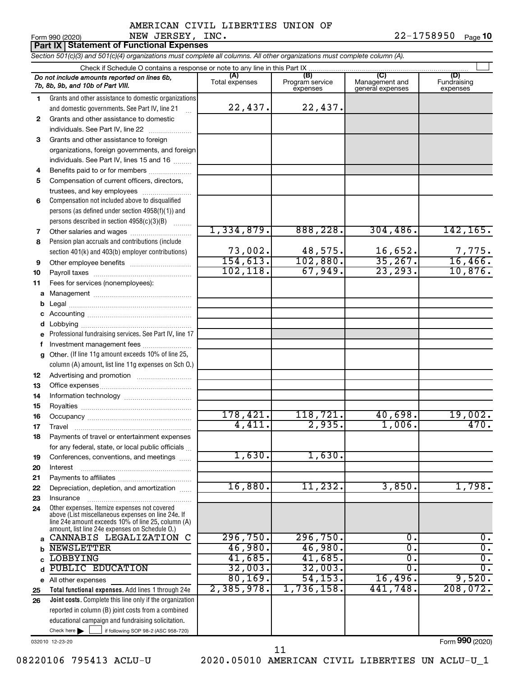## Form 990 (2020) Page NEW JERSEY, INC. 22-1758950 AMERICAN CIVIL LIBERTIES UNION OF

22-1758950 Page 10

**Part IX Statement of Functional Expenses**

*Section 501(c)(3) and 501(c)(4) organizations must complete all columns. All other organizations must complete column (A).*

|          | Do not include amounts reported on lines 6b,<br>7b, 8b, 9b, and 10b of Part VIII.                                                                                                                          | (A)<br>Total expenses | (B)<br>Program service<br>expenses | (C)<br>Management and<br>general expenses | (D)<br>Fundraising<br>expenses |
|----------|------------------------------------------------------------------------------------------------------------------------------------------------------------------------------------------------------------|-----------------------|------------------------------------|-------------------------------------------|--------------------------------|
| 1.       | Grants and other assistance to domestic organizations                                                                                                                                                      |                       |                                    |                                           |                                |
|          | and domestic governments. See Part IV, line 21                                                                                                                                                             | 22,437.               | 22,437.                            |                                           |                                |
| 2        | Grants and other assistance to domestic                                                                                                                                                                    |                       |                                    |                                           |                                |
|          | individuals. See Part IV, line 22                                                                                                                                                                          |                       |                                    |                                           |                                |
| 3        | Grants and other assistance to foreign                                                                                                                                                                     |                       |                                    |                                           |                                |
|          | organizations, foreign governments, and foreign                                                                                                                                                            |                       |                                    |                                           |                                |
|          | individuals. See Part IV, lines 15 and 16                                                                                                                                                                  |                       |                                    |                                           |                                |
| 4        | Benefits paid to or for members                                                                                                                                                                            |                       |                                    |                                           |                                |
| 5        | Compensation of current officers, directors,                                                                                                                                                               |                       |                                    |                                           |                                |
|          | trustees, and key employees                                                                                                                                                                                |                       |                                    |                                           |                                |
| 6        | Compensation not included above to disqualified                                                                                                                                                            |                       |                                    |                                           |                                |
|          | persons (as defined under section 4958(f)(1)) and                                                                                                                                                          |                       |                                    |                                           |                                |
|          | persons described in section 4958(c)(3)(B)                                                                                                                                                                 |                       |                                    |                                           |                                |
| 7        | Other salaries and wages                                                                                                                                                                                   | 1,334,879.            | 888, 228.                          | 304, 486.                                 | 142, 165.                      |
| 8        | Pension plan accruals and contributions (include                                                                                                                                                           |                       |                                    |                                           |                                |
|          | section 401(k) and 403(b) employer contributions)                                                                                                                                                          | 73,002.               | 48,575.                            | 16,652.                                   | 7,775.                         |
| 9        |                                                                                                                                                                                                            | 154, 613.             | 102,880.                           | 35,267.                                   | 16,466.                        |
| 10       |                                                                                                                                                                                                            | 102, 118.             | 67,949.                            | 23, 293.                                  | 10,876.                        |
| 11       | Fees for services (nonemployees):                                                                                                                                                                          |                       |                                    |                                           |                                |
| а        |                                                                                                                                                                                                            |                       |                                    |                                           |                                |
| b        |                                                                                                                                                                                                            |                       |                                    |                                           |                                |
|          |                                                                                                                                                                                                            |                       |                                    |                                           |                                |
| d        |                                                                                                                                                                                                            |                       |                                    |                                           |                                |
|          | Professional fundraising services. See Part IV, line 17                                                                                                                                                    |                       |                                    |                                           |                                |
| f        | Investment management fees                                                                                                                                                                                 |                       |                                    |                                           |                                |
| a        | Other. (If line 11g amount exceeds 10% of line 25,                                                                                                                                                         |                       |                                    |                                           |                                |
|          | column (A) amount, list line 11g expenses on Sch O.)                                                                                                                                                       |                       |                                    |                                           |                                |
| 12       |                                                                                                                                                                                                            |                       |                                    |                                           |                                |
| 13<br>14 |                                                                                                                                                                                                            |                       |                                    |                                           |                                |
| 15       |                                                                                                                                                                                                            |                       |                                    |                                           |                                |
| 16       |                                                                                                                                                                                                            | 178,421.              | 118,721.                           | 40,698.                                   | 19,002.                        |
| 17       | Travel                                                                                                                                                                                                     | 4,411.                | 2,935.                             | 1,006.                                    | 470.                           |
| 18       | Payments of travel or entertainment expenses                                                                                                                                                               |                       |                                    |                                           |                                |
|          | for any federal, state, or local public officials                                                                                                                                                          |                       |                                    |                                           |                                |
| 19       | Conferences, conventions, and meetings                                                                                                                                                                     | 1,630.                | 1,630.                             |                                           |                                |
| 20       | Interest                                                                                                                                                                                                   |                       |                                    |                                           |                                |
| 21       |                                                                                                                                                                                                            |                       |                                    |                                           |                                |
| 22       | Depreciation, depletion, and amortization                                                                                                                                                                  | 16,880.               | 11,232.                            | 3,850.                                    | 1,798.                         |
| 23       | Insurance                                                                                                                                                                                                  |                       |                                    |                                           |                                |
| 24       | Other expenses. Itemize expenses not covered<br>above (List miscellaneous expenses on line 24e. If<br>line 24e amount exceeds 10% of line 25, column (A)<br>amount, list line 24e expenses on Schedule O.) |                       |                                    |                                           |                                |
| a        | CANNABIS LEGALIZATION<br>C                                                                                                                                                                                 | 296,750.              | 296,750.                           | 0.                                        | Ο.                             |
| b        | <b>NEWSLETTER</b>                                                                                                                                                                                          | 46,980.               | 46,980.                            | О.                                        | σ.                             |
| C        | <b>LOBBYING</b>                                                                                                                                                                                            | 41,685.               | 41,685.                            | О.                                        | σ.                             |
| d        | PUBLIC EDUCATION                                                                                                                                                                                           | 32,003.               | 32,003.                            | 0.                                        | Ο.                             |
| е        | All other expenses                                                                                                                                                                                         | 80, 169.              | 54, 153.                           | 16,496.                                   | 9,520.                         |
| 25       | Total functional expenses. Add lines 1 through 24e                                                                                                                                                         | 2,385,978.            | 1,736,158.                         | 441,748                                   | 208,072.                       |
| 26       | Joint costs. Complete this line only if the organization                                                                                                                                                   |                       |                                    |                                           |                                |
|          | reported in column (B) joint costs from a combined                                                                                                                                                         |                       |                                    |                                           |                                |
|          | educational campaign and fundraising solicitation.                                                                                                                                                         |                       |                                    |                                           |                                |
|          | Check here $\blacktriangleright$<br>if following SOP 98-2 (ASC 958-720)                                                                                                                                    |                       |                                    |                                           |                                |

032010 12-23-20

Form (2020) **990**

08220106 795413 ACLU-U 2020.05010 AMERICAN CIVIL LIBERTIES UN ACLU-U\_1 11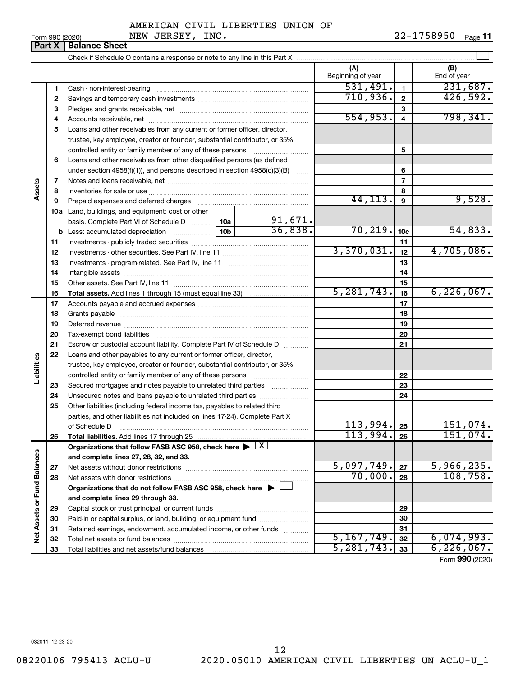|  | Form 990 (2020 |
|--|----------------|
|  |                |

Form 990 (2020) Page NEW JERSEY, INC. 22-1758950 22-1758950 Page 11

|                             | Part X   | <b>Balance Sheet</b>                                                                                   |          |                         |                          |                 |                      |
|-----------------------------|----------|--------------------------------------------------------------------------------------------------------|----------|-------------------------|--------------------------|-----------------|----------------------|
|                             |          |                                                                                                        |          |                         |                          |                 |                      |
|                             |          |                                                                                                        |          |                         | (A)<br>Beginning of year |                 | (B)<br>End of year   |
|                             | 1        |                                                                                                        |          |                         | 531,491.                 | $\mathbf{1}$    | 231,687.             |
|                             | 2        |                                                                                                        | 710,936. | $\overline{2}$          | 426,592.                 |                 |                      |
|                             | З        |                                                                                                        |          |                         | 3                        |                 |                      |
|                             | 4        |                                                                                                        |          |                         | 554,953.                 | $\overline{4}$  | 798, 341.            |
|                             | 5        | Loans and other receivables from any current or former officer, director,                              |          |                         |                          |                 |                      |
|                             |          | trustee, key employee, creator or founder, substantial contributor, or 35%                             |          |                         |                          |                 |                      |
|                             |          | controlled entity or family member of any of these persons                                             |          |                         |                          | 5               |                      |
|                             | 6        | Loans and other receivables from other disqualified persons (as defined                                |          |                         |                          |                 |                      |
|                             |          | under section $4958(f)(1)$ , and persons described in section $4958(c)(3)(B)$                          |          | $\ldots$                |                          | 6               |                      |
|                             | 7        |                                                                                                        |          |                         |                          | $\overline{7}$  |                      |
| Assets                      | 8        |                                                                                                        |          |                         |                          | 8               |                      |
|                             | 9        | Prepaid expenses and deferred charges                                                                  |          |                         | 44, 113.                 | 9               | 9,528.               |
|                             |          | 10a Land, buildings, and equipment: cost or other                                                      |          |                         |                          |                 |                      |
|                             |          | basis. Complete Part VI of Schedule D  10a                                                             |          | $\frac{91,671}{36,838}$ |                          |                 |                      |
|                             |          |                                                                                                        |          |                         | 70, 219.                 | 10 <sub>c</sub> | 54,833.              |
|                             | 11       |                                                                                                        |          |                         |                          | 11              |                      |
|                             | 12       |                                                                                                        |          |                         | 3,370,031.               | 12              | 4,705,086.           |
|                             | 13       |                                                                                                        |          |                         |                          | 13              |                      |
|                             | 14       |                                                                                                        |          | 14                      |                          |                 |                      |
|                             | 15       |                                                                                                        |          |                         |                          | 15              |                      |
|                             | 16       | <b>Total assets.</b> Add lines 1 through 15 (must equal line 33) <i></i>                               |          |                         | 5, 281, 743.             | 16              | 6, 226, 067.         |
|                             | 17       |                                                                                                        |          |                         |                          | 17              |                      |
|                             | 18       |                                                                                                        |          |                         |                          | 18              |                      |
|                             | 19       |                                                                                                        |          |                         |                          | 19              |                      |
|                             | 20       |                                                                                                        |          |                         |                          | 20              |                      |
|                             | 21       | Escrow or custodial account liability. Complete Part IV of Schedule D                                  |          |                         |                          | 21              |                      |
|                             | 22       | Loans and other payables to any current or former officer, director,                                   |          |                         |                          |                 |                      |
|                             |          | trustee, key employee, creator or founder, substantial contributor, or 35%                             |          |                         |                          |                 |                      |
| Liabilities                 |          |                                                                                                        |          |                         |                          | 22              |                      |
|                             | 23       | Secured mortgages and notes payable to unrelated third parties                                         |          |                         |                          | 23              |                      |
|                             | 24       | Unsecured notes and loans payable to unrelated third parties                                           |          |                         |                          | 24              |                      |
|                             | 25       | Other liabilities (including federal income tax, payables to related third                             |          |                         |                          |                 |                      |
|                             |          | parties, and other liabilities not included on lines 17-24). Complete Part X                           |          |                         |                          |                 |                      |
|                             |          | of Schedule D                                                                                          |          |                         | 113,994.<br>113,994.     | 25              | 151,074.<br>151,074. |
|                             | 26       | Total liabilities. Add lines 17 through 25                                                             |          |                         |                          | 26              |                      |
|                             |          | Organizations that follow FASB ASC 958, check here $\blacktriangleright \lfloor \underline{X} \rfloor$ |          |                         |                          |                 |                      |
|                             |          | and complete lines 27, 28, 32, and 33.                                                                 |          |                         | 5,097,749.               |                 | 5,966,235.           |
|                             | 27       | Net assets without donor restrictions                                                                  |          |                         | 70,000.                  | 27              | 108, 758.            |
|                             | 28       |                                                                                                        |          |                         |                          | 28              |                      |
|                             |          | Organizations that do not follow FASB ASC 958, check here $\blacktriangleright$                        |          |                         |                          |                 |                      |
| Net Assets or Fund Balances |          | and complete lines 29 through 33.                                                                      |          |                         |                          |                 |                      |
|                             | 29       |                                                                                                        |          |                         |                          | 29              |                      |
|                             | 30       | Paid-in or capital surplus, or land, building, or equipment fund                                       |          |                         |                          | 30              |                      |
|                             | 31       | Retained earnings, endowment, accumulated income, or other funds                                       |          |                         | 5, 167, 749.             | 31<br>32        | 6,074,993.           |
|                             | 32<br>33 |                                                                                                        |          |                         | 5, 281, 743.             | 33              | 6, 226, 067.         |
|                             |          |                                                                                                        |          |                         |                          |                 |                      |

Form (2020) **990**

032011 12-23-20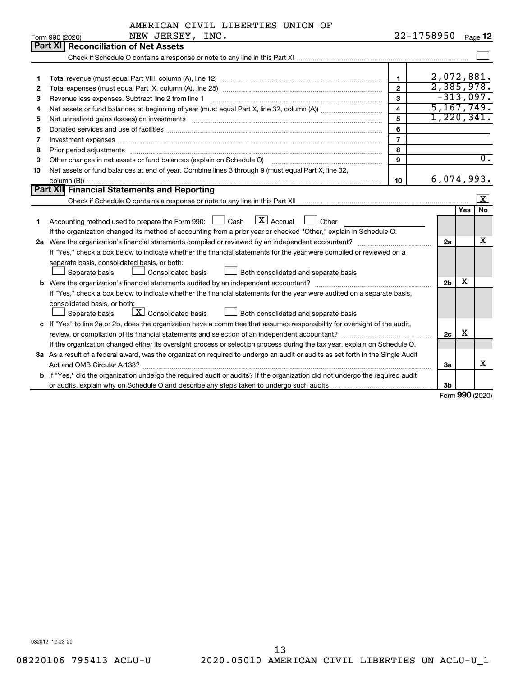|  | AMERICAN CIVIL LIBERTIES UNION OF |  |
|--|-----------------------------------|--|
|  |                                   |  |

|    | NEW JERSEY, INC.<br>Form 990 (2020)                                                                                                                                                                                            |                         | 22-1758950     | Page 12                 |
|----|--------------------------------------------------------------------------------------------------------------------------------------------------------------------------------------------------------------------------------|-------------------------|----------------|-------------------------|
|    | Part XI<br><b>Reconciliation of Net Assets</b>                                                                                                                                                                                 |                         |                |                         |
|    |                                                                                                                                                                                                                                |                         |                |                         |
|    |                                                                                                                                                                                                                                |                         |                |                         |
| 1  |                                                                                                                                                                                                                                | $\mathbf{1}$            |                | 2,072,881.              |
| 2  |                                                                                                                                                                                                                                | $\overline{2}$          |                | 2,385,978.              |
| З  | Revenue less expenses. Subtract line 2 from line 1                                                                                                                                                                             | $\mathbf{3}$            |                | $-313,097.$             |
| 4  |                                                                                                                                                                                                                                | $\overline{\mathbf{4}}$ |                | 5, 167, 749.            |
| 5  | Net unrealized gains (losses) on investments [11] matter than the control of the state of the state of the state of the state of the state of the state of the state of the state of the state of the state of the state of th | 5                       |                | 1,220,341.              |
| 6  |                                                                                                                                                                                                                                | 6                       |                |                         |
| 7  | Investment expenses www.communication.com/www.communication.com/www.communication.com/www.com                                                                                                                                  | $\overline{7}$          |                |                         |
| 8  |                                                                                                                                                                                                                                | 8                       |                |                         |
| 9  | Other changes in net assets or fund balances (explain on Schedule O)                                                                                                                                                           | 9                       |                | $\overline{0}$ .        |
| 10 | Net assets or fund balances at end of year. Combine lines 3 through 9 (must equal Part X, line 32,                                                                                                                             |                         |                |                         |
|    |                                                                                                                                                                                                                                | 10                      |                | 6,074,993.              |
|    | Part XII Financial Statements and Reporting                                                                                                                                                                                    |                         |                |                         |
|    |                                                                                                                                                                                                                                |                         |                | $\overline{\mathbf{x}}$ |
|    |                                                                                                                                                                                                                                |                         |                | <b>No</b><br><b>Yes</b> |
| 1  | $\boxed{\mathbf{X}}$ Accrual $\boxed{\phantom{1}}$ Other<br>Accounting method used to prepare the Form 990: [13] Cash                                                                                                          |                         |                |                         |
|    | If the organization changed its method of accounting from a prior year or checked "Other," explain in Schedule O.                                                                                                              |                         |                |                         |
|    | 2a Were the organization's financial statements compiled or reviewed by an independent accountant?                                                                                                                             |                         | 2a             | x                       |
|    | If "Yes," check a box below to indicate whether the financial statements for the year were compiled or reviewed on a                                                                                                           |                         |                |                         |
|    | separate basis, consolidated basis, or both:                                                                                                                                                                                   |                         |                |                         |
|    | Both consolidated and separate basis<br>Separate basis<br>Consolidated basis                                                                                                                                                   |                         |                |                         |
|    |                                                                                                                                                                                                                                |                         | 2 <sub>b</sub> | X                       |
|    | If "Yes," check a box below to indicate whether the financial statements for the year were audited on a separate basis,                                                                                                        |                         |                |                         |
|    | consolidated basis, or both:                                                                                                                                                                                                   |                         |                |                         |
|    | $\lfloor x \rfloor$ Consolidated basis<br>Separate basis<br>Both consolidated and separate basis                                                                                                                               |                         |                |                         |
|    | c If "Yes" to line 2a or 2b, does the organization have a committee that assumes responsibility for oversight of the audit,                                                                                                    |                         |                |                         |
|    | review, or compilation of its financial statements and selection of an independent accountant?                                                                                                                                 |                         | 2c             | х                       |
|    | If the organization changed either its oversight process or selection process during the tax year, explain on Schedule O.                                                                                                      |                         |                |                         |
|    | 3a As a result of a federal award, was the organization required to undergo an audit or audits as set forth in the Single Audit                                                                                                |                         |                |                         |
|    |                                                                                                                                                                                                                                |                         | За             | X                       |
|    | b If "Yes," did the organization undergo the required audit or audits? If the organization did not undergo the required audit                                                                                                  |                         |                |                         |
|    |                                                                                                                                                                                                                                |                         | 3b             |                         |

Form (2020) **990**

032012 12-23-20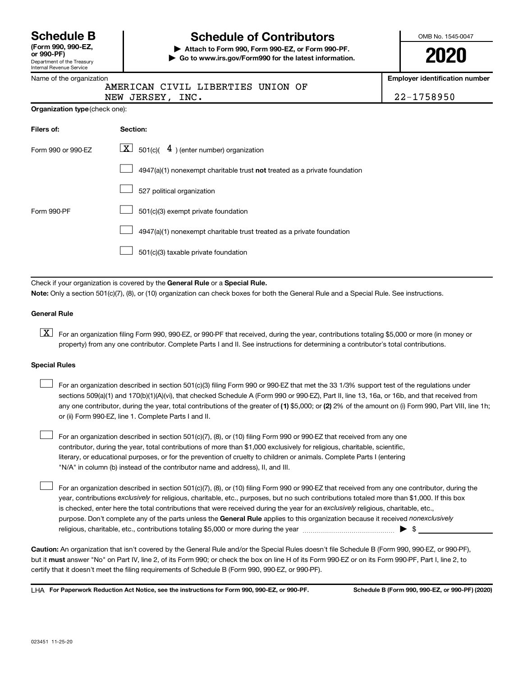| <b>Schedule B</b>            |  |
|------------------------------|--|
| $I_{\rm Form}$ 000 000 $E$ 7 |  |

#### Department of the Treasury Internal Revenue Service **(Form 990, 990-EZ,**

## Name of the organization

# **Schedule of Contributors**

**or 990-PF) | Attach to Form 990, Form 990-EZ, or Form 990-PF. | Go to www.irs.gov/Form990 for the latest information.** OMB No. 1545-0047

**2020**

**Employer identification number**

|                  | AMERICAN CIVIL LIBERTIES UNION OF |            |
|------------------|-----------------------------------|------------|
| NEW JERSEY, INC. |                                   | 22-1758950 |

| Filers of:         | Section:                                                                  |
|--------------------|---------------------------------------------------------------------------|
| Form 990 or 990-EZ | $\lfloor \underline{X} \rfloor$ 501(c)( $4$ ) (enter number) organization |
|                    | 4947(a)(1) nonexempt charitable trust not treated as a private foundation |
|                    | 527 political organization                                                |
| Form 990-PF        | 501(c)(3) exempt private foundation                                       |
|                    | 4947(a)(1) nonexempt charitable trust treated as a private foundation     |
|                    | 501(c)(3) taxable private foundation                                      |

Check if your organization is covered by the General Rule or a Special Rule.

**Note:**  Only a section 501(c)(7), (8), or (10) organization can check boxes for both the General Rule and a Special Rule. See instructions.

### **General Rule**

**K** For an organization filing Form 990, 990-EZ, or 990-PF that received, during the year, contributions totaling \$5,000 or more (in money or property) from any one contributor. Complete Parts I and II. See instructions for determining a contributor's total contributions.

#### **Special Rules**

 $\Box$ 

any one contributor, during the year, total contributions of the greater of (1) \$5,000; or (2) 2% of the amount on (i) Form 990, Part VIII, line 1h; For an organization described in section 501(c)(3) filing Form 990 or 990-EZ that met the 33 1/3% support test of the regulations under sections 509(a)(1) and 170(b)(1)(A)(vi), that checked Schedule A (Form 990 or 990-EZ), Part II, line 13, 16a, or 16b, and that received from or (ii) Form 990-EZ, line 1. Complete Parts I and II.  $\Box$ 

For an organization described in section 501(c)(7), (8), or (10) filing Form 990 or 990-EZ that received from any one contributor, during the year, total contributions of more than \$1,000 exclusively for religious, charitable, scientific, literary, or educational purposes, or for the prevention of cruelty to children or animals. Complete Parts I (entering "N/A" in column (b) instead of the contributor name and address), II, and III.  $\Box$ 

purpose. Don't complete any of the parts unless the General Rule applies to this organization because it received nonexclusively year, contributions exclusively for religious, charitable, etc., purposes, but no such contributions totaled more than \$1,000. If this box is checked, enter here the total contributions that were received during the year for an exclusively religious, charitable, etc., For an organization described in section 501(c)(7), (8), or (10) filing Form 990 or 990-EZ that received from any one contributor, during the religious, charitable, etc., contributions totaling \$5,000 or more during the year  $~\ldots\ldots\ldots\ldots\ldots\ldots\ldots\ldots\blacktriangleright~$ \$

**Caution:**  An organization that isn't covered by the General Rule and/or the Special Rules doesn't file Schedule B (Form 990, 990-EZ, or 990-PF),  **must** but it answer "No" on Part IV, line 2, of its Form 990; or check the box on line H of its Form 990-EZ or on its Form 990-PF, Part I, line 2, to certify that it doesn't meet the filing requirements of Schedule B (Form 990, 990-EZ, or 990-PF).

**For Paperwork Reduction Act Notice, see the instructions for Form 990, 990-EZ, or 990-PF. Schedule B (Form 990, 990-EZ, or 990-PF) (2020)** LHA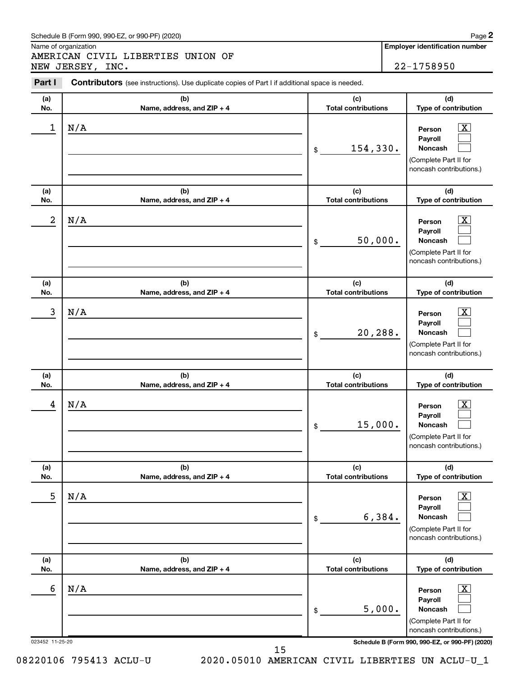#### Schedule B (Form 990, 990-EZ, or 990-PF) (2020)

Name of organization

AMERICAN CIVIL LIBERTIES UNION OF NEW JERSEY, INC. 22-1758950

**Employer identification number**

| Part I<br><b>Contributors</b> (see instructions). Use duplicate copies of Part I if additional space is needed. |                                   |                                   |                                                                                                                    |  |  |  |
|-----------------------------------------------------------------------------------------------------------------|-----------------------------------|-----------------------------------|--------------------------------------------------------------------------------------------------------------------|--|--|--|
| (a)<br>No.                                                                                                      | (b)<br>Name, address, and ZIP + 4 | (c)<br><b>Total contributions</b> | (d)<br>Type of contribution                                                                                        |  |  |  |
| 1                                                                                                               | N/A                               | 154,330.<br>\$                    | $\mathbf{X}$<br>Person<br>Pavroll<br><b>Noncash</b><br>(Complete Part II for<br>noncash contributions.)            |  |  |  |
| (a)<br>No.                                                                                                      | (b)<br>Name, address, and ZIP + 4 | (c)<br><b>Total contributions</b> | (d)<br>Type of contribution                                                                                        |  |  |  |
| 2                                                                                                               | N/A                               | 50,000.<br>\$                     | $\overline{\mathbf{X}}$<br>Person<br>Payroll<br><b>Noncash</b><br>(Complete Part II for<br>noncash contributions.) |  |  |  |
| (a)<br>No.                                                                                                      | (b)<br>Name, address, and ZIP + 4 | (c)<br><b>Total contributions</b> | (d)<br>Type of contribution                                                                                        |  |  |  |
| 3                                                                                                               | N/A                               | 20,288.<br>\$                     | $\mathbf{X}$<br>Person<br>Payroll<br><b>Noncash</b><br>(Complete Part II for<br>noncash contributions.)            |  |  |  |
| (a)<br>No.                                                                                                      | (b)<br>Name, address, and ZIP + 4 | (c)<br><b>Total contributions</b> | (d)<br>Type of contribution                                                                                        |  |  |  |
| 4                                                                                                               | N/A                               | 15,000.<br>\$                     | $\overline{\mathbf{X}}$<br>Person<br>Payroll<br><b>Noncash</b><br>(Complete Part II for<br>noncash contributions.) |  |  |  |
| (a)<br>No.                                                                                                      | (b)<br>Name, address, and ZIP + 4 | (c)<br><b>Total contributions</b> | (d)<br>Type of contribution                                                                                        |  |  |  |
| 5                                                                                                               | N/A                               | 6,384.<br>\$                      | $\overline{\mathbf{X}}$<br>Person<br>Payroll<br><b>Noncash</b><br>(Complete Part II for<br>noncash contributions.) |  |  |  |
| (a)<br>No.                                                                                                      | (b)<br>Name, address, and ZIP + 4 | (c)<br><b>Total contributions</b> | (d)<br>Type of contribution                                                                                        |  |  |  |
| 6                                                                                                               | N/A                               | 5,000.<br>\$                      | $\overline{\mathbf{X}}$<br>Person<br>Payroll<br><b>Noncash</b><br>(Complete Part II for<br>noncash contributions.) |  |  |  |
| 023452 11-25-20                                                                                                 |                                   |                                   | Schedule B (Form 990, 990-EZ, or 990-PF) (2020)                                                                    |  |  |  |

15

08220106 795413 ACLU-U 2020.05010 AMERICAN CIVIL LIBERTIES UN ACLU-U\_1

**2**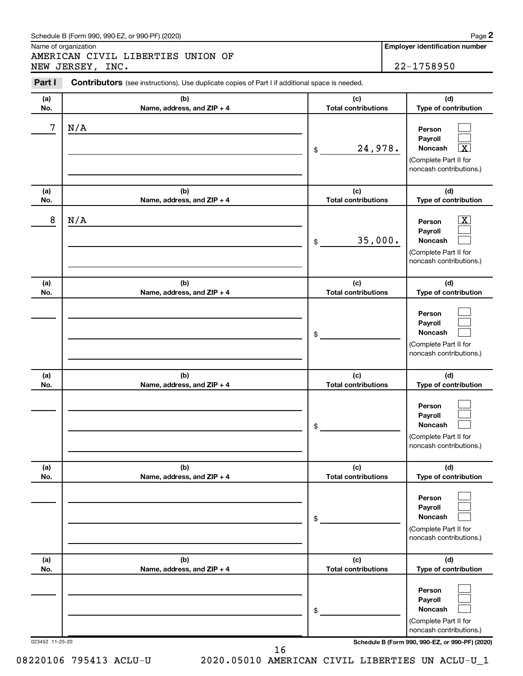#### Schedule B (Form 990, 990-EZ, or 990-PF) (2020)

Name of organization

AMERICAN CIVIL LIBERTIES UNION OF NEW JERSEY, INC. 22-1758950 **2**

| Part I          | <b>Contributors</b> (see instructions). Use duplicate copies of Part I if additional space is needed. |                                   |                                                                                                                                            |  |  |  |  |  |
|-----------------|-------------------------------------------------------------------------------------------------------|-----------------------------------|--------------------------------------------------------------------------------------------------------------------------------------------|--|--|--|--|--|
| (a)<br>No.      | (b)<br>Name, address, and ZIP + 4                                                                     | (c)<br><b>Total contributions</b> | (d)<br>Type of contribution                                                                                                                |  |  |  |  |  |
| 7               | N/A                                                                                                   | 24,978.<br>\$                     | Person<br>Payroll<br>Noncash<br>$\overline{\mathbf{X}}$<br>(Complete Part II for<br>noncash contributions.)                                |  |  |  |  |  |
| (a)<br>No.      | (b)<br>Name, address, and ZIP + 4                                                                     | (c)<br><b>Total contributions</b> | (d)<br>Type of contribution                                                                                                                |  |  |  |  |  |
| 8               | N/A                                                                                                   | 35,000.<br>\$                     | $\boxed{\text{X}}$<br>Person<br>Payroll<br>Noncash<br>(Complete Part II for<br>noncash contributions.)                                     |  |  |  |  |  |
| (a)<br>No.      | (b)<br>Name, address, and ZIP + 4                                                                     | (c)<br><b>Total contributions</b> | (d)<br>Type of contribution                                                                                                                |  |  |  |  |  |
|                 |                                                                                                       | \$                                | Person<br>Payroll<br>Noncash<br>(Complete Part II for<br>noncash contributions.)                                                           |  |  |  |  |  |
| (a)<br>No.      | (b)<br>Name, address, and ZIP + 4                                                                     | (c)<br><b>Total contributions</b> | (d)<br>Type of contribution                                                                                                                |  |  |  |  |  |
|                 |                                                                                                       | \$                                | Person<br>Payroll<br>Noncash<br>(Complete Part II for<br>noncash contributions.)                                                           |  |  |  |  |  |
| (a)<br>No.      | (b)<br>Name, address, and ZIP + 4                                                                     | (c)<br><b>Total contributions</b> | (d)<br>Type of contribution                                                                                                                |  |  |  |  |  |
|                 |                                                                                                       | \$                                | Person<br>Payroll<br>Noncash<br>(Complete Part II for<br>noncash contributions.)                                                           |  |  |  |  |  |
| (a)<br>No.      | (b)<br>Name, address, and ZIP + 4                                                                     | (c)<br><b>Total contributions</b> | (d)<br>Type of contribution                                                                                                                |  |  |  |  |  |
| 023452 11-25-20 |                                                                                                       | \$                                | Person<br>Payroll<br><b>Noncash</b><br>(Complete Part II for<br>noncash contributions.)<br>Schedule B (Form 990, 990-EZ, or 990-PF) (2020) |  |  |  |  |  |

16

08220106 795413 ACLU-U 2020.05010 AMERICAN CIVIL LIBERTIES UN ACLU-U\_1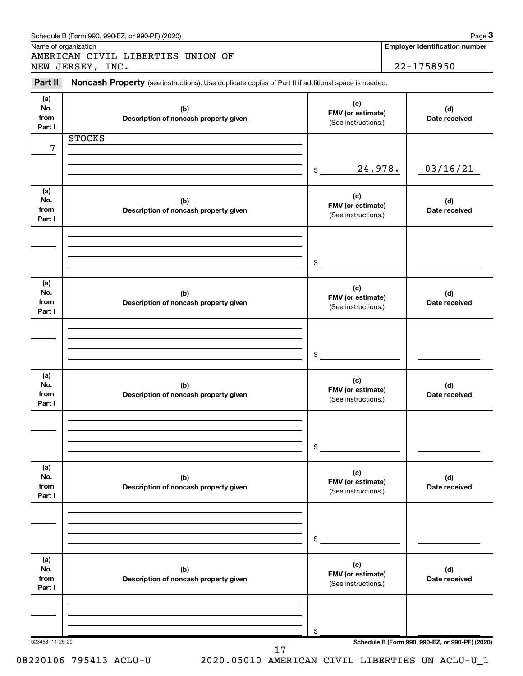|                              | Schedule B (Form 990, 990-EZ, or 990-PF) (2020)<br>Name of organization                             |                                                 |         | Page 3<br><b>Employer identification number</b> |
|------------------------------|-----------------------------------------------------------------------------------------------------|-------------------------------------------------|---------|-------------------------------------------------|
|                              | AMERICAN CIVIL LIBERTIES UNION OF                                                                   |                                                 |         |                                                 |
|                              | NEW JERSEY, INC.                                                                                    |                                                 |         | 22-1758950                                      |
| Part II                      | Noncash Property (see instructions). Use duplicate copies of Part II if additional space is needed. |                                                 |         |                                                 |
| (a)<br>No.<br>from<br>Part I | (b)<br>Description of noncash property given                                                        | (c)<br>FMV (or estimate)<br>(See instructions.) |         | (d)<br>Date received                            |
|                              | <b>STOCKS</b>                                                                                       |                                                 |         |                                                 |
| 7                            |                                                                                                     |                                                 |         |                                                 |
|                              |                                                                                                     | \$                                              | 24,978. | 03/16/21                                        |
| (a)<br>No.<br>from<br>Part I | (b)<br>Description of noncash property given                                                        | (c)<br>FMV (or estimate)<br>(See instructions.) |         | (d)<br>Date received                            |
|                              |                                                                                                     |                                                 |         |                                                 |
|                              |                                                                                                     | $\mathfrak s$                                   |         |                                                 |
| (a)<br>No.<br>from<br>Part I | (b)<br>Description of noncash property given                                                        | (c)<br>FMV (or estimate)<br>(See instructions.) |         | (d)<br>Date received                            |
|                              |                                                                                                     |                                                 |         |                                                 |
|                              |                                                                                                     | $\frac{1}{2}$                                   |         |                                                 |
| (a)<br>No.<br>from<br>Part I | (b)<br>Description of noncash property given                                                        | (c)<br>FMV (or estimate)<br>(See instructions.) |         | (d)<br>Date received                            |
|                              |                                                                                                     |                                                 |         |                                                 |
|                              |                                                                                                     | \$                                              |         |                                                 |
| (a)<br>No.<br>from<br>Part I | (b)<br>Description of noncash property given                                                        | (c)<br>FMV (or estimate)<br>(See instructions.) |         | (d)<br>Date received                            |
|                              |                                                                                                     |                                                 |         |                                                 |
|                              |                                                                                                     | \$                                              |         |                                                 |
| (a)<br>No.<br>from<br>Part I | (b)<br>Description of noncash property given                                                        | (c)<br>FMV (or estimate)<br>(See instructions.) |         | (d)<br>Date received                            |
|                              |                                                                                                     |                                                 |         |                                                 |
|                              |                                                                                                     | \$                                              |         |                                                 |
| 023453 11-25-20              | 17                                                                                                  |                                                 |         | Schedule B (Form 990, 990-EZ, or 990-PF) (2020) |

<sup>08220106 795413</sup> ACLU-U 2020.05010 AMERICAN CIVIL LIBERTIES UN ACLU-U\_1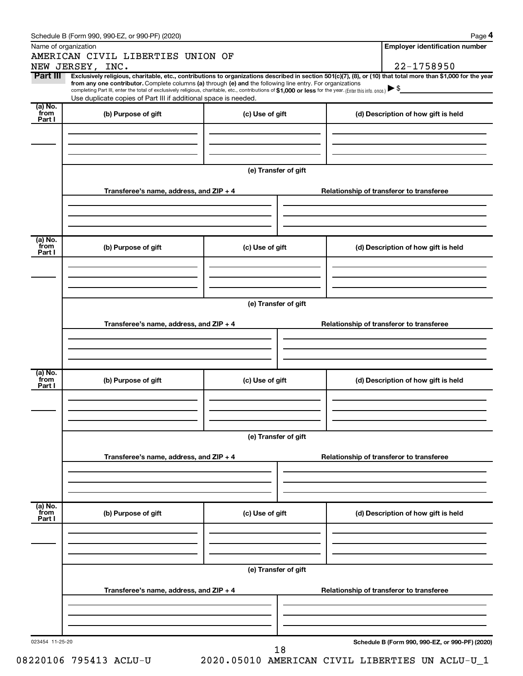|                 | Schedule B (Form 990, 990-EZ, or 990-PF) (2020)                                                                                                                                                                                                                                            |                      | Page 4                                                                                                                                                                       |  |  |  |  |
|-----------------|--------------------------------------------------------------------------------------------------------------------------------------------------------------------------------------------------------------------------------------------------------------------------------------------|----------------------|------------------------------------------------------------------------------------------------------------------------------------------------------------------------------|--|--|--|--|
|                 | Name of organization                                                                                                                                                                                                                                                                       |                      | <b>Employer identification number</b>                                                                                                                                        |  |  |  |  |
|                 | AMERICAN CIVIL LIBERTIES UNION OF                                                                                                                                                                                                                                                          |                      |                                                                                                                                                                              |  |  |  |  |
| Part III        | NEW JERSEY, INC.<br>from any one contributor. Complete columns (a) through (e) and the following line entry. For organizations<br>completing Part III, enter the total of exclusively religious, charitable, etc., contributions of \$1,000 or less for the year. (Enter this info. once.) |                      | 22-1758950<br>Exclusively religious, charitable, etc., contributions to organizations described in section 501(c)(7), (8), or (10) that total more than \$1,000 for the year |  |  |  |  |
| (a) No.         | Use duplicate copies of Part III if additional space is needed.                                                                                                                                                                                                                            |                      |                                                                                                                                                                              |  |  |  |  |
| from<br>Part I  | (b) Purpose of gift                                                                                                                                                                                                                                                                        | (c) Use of gift      | (d) Description of how gift is held                                                                                                                                          |  |  |  |  |
|                 |                                                                                                                                                                                                                                                                                            | (e) Transfer of gift |                                                                                                                                                                              |  |  |  |  |
|                 | Transferee's name, address, and ZIP + 4                                                                                                                                                                                                                                                    |                      | Relationship of transferor to transferee                                                                                                                                     |  |  |  |  |
| (a) No.<br>from | (b) Purpose of gift                                                                                                                                                                                                                                                                        | (c) Use of gift      | (d) Description of how gift is held                                                                                                                                          |  |  |  |  |
| Part I          |                                                                                                                                                                                                                                                                                            |                      |                                                                                                                                                                              |  |  |  |  |
|                 |                                                                                                                                                                                                                                                                                            | (e) Transfer of gift |                                                                                                                                                                              |  |  |  |  |
|                 | Transferee's name, address, and ZIP + 4                                                                                                                                                                                                                                                    |                      | Relationship of transferor to transferee                                                                                                                                     |  |  |  |  |
| (a) No.         |                                                                                                                                                                                                                                                                                            |                      |                                                                                                                                                                              |  |  |  |  |
| from<br>Part I  | (b) Purpose of gift                                                                                                                                                                                                                                                                        | (c) Use of gift      | (d) Description of how gift is held                                                                                                                                          |  |  |  |  |
|                 |                                                                                                                                                                                                                                                                                            |                      |                                                                                                                                                                              |  |  |  |  |
|                 |                                                                                                                                                                                                                                                                                            | (e) Transfer of gift |                                                                                                                                                                              |  |  |  |  |
|                 | Transferee's name, address, and ZIP + 4                                                                                                                                                                                                                                                    |                      | Relationship of transferor to transferee                                                                                                                                     |  |  |  |  |
| (a) No.         |                                                                                                                                                                                                                                                                                            |                      |                                                                                                                                                                              |  |  |  |  |
| from<br>Part I  | (b) Purpose of gift                                                                                                                                                                                                                                                                        | (c) Use of gift      | (d) Description of how gift is held                                                                                                                                          |  |  |  |  |
|                 |                                                                                                                                                                                                                                                                                            |                      |                                                                                                                                                                              |  |  |  |  |
|                 | (e) Transfer of gift                                                                                                                                                                                                                                                                       |                      |                                                                                                                                                                              |  |  |  |  |
|                 | Transferee's name, address, and ZIP + 4                                                                                                                                                                                                                                                    |                      | Relationship of transferor to transferee                                                                                                                                     |  |  |  |  |
|                 |                                                                                                                                                                                                                                                                                            |                      |                                                                                                                                                                              |  |  |  |  |
| 023454 11-25-20 |                                                                                                                                                                                                                                                                                            | 18                   | Schedule B (Form 990, 990-EZ, or 990-PF) (2020)                                                                                                                              |  |  |  |  |

08220106 795413 ACLU-U 2020.05010 AMERICAN CIVIL LIBERTIES UN ACLU-U\_1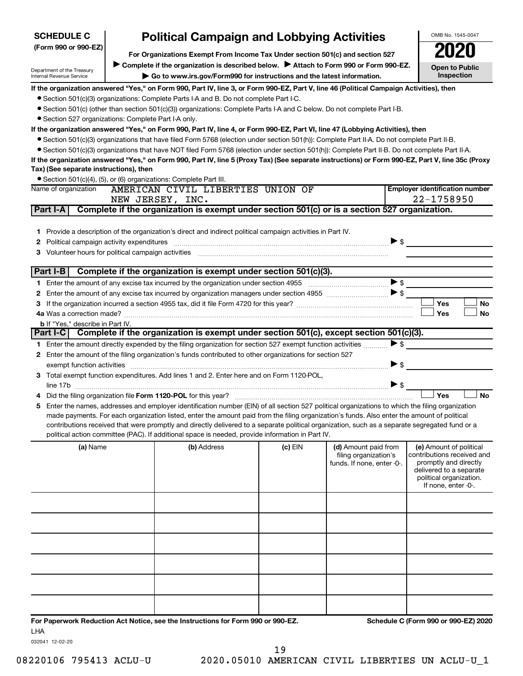| <b>SCHEDULE C</b>                                                                                     | <b>Political Campaign and Lobbying Activities</b>                                                                                                                                                                                                                                              |                                                                                                                                                                                                                                                    |           |                                               |                          | OMB No. 1545-0047                                     |  |  |  |  |
|-------------------------------------------------------------------------------------------------------|------------------------------------------------------------------------------------------------------------------------------------------------------------------------------------------------------------------------------------------------------------------------------------------------|----------------------------------------------------------------------------------------------------------------------------------------------------------------------------------------------------------------------------------------------------|-----------|-----------------------------------------------|--------------------------|-------------------------------------------------------|--|--|--|--|
| (Form 990 or 990-EZ)<br>For Organizations Exempt From Income Tax Under section 501(c) and section 527 |                                                                                                                                                                                                                                                                                                |                                                                                                                                                                                                                                                    |           |                                               |                          |                                                       |  |  |  |  |
| Department of the Treasury                                                                            |                                                                                                                                                                                                                                                                                                | Complete if the organization is described below. > Attach to Form 990 or Form 990-EZ.                                                                                                                                                              |           |                                               |                          | <b>Open to Public</b>                                 |  |  |  |  |
| Internal Revenue Service                                                                              |                                                                                                                                                                                                                                                                                                | Go to www.irs.gov/Form990 for instructions and the latest information.                                                                                                                                                                             |           |                                               |                          | Inspection                                            |  |  |  |  |
|                                                                                                       |                                                                                                                                                                                                                                                                                                | If the organization answered "Yes," on Form 990, Part IV, line 3, or Form 990-EZ, Part V, line 46 (Political Campaign Activities), then                                                                                                            |           |                                               |                          |                                                       |  |  |  |  |
|                                                                                                       |                                                                                                                                                                                                                                                                                                | • Section 501(c)(3) organizations: Complete Parts I-A and B. Do not complete Part I-C.                                                                                                                                                             |           |                                               |                          |                                                       |  |  |  |  |
|                                                                                                       |                                                                                                                                                                                                                                                                                                | • Section 501(c) (other than section 501(c)(3)) organizations: Complete Parts I-A and C below. Do not complete Part I-B.                                                                                                                           |           |                                               |                          |                                                       |  |  |  |  |
| • Section 527 organizations: Complete Part I-A only.                                                  |                                                                                                                                                                                                                                                                                                |                                                                                                                                                                                                                                                    |           |                                               |                          |                                                       |  |  |  |  |
|                                                                                                       |                                                                                                                                                                                                                                                                                                | If the organization answered "Yes," on Form 990, Part IV, line 4, or Form 990-EZ, Part VI, line 47 (Lobbying Activities), then                                                                                                                     |           |                                               |                          |                                                       |  |  |  |  |
|                                                                                                       | ● Section 501(c)(3) organizations that have filed Form 5768 (election under section 501(h)): Complete Part II-A. Do not complete Part II-B.<br>• Section 501(c)(3) organizations that have NOT filed Form 5768 (election under section 501(h)): Complete Part II-B. Do not complete Part II-A. |                                                                                                                                                                                                                                                    |           |                                               |                          |                                                       |  |  |  |  |
|                                                                                                       |                                                                                                                                                                                                                                                                                                | If the organization answered "Yes," on Form 990, Part IV, line 5 (Proxy Tax) (See separate instructions) or Form 990-EZ, Part V, line 35c (Proxy                                                                                                   |           |                                               |                          |                                                       |  |  |  |  |
| Tax) (See separate instructions), then                                                                |                                                                                                                                                                                                                                                                                                |                                                                                                                                                                                                                                                    |           |                                               |                          |                                                       |  |  |  |  |
|                                                                                                       |                                                                                                                                                                                                                                                                                                | • Section 501(c)(4), (5), or (6) organizations: Complete Part III.                                                                                                                                                                                 |           |                                               |                          |                                                       |  |  |  |  |
| Name of organization                                                                                  |                                                                                                                                                                                                                                                                                                | AMERICAN CIVIL LIBERTIES UNION OF                                                                                                                                                                                                                  |           |                                               |                          | <b>Employer identification number</b>                 |  |  |  |  |
|                                                                                                       |                                                                                                                                                                                                                                                                                                | NEW JERSEY, INC.                                                                                                                                                                                                                                   |           |                                               |                          | 22-1758950                                            |  |  |  |  |
| Part I-A                                                                                              |                                                                                                                                                                                                                                                                                                | Complete if the organization is exempt under section 501(c) or is a section 527 organization.                                                                                                                                                      |           |                                               |                          |                                                       |  |  |  |  |
|                                                                                                       |                                                                                                                                                                                                                                                                                                |                                                                                                                                                                                                                                                    |           |                                               |                          |                                                       |  |  |  |  |
|                                                                                                       |                                                                                                                                                                                                                                                                                                | 1 Provide a description of the organization's direct and indirect political campaign activities in Part IV.                                                                                                                                        |           |                                               |                          |                                                       |  |  |  |  |
| 2                                                                                                     |                                                                                                                                                                                                                                                                                                | Political campaign activity expenditures [111] matter continuum matter of the contract campaign activity expenditures [11] matter continuum matter contract contract contract contract contract contract contract contract con                     |           |                                               | $\triangleright$ \$      |                                                       |  |  |  |  |
| Volunteer hours for political campaign activities<br>З                                                |                                                                                                                                                                                                                                                                                                |                                                                                                                                                                                                                                                    |           |                                               |                          |                                                       |  |  |  |  |
| <b>Part I-B</b>                                                                                       |                                                                                                                                                                                                                                                                                                |                                                                                                                                                                                                                                                    |           |                                               |                          |                                                       |  |  |  |  |
|                                                                                                       |                                                                                                                                                                                                                                                                                                | Complete if the organization is exempt under section 501(c)(3).                                                                                                                                                                                    |           |                                               |                          |                                                       |  |  |  |  |
|                                                                                                       |                                                                                                                                                                                                                                                                                                |                                                                                                                                                                                                                                                    |           |                                               | >                        |                                                       |  |  |  |  |
| 2                                                                                                     |                                                                                                                                                                                                                                                                                                |                                                                                                                                                                                                                                                    |           |                                               |                          | Yes<br><b>No</b>                                      |  |  |  |  |
|                                                                                                       |                                                                                                                                                                                                                                                                                                |                                                                                                                                                                                                                                                    |           |                                               |                          | Yes<br>No                                             |  |  |  |  |
| <b>b</b> If "Yes," describe in Part IV.                                                               |                                                                                                                                                                                                                                                                                                |                                                                                                                                                                                                                                                    |           |                                               |                          |                                                       |  |  |  |  |
|                                                                                                       |                                                                                                                                                                                                                                                                                                | Part I-C Complete if the organization is exempt under section 501(c), except section 501(c)(3).                                                                                                                                                    |           |                                               |                          |                                                       |  |  |  |  |
|                                                                                                       |                                                                                                                                                                                                                                                                                                | 1 Enter the amount directly expended by the filing organization for section 527 exempt function activities                                                                                                                                         |           |                                               | $\blacktriangleright$ \$ |                                                       |  |  |  |  |
|                                                                                                       |                                                                                                                                                                                                                                                                                                | 2 Enter the amount of the filing organization's funds contributed to other organizations for section 527                                                                                                                                           |           |                                               |                          |                                                       |  |  |  |  |
| exempt function activities                                                                            |                                                                                                                                                                                                                                                                                                |                                                                                                                                                                                                                                                    |           |                                               | ▶ \$                     |                                                       |  |  |  |  |
|                                                                                                       |                                                                                                                                                                                                                                                                                                | 3 Total exempt function expenditures. Add lines 1 and 2. Enter here and on Form 1120-POL,                                                                                                                                                          |           |                                               |                          |                                                       |  |  |  |  |
|                                                                                                       |                                                                                                                                                                                                                                                                                                |                                                                                                                                                                                                                                                    |           |                                               |                          |                                                       |  |  |  |  |
|                                                                                                       |                                                                                                                                                                                                                                                                                                | Did the filing organization file Form 1120-POL for this year?                                                                                                                                                                                      |           |                                               |                          | <b>No</b><br>Yes                                      |  |  |  |  |
|                                                                                                       |                                                                                                                                                                                                                                                                                                | 5 Enter the names, addresses and employer identification number (EIN) of all section 527 political organizations to which the filing organization                                                                                                  |           |                                               |                          |                                                       |  |  |  |  |
|                                                                                                       |                                                                                                                                                                                                                                                                                                | made payments. For each organization listed, enter the amount paid from the filing organization's funds. Also enter the amount of political                                                                                                        |           |                                               |                          |                                                       |  |  |  |  |
|                                                                                                       |                                                                                                                                                                                                                                                                                                | contributions received that were promptly and directly delivered to a separate political organization, such as a separate segregated fund or a<br>political action committee (PAC). If additional space is needed, provide information in Part IV. |           |                                               |                          |                                                       |  |  |  |  |
|                                                                                                       |                                                                                                                                                                                                                                                                                                |                                                                                                                                                                                                                                                    |           |                                               |                          |                                                       |  |  |  |  |
| (a) Name                                                                                              |                                                                                                                                                                                                                                                                                                | (b) Address                                                                                                                                                                                                                                        | $(c)$ EIN | (d) Amount paid from<br>filing organization's |                          | (e) Amount of political<br>contributions received and |  |  |  |  |
|                                                                                                       |                                                                                                                                                                                                                                                                                                |                                                                                                                                                                                                                                                    |           | funds. If none, enter -0-.                    |                          | promptly and directly                                 |  |  |  |  |
|                                                                                                       |                                                                                                                                                                                                                                                                                                |                                                                                                                                                                                                                                                    |           |                                               |                          | delivered to a separate<br>political organization.    |  |  |  |  |
|                                                                                                       |                                                                                                                                                                                                                                                                                                |                                                                                                                                                                                                                                                    |           |                                               |                          | If none, enter -0-.                                   |  |  |  |  |
|                                                                                                       |                                                                                                                                                                                                                                                                                                |                                                                                                                                                                                                                                                    |           |                                               |                          |                                                       |  |  |  |  |
|                                                                                                       |                                                                                                                                                                                                                                                                                                |                                                                                                                                                                                                                                                    |           |                                               |                          |                                                       |  |  |  |  |
|                                                                                                       |                                                                                                                                                                                                                                                                                                |                                                                                                                                                                                                                                                    |           |                                               |                          |                                                       |  |  |  |  |
|                                                                                                       |                                                                                                                                                                                                                                                                                                |                                                                                                                                                                                                                                                    |           |                                               |                          |                                                       |  |  |  |  |
|                                                                                                       |                                                                                                                                                                                                                                                                                                |                                                                                                                                                                                                                                                    |           |                                               |                          |                                                       |  |  |  |  |
|                                                                                                       |                                                                                                                                                                                                                                                                                                |                                                                                                                                                                                                                                                    |           |                                               |                          |                                                       |  |  |  |  |
|                                                                                                       |                                                                                                                                                                                                                                                                                                |                                                                                                                                                                                                                                                    |           |                                               |                          |                                                       |  |  |  |  |
|                                                                                                       |                                                                                                                                                                                                                                                                                                |                                                                                                                                                                                                                                                    |           |                                               |                          |                                                       |  |  |  |  |
|                                                                                                       |                                                                                                                                                                                                                                                                                                |                                                                                                                                                                                                                                                    |           |                                               |                          |                                                       |  |  |  |  |
|                                                                                                       |                                                                                                                                                                                                                                                                                                |                                                                                                                                                                                                                                                    |           |                                               |                          |                                                       |  |  |  |  |
|                                                                                                       |                                                                                                                                                                                                                                                                                                |                                                                                                                                                                                                                                                    |           |                                               |                          |                                                       |  |  |  |  |
|                                                                                                       |                                                                                                                                                                                                                                                                                                |                                                                                                                                                                                                                                                    |           |                                               |                          |                                                       |  |  |  |  |

**For Paperwork Reduction Act Notice, see the Instructions for Form 990 or 990-EZ. Schedule C (Form 990 or 990-EZ) 2020** LHA

032041 12-02-20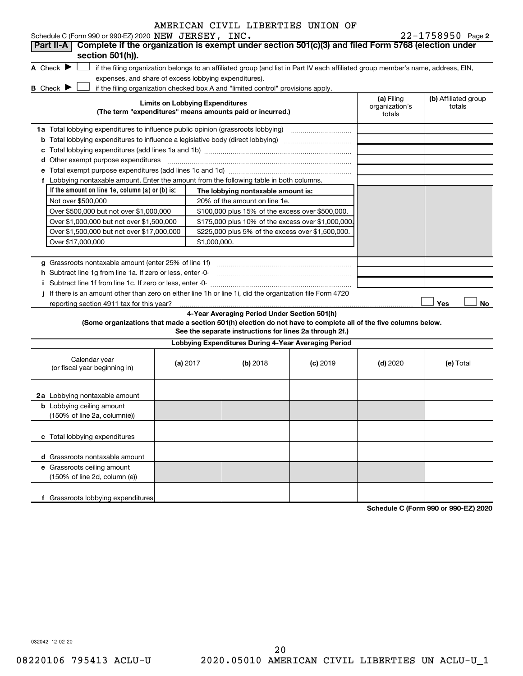| AMERICAN CIVIL LIBERTIES UNION OF |  |  |
|-----------------------------------|--|--|
|-----------------------------------|--|--|

22-1758950 Page 2

| Schedule C (Form 990 or 990-EZ) 2020 NEW JERSEY, INC.                                                                                                                    |                                                                                                                                   |                                                                                  |            |                              | $22 - 1758950$ Page 2                |  |  |  |
|--------------------------------------------------------------------------------------------------------------------------------------------------------------------------|-----------------------------------------------------------------------------------------------------------------------------------|----------------------------------------------------------------------------------|------------|------------------------------|--------------------------------------|--|--|--|
| Complete if the organization is exempt under section 501(c)(3) and filed Form 5768 (election under<br>Part II-A                                                          |                                                                                                                                   |                                                                                  |            |                              |                                      |  |  |  |
| section 501(h)).                                                                                                                                                         |                                                                                                                                   |                                                                                  |            |                              |                                      |  |  |  |
| A Check $\blacktriangleright$                                                                                                                                            | if the filing organization belongs to an affiliated group (and list in Part IV each affiliated group member's name, address, EIN, |                                                                                  |            |                              |                                      |  |  |  |
| expenses, and share of excess lobbying expenditures).                                                                                                                    |                                                                                                                                   |                                                                                  |            |                              |                                      |  |  |  |
| B Check $\blacktriangleright$                                                                                                                                            |                                                                                                                                   | if the filing organization checked box A and "limited control" provisions apply. |            |                              |                                      |  |  |  |
|                                                                                                                                                                          | <b>Limits on Lobbying Expenditures</b>                                                                                            |                                                                                  |            | (a) Filing<br>organization's | (b) Affiliated group<br>totals       |  |  |  |
|                                                                                                                                                                          |                                                                                                                                   | (The term "expenditures" means amounts paid or incurred.)                        |            | totals                       |                                      |  |  |  |
| 1a Total lobbying expenditures to influence public opinion (grassroots lobbying) [11] [12] Total lobbying expenditures to influence public opinion (grassroots lobbying) |                                                                                                                                   |                                                                                  |            |                              |                                      |  |  |  |
|                                                                                                                                                                          |                                                                                                                                   |                                                                                  |            |                              |                                      |  |  |  |
|                                                                                                                                                                          |                                                                                                                                   |                                                                                  |            |                              |                                      |  |  |  |
| d Other exempt purpose expenditures                                                                                                                                      |                                                                                                                                   |                                                                                  |            |                              |                                      |  |  |  |
|                                                                                                                                                                          |                                                                                                                                   |                                                                                  |            |                              |                                      |  |  |  |
| f Lobbying nontaxable amount. Enter the amount from the following table in both columns.                                                                                 |                                                                                                                                   |                                                                                  |            |                              |                                      |  |  |  |
| If the amount on line 1e, column $(a)$ or $(b)$ is:                                                                                                                      |                                                                                                                                   | The lobbying nontaxable amount is:                                               |            |                              |                                      |  |  |  |
| Not over \$500,000                                                                                                                                                       |                                                                                                                                   | 20% of the amount on line 1e.                                                    |            |                              |                                      |  |  |  |
| Over \$500,000 but not over \$1,000,000                                                                                                                                  |                                                                                                                                   | \$100,000 plus 15% of the excess over \$500,000.                                 |            |                              |                                      |  |  |  |
| Over \$1,000,000 but not over \$1,500,000                                                                                                                                |                                                                                                                                   |                                                                                  |            |                              |                                      |  |  |  |
| Over \$1,500,000 but not over \$17,000,000                                                                                                                               | \$175,000 plus 10% of the excess over \$1,000,000<br>\$225,000 plus 5% of the excess over \$1,500,000.                            |                                                                                  |            |                              |                                      |  |  |  |
| Over \$17,000,000                                                                                                                                                        |                                                                                                                                   |                                                                                  |            |                              |                                      |  |  |  |
|                                                                                                                                                                          |                                                                                                                                   |                                                                                  |            |                              |                                      |  |  |  |
|                                                                                                                                                                          |                                                                                                                                   |                                                                                  |            |                              |                                      |  |  |  |
| h Subtract line 1g from line 1a. If zero or less, enter -0-                                                                                                              |                                                                                                                                   |                                                                                  |            |                              |                                      |  |  |  |
| Subtract line 1f from line 1c. If zero or less, enter -0-                                                                                                                |                                                                                                                                   |                                                                                  |            |                              |                                      |  |  |  |
| If there is an amount other than zero on either line 1h or line 1i, did the organization file Form 4720                                                                  |                                                                                                                                   |                                                                                  |            |                              |                                      |  |  |  |
| reporting section 4911 tax for this year?                                                                                                                                |                                                                                                                                   |                                                                                  |            |                              | Yes<br>No                            |  |  |  |
|                                                                                                                                                                          |                                                                                                                                   | 4-Year Averaging Period Under Section 501(h)                                     |            |                              |                                      |  |  |  |
| (Some organizations that made a section 501(h) election do not have to complete all of the five columns below.                                                           |                                                                                                                                   | See the separate instructions for lines 2a through 2f.)                          |            |                              |                                      |  |  |  |
|                                                                                                                                                                          |                                                                                                                                   | Lobbying Expenditures During 4-Year Averaging Period                             |            |                              |                                      |  |  |  |
| Calendar year                                                                                                                                                            |                                                                                                                                   |                                                                                  |            |                              |                                      |  |  |  |
| (or fiscal year beginning in)                                                                                                                                            | (a) 2017                                                                                                                          | (b) 2018                                                                         | $(c)$ 2019 | $(d)$ 2020                   | (e) Total                            |  |  |  |
|                                                                                                                                                                          |                                                                                                                                   |                                                                                  |            |                              |                                      |  |  |  |
|                                                                                                                                                                          |                                                                                                                                   |                                                                                  |            |                              |                                      |  |  |  |
| 2a Lobbying nontaxable amount                                                                                                                                            |                                                                                                                                   |                                                                                  |            |                              |                                      |  |  |  |
| <b>b</b> Lobbying ceiling amount                                                                                                                                         |                                                                                                                                   |                                                                                  |            |                              |                                      |  |  |  |
| (150% of line 2a, column(e))                                                                                                                                             |                                                                                                                                   |                                                                                  |            |                              |                                      |  |  |  |
|                                                                                                                                                                          |                                                                                                                                   |                                                                                  |            |                              |                                      |  |  |  |
| c Total lobbying expenditures                                                                                                                                            |                                                                                                                                   |                                                                                  |            |                              |                                      |  |  |  |
|                                                                                                                                                                          |                                                                                                                                   |                                                                                  |            |                              |                                      |  |  |  |
| d Grassroots nontaxable amount<br>e Grassroots ceiling amount                                                                                                            |                                                                                                                                   |                                                                                  |            |                              |                                      |  |  |  |
| (150% of line 2d, column (e))                                                                                                                                            |                                                                                                                                   |                                                                                  |            |                              |                                      |  |  |  |
|                                                                                                                                                                          |                                                                                                                                   |                                                                                  |            |                              |                                      |  |  |  |
| Grassroots lobbying expenditures<br>f                                                                                                                                    |                                                                                                                                   |                                                                                  |            |                              |                                      |  |  |  |
|                                                                                                                                                                          |                                                                                                                                   |                                                                                  |            |                              | Schedule C (Form 990 or 990-F7) 2020 |  |  |  |

**Schedule C (Form 990 or 990-EZ) 2020**

032042 12-02-20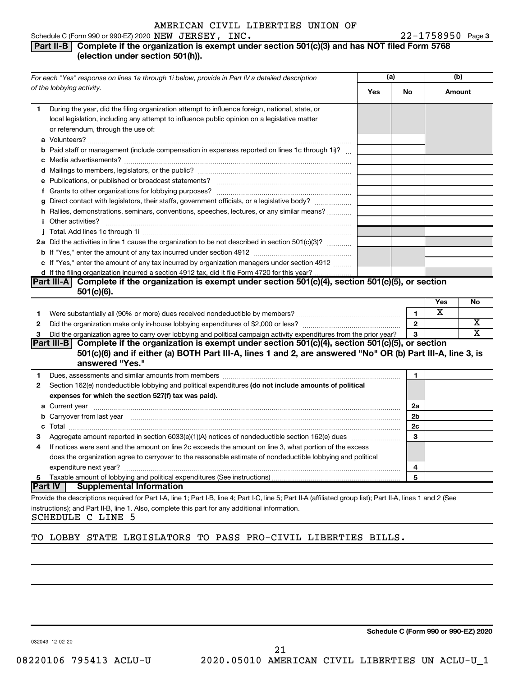#### 22-1758950 Page 3 Schedule C (Form 990 or 990-EZ) 2020  $NEW$   $JERSEY$ ,  $INC$ .  $22-1758950$  Page

## **Part II-B Complete if the organization is exempt under section 501(c)(3) and has NOT filed Form 5768 (election under section 501(h)).**

|                | For each "Yes" response on lines 1a through 1i below, provide in Part IV a detailed description                                                                                                                                      | (a) |              | (b)    |    |
|----------------|--------------------------------------------------------------------------------------------------------------------------------------------------------------------------------------------------------------------------------------|-----|--------------|--------|----|
|                | of the lobbying activity.                                                                                                                                                                                                            | Yes | No           | Amount |    |
| 1              | During the year, did the filing organization attempt to influence foreign, national, state, or<br>local legislation, including any attempt to influence public opinion on a legislative matter<br>or referendum, through the use of: |     |              |        |    |
|                | <b>b</b> Paid staff or management (include compensation in expenses reported on lines 1c through 1i)?                                                                                                                                |     |              |        |    |
|                |                                                                                                                                                                                                                                      |     |              |        |    |
|                | e Publications, or published or broadcast statements?                                                                                                                                                                                |     |              |        |    |
|                |                                                                                                                                                                                                                                      |     |              |        |    |
|                | g Direct contact with legislators, their staffs, government officials, or a legislative body?                                                                                                                                        |     |              |        |    |
|                | h Rallies, demonstrations, seminars, conventions, speeches, lectures, or any similar means?                                                                                                                                          |     |              |        |    |
|                |                                                                                                                                                                                                                                      |     |              |        |    |
|                | 2a Did the activities in line 1 cause the organization to be not described in section 501(c)(3)?                                                                                                                                     |     |              |        |    |
|                |                                                                                                                                                                                                                                      |     |              |        |    |
|                | c If "Yes," enter the amount of any tax incurred by organization managers under section 4912                                                                                                                                         |     |              |        |    |
|                | d If the filing organization incurred a section 4912 tax, did it file Form 4720 for this year?                                                                                                                                       |     |              |        |    |
|                | Part III-A Complete if the organization is exempt under section $501(c)(4)$ , section $501(c)(5)$ , or section<br>$501(c)(6)$ .                                                                                                      |     |              |        |    |
|                |                                                                                                                                                                                                                                      |     |              | Yes    | No |
| 1              |                                                                                                                                                                                                                                      |     | 1            | х      |    |
| 2              |                                                                                                                                                                                                                                      |     | $\mathbf{2}$ |        | х  |
| 3              | Did the organization agree to carry over lobbying and political campaign activity expenditures from the prior year?                                                                                                                  |     | 3            |        | х  |
|                | Part III-B Complete if the organization is exempt under section 501(c)(4), section 501(c)(5), or section                                                                                                                             |     |              |        |    |
|                | 501(c)(6) and if either (a) BOTH Part III-A, lines 1 and 2, are answered "No" OR (b) Part III-A, line 3, is                                                                                                                          |     |              |        |    |
|                | answered "Yes."                                                                                                                                                                                                                      |     |              |        |    |
| 1              | Dues, assessments and similar amounts from members [111] [12] matter and stream and similar amounts from members [11] matter and similar amounts from members [11] matter and stream and stream and stream and stream and stre       |     | 1            |        |    |
| $\mathbf{2}$   | Section 162(e) nondeductible lobbying and political expenditures (do not include amounts of political                                                                                                                                |     |              |        |    |
|                | expenses for which the section 527(f) tax was paid).                                                                                                                                                                                 |     |              |        |    |
|                |                                                                                                                                                                                                                                      |     | 2a           |        |    |
|                | <b>b</b> Carryover from last year manufactured and content to content the content of the content of the content of the content of the content of the content of the content of the content of the content of the content of the con  |     | 2b           |        |    |
|                |                                                                                                                                                                                                                                      |     | 2c           |        |    |
| 3              | Aggregate amount reported in section 6033(e)(1)(A) notices of nondeductible section 162(e) dues <i>manageregate</i> amount                                                                                                           |     | 3            |        |    |
| 4              | If notices were sent and the amount on line 2c exceeds the amount on line 3, what portion of the excess                                                                                                                              |     |              |        |    |
|                | does the organization agree to carryover to the reasonable estimate of nondeductible lobbying and political                                                                                                                          |     |              |        |    |
|                |                                                                                                                                                                                                                                      |     | 4            |        |    |
| 5              |                                                                                                                                                                                                                                      |     | 5            |        |    |
| <b>Part IV</b> | <b>Supplemental Information</b>                                                                                                                                                                                                      |     |              |        |    |
|                | Provide the descriptions required for Part I-A, line 1; Part I-B, line 4; Part I-C, line 5; Part II-A (affiliated group list); Part II-A, lines 1 and 2 (See                                                                         |     |              |        |    |
|                | instructions); and Part II-B, line 1. Also, complete this part for any additional information.                                                                                                                                       |     |              |        |    |

SCHEDULE C LINE 5

## TO LOBBY STATE LEGISLATORS TO PASS PRO-CIVIL LIBERTIES BILLS.

21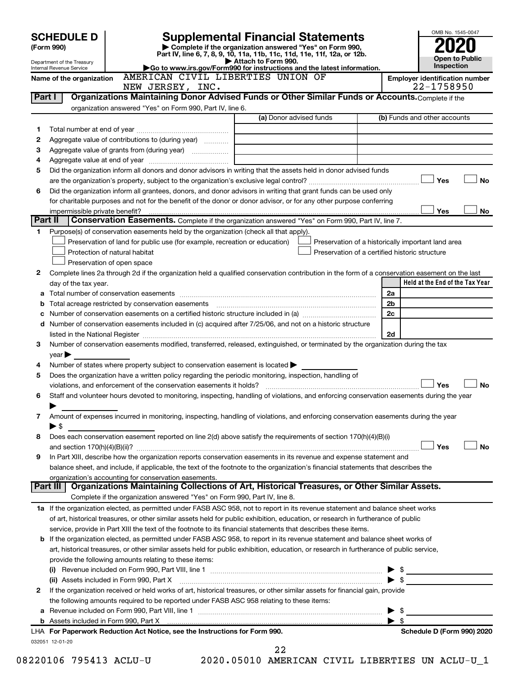|         | <b>SCHEDULE D</b>                                                                                                 |  |                                                                                                                                                                                                                                                                                                                                                                   |  |                                                                                                      |  |                                                    |  |                         | OMB No. 1545-0047                     |                       |
|---------|-------------------------------------------------------------------------------------------------------------------|--|-------------------------------------------------------------------------------------------------------------------------------------------------------------------------------------------------------------------------------------------------------------------------------------------------------------------------------------------------------------------|--|------------------------------------------------------------------------------------------------------|--|----------------------------------------------------|--|-------------------------|---------------------------------------|-----------------------|
|         | (Form 990)                                                                                                        |  |                                                                                                                                                                                                                                                                                                                                                                   |  | <b>Supplemental Financial Statements</b><br>Complete if the organization answered "Yes" on Form 990, |  |                                                    |  |                         |                                       |                       |
|         |                                                                                                                   |  |                                                                                                                                                                                                                                                                                                                                                                   |  | Part IV, line 6, 7, 8, 9, 10, 11a, 11b, 11c, 11d, 11e, 11f, 12a, or 12b.                             |  |                                                    |  |                         |                                       | <b>Open to Public</b> |
|         | Department of the Treasury<br>Internal Revenue Service                                                            |  |                                                                                                                                                                                                                                                                                                                                                                   |  | Attach to Form 990.<br>Go to www.irs.gov/Form990 for instructions and the latest information.        |  |                                                    |  |                         | Inspection                            |                       |
|         | Name of the organization                                                                                          |  | AMERICAN CIVIL LIBERTIES UNION OF                                                                                                                                                                                                                                                                                                                                 |  |                                                                                                      |  |                                                    |  |                         | <b>Employer identification number</b> |                       |
| Part I  |                                                                                                                   |  | NEW JERSEY, INC.<br>Organizations Maintaining Donor Advised Funds or Other Similar Funds or Accounts. Complete if the                                                                                                                                                                                                                                             |  |                                                                                                      |  |                                                    |  |                         | 22-1758950                            |                       |
|         |                                                                                                                   |  | organization answered "Yes" on Form 990, Part IV, line 6.                                                                                                                                                                                                                                                                                                         |  |                                                                                                      |  |                                                    |  |                         |                                       |                       |
|         |                                                                                                                   |  |                                                                                                                                                                                                                                                                                                                                                                   |  | (a) Donor advised funds                                                                              |  |                                                    |  |                         | (b) Funds and other accounts          |                       |
| 1       |                                                                                                                   |  |                                                                                                                                                                                                                                                                                                                                                                   |  |                                                                                                      |  |                                                    |  |                         |                                       |                       |
| 2       |                                                                                                                   |  | Aggregate value of contributions to (during year)                                                                                                                                                                                                                                                                                                                 |  |                                                                                                      |  |                                                    |  |                         |                                       |                       |
| з       |                                                                                                                   |  | Aggregate value of grants from (during year)                                                                                                                                                                                                                                                                                                                      |  |                                                                                                      |  |                                                    |  |                         |                                       |                       |
| 4       |                                                                                                                   |  |                                                                                                                                                                                                                                                                                                                                                                   |  |                                                                                                      |  |                                                    |  |                         |                                       |                       |
| 5       |                                                                                                                   |  | Did the organization inform all donors and donor advisors in writing that the assets held in donor advised funds                                                                                                                                                                                                                                                  |  |                                                                                                      |  |                                                    |  |                         |                                       |                       |
|         |                                                                                                                   |  |                                                                                                                                                                                                                                                                                                                                                                   |  |                                                                                                      |  |                                                    |  |                         | Yes                                   | <b>No</b>             |
| 6       | Did the organization inform all grantees, donors, and donor advisors in writing that grant funds can be used only |  |                                                                                                                                                                                                                                                                                                                                                                   |  |                                                                                                      |  |                                                    |  |                         |                                       |                       |
|         |                                                                                                                   |  | for charitable purposes and not for the benefit of the donor or donor advisor, or for any other purpose conferring                                                                                                                                                                                                                                                |  |                                                                                                      |  |                                                    |  |                         |                                       |                       |
|         | impermissible private benefit?                                                                                    |  |                                                                                                                                                                                                                                                                                                                                                                   |  |                                                                                                      |  |                                                    |  |                         | Yes                                   | No                    |
| Part II |                                                                                                                   |  | <b>Conservation Easements.</b> Complete if the organization answered "Yes" on Form 990, Part IV, line 7.                                                                                                                                                                                                                                                          |  |                                                                                                      |  |                                                    |  |                         |                                       |                       |
| 1.      |                                                                                                                   |  | Purpose(s) of conservation easements held by the organization (check all that apply).                                                                                                                                                                                                                                                                             |  |                                                                                                      |  |                                                    |  |                         |                                       |                       |
|         |                                                                                                                   |  | Preservation of land for public use (for example, recreation or education)                                                                                                                                                                                                                                                                                        |  |                                                                                                      |  | Preservation of a historically important land area |  |                         |                                       |                       |
|         | Protection of natural habitat                                                                                     |  |                                                                                                                                                                                                                                                                                                                                                                   |  |                                                                                                      |  | Preservation of a certified historic structure     |  |                         |                                       |                       |
|         | Preservation of open space                                                                                        |  |                                                                                                                                                                                                                                                                                                                                                                   |  |                                                                                                      |  |                                                    |  |                         |                                       |                       |
| 2       |                                                                                                                   |  | Complete lines 2a through 2d if the organization held a qualified conservation contribution in the form of a conservation easement on the last                                                                                                                                                                                                                    |  |                                                                                                      |  |                                                    |  |                         |                                       |                       |
|         | day of the tax year.                                                                                              |  |                                                                                                                                                                                                                                                                                                                                                                   |  |                                                                                                      |  |                                                    |  |                         | Held at the End of the Tax Year       |                       |
| а       |                                                                                                                   |  |                                                                                                                                                                                                                                                                                                                                                                   |  |                                                                                                      |  |                                                    |  | 2a                      |                                       |                       |
|         |                                                                                                                   |  | Total acreage restricted by conservation easements                                                                                                                                                                                                                                                                                                                |  |                                                                                                      |  |                                                    |  | 2 <sub>b</sub>          |                                       |                       |
|         |                                                                                                                   |  | d Number of conservation easements included in (c) acquired after 7/25/06, and not on a historic structure                                                                                                                                                                                                                                                        |  |                                                                                                      |  |                                                    |  | 2c                      |                                       |                       |
|         |                                                                                                                   |  |                                                                                                                                                                                                                                                                                                                                                                   |  |                                                                                                      |  |                                                    |  | 2d                      |                                       |                       |
| 3       |                                                                                                                   |  | listed in the National Register [111] Marshall Register [11] Marshall Register [11] Marshall Register [11] Marshall Register [11] Marshall Register [11] Marshall Register [11] Marshall Register [11] Marshall Register [11]<br>Number of conservation easements modified, transferred, released, extinguished, or terminated by the organization during the tax |  |                                                                                                      |  |                                                    |  |                         |                                       |                       |
|         | year                                                                                                              |  |                                                                                                                                                                                                                                                                                                                                                                   |  |                                                                                                      |  |                                                    |  |                         |                                       |                       |
| 4       |                                                                                                                   |  | Number of states where property subject to conservation easement is located $\blacktriangleright$                                                                                                                                                                                                                                                                 |  |                                                                                                      |  |                                                    |  |                         |                                       |                       |
| 5       |                                                                                                                   |  | Does the organization have a written policy regarding the periodic monitoring, inspection, handling of                                                                                                                                                                                                                                                            |  |                                                                                                      |  |                                                    |  |                         |                                       |                       |
|         |                                                                                                                   |  | violations, and enforcement of the conservation easements it holds?                                                                                                                                                                                                                                                                                               |  |                                                                                                      |  |                                                    |  |                         | Yes                                   | No                    |
| 6       |                                                                                                                   |  | Staff and volunteer hours devoted to monitoring, inspecting, handling of violations, and enforcing conservation easements during the year                                                                                                                                                                                                                         |  |                                                                                                      |  |                                                    |  |                         |                                       |                       |
|         |                                                                                                                   |  |                                                                                                                                                                                                                                                                                                                                                                   |  |                                                                                                      |  |                                                    |  |                         |                                       |                       |
| 7       |                                                                                                                   |  | Amount of expenses incurred in monitoring, inspecting, handling of violations, and enforcing conservation easements during the year                                                                                                                                                                                                                               |  |                                                                                                      |  |                                                    |  |                         |                                       |                       |
|         | ▶ \$                                                                                                              |  |                                                                                                                                                                                                                                                                                                                                                                   |  |                                                                                                      |  |                                                    |  |                         |                                       |                       |
| 8       |                                                                                                                   |  | Does each conservation easement reported on line 2(d) above satisfy the requirements of section 170(h)(4)(B)(i)                                                                                                                                                                                                                                                   |  |                                                                                                      |  |                                                    |  |                         |                                       |                       |
|         |                                                                                                                   |  |                                                                                                                                                                                                                                                                                                                                                                   |  |                                                                                                      |  |                                                    |  |                         | Yes                                   | <b>No</b>             |
| 9       |                                                                                                                   |  | In Part XIII, describe how the organization reports conservation easements in its revenue and expense statement and                                                                                                                                                                                                                                               |  |                                                                                                      |  |                                                    |  |                         |                                       |                       |
|         |                                                                                                                   |  | balance sheet, and include, if applicable, the text of the footnote to the organization's financial statements that describes the                                                                                                                                                                                                                                 |  |                                                                                                      |  |                                                    |  |                         |                                       |                       |
|         |                                                                                                                   |  | organization's accounting for conservation easements.                                                                                                                                                                                                                                                                                                             |  |                                                                                                      |  |                                                    |  |                         |                                       |                       |
|         | Part III                                                                                                          |  | Organizations Maintaining Collections of Art, Historical Treasures, or Other Similar Assets.                                                                                                                                                                                                                                                                      |  |                                                                                                      |  |                                                    |  |                         |                                       |                       |
|         |                                                                                                                   |  | Complete if the organization answered "Yes" on Form 990, Part IV, line 8.                                                                                                                                                                                                                                                                                         |  |                                                                                                      |  |                                                    |  |                         |                                       |                       |
|         |                                                                                                                   |  | 1a If the organization elected, as permitted under FASB ASC 958, not to report in its revenue statement and balance sheet works                                                                                                                                                                                                                                   |  |                                                                                                      |  |                                                    |  |                         |                                       |                       |
|         |                                                                                                                   |  | of art, historical treasures, or other similar assets held for public exhibition, education, or research in furtherance of public                                                                                                                                                                                                                                 |  |                                                                                                      |  |                                                    |  |                         |                                       |                       |
|         |                                                                                                                   |  | service, provide in Part XIII the text of the footnote to its financial statements that describes these items.                                                                                                                                                                                                                                                    |  |                                                                                                      |  |                                                    |  |                         |                                       |                       |
|         |                                                                                                                   |  | <b>b</b> If the organization elected, as permitted under FASB ASC 958, to report in its revenue statement and balance sheet works of                                                                                                                                                                                                                              |  |                                                                                                      |  |                                                    |  |                         |                                       |                       |
|         |                                                                                                                   |  | art, historical treasures, or other similar assets held for public exhibition, education, or research in furtherance of public service,                                                                                                                                                                                                                           |  |                                                                                                      |  |                                                    |  |                         |                                       |                       |
|         |                                                                                                                   |  | provide the following amounts relating to these items:                                                                                                                                                                                                                                                                                                            |  |                                                                                                      |  |                                                    |  |                         |                                       |                       |
|         |                                                                                                                   |  |                                                                                                                                                                                                                                                                                                                                                                   |  |                                                                                                      |  |                                                    |  | $\blacktriangleright$ s |                                       |                       |
| 2       | (ii) Assets included in Form 990, Part X                                                                          |  | If the organization received or held works of art, historical treasures, or other similar assets for financial gain, provide                                                                                                                                                                                                                                      |  |                                                                                                      |  |                                                    |  |                         |                                       |                       |
|         |                                                                                                                   |  | the following amounts required to be reported under FASB ASC 958 relating to these items:                                                                                                                                                                                                                                                                         |  |                                                                                                      |  |                                                    |  |                         |                                       |                       |
|         |                                                                                                                   |  |                                                                                                                                                                                                                                                                                                                                                                   |  |                                                                                                      |  |                                                    |  | S                       |                                       |                       |
|         |                                                                                                                   |  | b Assets included in Form 990, Part X [[CONDIDENTAL DISTURN 10001] Assets included in Form 990, Part X [[CONDIDENTAL DISTURN 1]]                                                                                                                                                                                                                                  |  |                                                                                                      |  |                                                    |  | - \$                    |                                       |                       |
|         |                                                                                                                   |  | LHA For Paperwork Reduction Act Notice, see the Instructions for Form 990.                                                                                                                                                                                                                                                                                        |  |                                                                                                      |  |                                                    |  |                         | Schedule D (Form 990) 2020            |                       |
|         | 032051 12-01-20                                                                                                   |  |                                                                                                                                                                                                                                                                                                                                                                   |  |                                                                                                      |  |                                                    |  |                         |                                       |                       |
|         |                                                                                                                   |  |                                                                                                                                                                                                                                                                                                                                                                   |  | 22                                                                                                   |  |                                                    |  |                         |                                       |                       |

08220106 795413 ACLU-U 2020.05010 AMERICAN CIVIL LIBERTIES UN ACLU-U\_1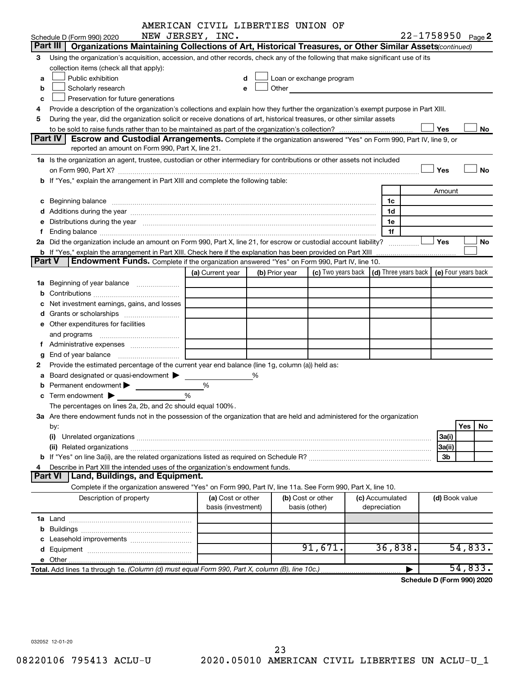|                                                                                    |                                                                                                                                                                                                                                | AMERICAN CIVIL LIBERTIES UNION OF       |   |                |                                                                                                                                                                                                                               |  |                                                                             |                   |           |  |  |
|------------------------------------------------------------------------------------|--------------------------------------------------------------------------------------------------------------------------------------------------------------------------------------------------------------------------------|-----------------------------------------|---|----------------|-------------------------------------------------------------------------------------------------------------------------------------------------------------------------------------------------------------------------------|--|-----------------------------------------------------------------------------|-------------------|-----------|--|--|
|                                                                                    | Schedule D (Form 990) 2020                                                                                                                                                                                                     | NEW JERSEY, INC.                        |   |                |                                                                                                                                                                                                                               |  |                                                                             | 22-1758950 Page 2 |           |  |  |
|                                                                                    | Part III   Organizations Maintaining Collections of Art, Historical Treasures, or Other Similar Assets (continued)                                                                                                             |                                         |   |                |                                                                                                                                                                                                                               |  |                                                                             |                   |           |  |  |
| 3                                                                                  | Using the organization's acquisition, accession, and other records, check any of the following that make significant use of its                                                                                                |                                         |   |                |                                                                                                                                                                                                                               |  |                                                                             |                   |           |  |  |
|                                                                                    | collection items (check all that apply):                                                                                                                                                                                       |                                         |   |                |                                                                                                                                                                                                                               |  |                                                                             |                   |           |  |  |
| a                                                                                  | Public exhibition                                                                                                                                                                                                              |                                         | d |                | Loan or exchange program                                                                                                                                                                                                      |  |                                                                             |                   |           |  |  |
| b                                                                                  | Scholarly research                                                                                                                                                                                                             |                                         | е |                | Other and the contract of the contract of the contract of the contract of the contract of the contract of the contract of the contract of the contract of the contract of the contract of the contract of the contract of the |  |                                                                             |                   |           |  |  |
| c                                                                                  | Preservation for future generations                                                                                                                                                                                            |                                         |   |                |                                                                                                                                                                                                                               |  |                                                                             |                   |           |  |  |
| 4                                                                                  | Provide a description of the organization's collections and explain how they further the organization's exempt purpose in Part XIII.                                                                                           |                                         |   |                |                                                                                                                                                                                                                               |  |                                                                             |                   |           |  |  |
| 5                                                                                  | During the year, did the organization solicit or receive donations of art, historical treasures, or other similar assets                                                                                                       |                                         |   |                |                                                                                                                                                                                                                               |  |                                                                             |                   |           |  |  |
|                                                                                    |                                                                                                                                                                                                                                |                                         |   |                |                                                                                                                                                                                                                               |  |                                                                             | Yes               | No        |  |  |
|                                                                                    | Part IV<br><b>Escrow and Custodial Arrangements.</b> Complete if the organization answered "Yes" on Form 990, Part IV, line 9, or<br>reported an amount on Form 990, Part X, line 21.                                          |                                         |   |                |                                                                                                                                                                                                                               |  |                                                                             |                   |           |  |  |
|                                                                                    |                                                                                                                                                                                                                                |                                         |   |                |                                                                                                                                                                                                                               |  |                                                                             |                   |           |  |  |
|                                                                                    | 1a Is the organization an agent, trustee, custodian or other intermediary for contributions or other assets not included                                                                                                       |                                         |   |                |                                                                                                                                                                                                                               |  |                                                                             | Yes               | No        |  |  |
|                                                                                    |                                                                                                                                                                                                                                |                                         |   |                |                                                                                                                                                                                                                               |  |                                                                             |                   |           |  |  |
| b If "Yes," explain the arrangement in Part XIII and complete the following table: |                                                                                                                                                                                                                                |                                         |   |                |                                                                                                                                                                                                                               |  |                                                                             |                   |           |  |  |
|                                                                                    |                                                                                                                                                                                                                                |                                         |   |                |                                                                                                                                                                                                                               |  | 1c                                                                          | Amount            |           |  |  |
|                                                                                    |                                                                                                                                                                                                                                |                                         |   |                |                                                                                                                                                                                                                               |  | 1d                                                                          |                   |           |  |  |
|                                                                                    | e Distributions during the year manufactured and contained and contained and the year manufactured and contained and the year manufactured and contained and contained and contained and contained and contained and contained |                                         |   |                |                                                                                                                                                                                                                               |  | 1e                                                                          |                   |           |  |  |
|                                                                                    |                                                                                                                                                                                                                                |                                         |   |                |                                                                                                                                                                                                                               |  | 1f                                                                          |                   |           |  |  |
|                                                                                    | 2a Did the organization include an amount on Form 990, Part X, line 21, for escrow or custodial account liability?                                                                                                             |                                         |   |                |                                                                                                                                                                                                                               |  |                                                                             | Yes               | No        |  |  |
|                                                                                    | <b>b</b> If "Yes," explain the arrangement in Part XIII. Check here if the explanation has been provided on Part XIII                                                                                                          |                                         |   |                |                                                                                                                                                                                                                               |  | . <u>.</u>                                                                  |                   |           |  |  |
| Part V                                                                             | Endowment Funds. Complete if the organization answered "Yes" on Form 990, Part IV, line 10.                                                                                                                                    |                                         |   |                |                                                                                                                                                                                                                               |  |                                                                             |                   |           |  |  |
|                                                                                    |                                                                                                                                                                                                                                | (a) Current year                        |   | (b) Prior year |                                                                                                                                                                                                                               |  | (c) Two years back $\vert$ (d) Three years back $\vert$ (e) Four years back |                   |           |  |  |
|                                                                                    |                                                                                                                                                                                                                                |                                         |   |                |                                                                                                                                                                                                                               |  |                                                                             |                   |           |  |  |
|                                                                                    |                                                                                                                                                                                                                                |                                         |   |                |                                                                                                                                                                                                                               |  |                                                                             |                   |           |  |  |
|                                                                                    | Net investment earnings, gains, and losses                                                                                                                                                                                     |                                         |   |                |                                                                                                                                                                                                                               |  |                                                                             |                   |           |  |  |
|                                                                                    |                                                                                                                                                                                                                                |                                         |   |                |                                                                                                                                                                                                                               |  |                                                                             |                   |           |  |  |
|                                                                                    | e Other expenditures for facilities                                                                                                                                                                                            |                                         |   |                |                                                                                                                                                                                                                               |  |                                                                             |                   |           |  |  |
|                                                                                    |                                                                                                                                                                                                                                |                                         |   |                |                                                                                                                                                                                                                               |  |                                                                             |                   |           |  |  |
|                                                                                    |                                                                                                                                                                                                                                |                                         |   |                |                                                                                                                                                                                                                               |  |                                                                             |                   |           |  |  |
|                                                                                    |                                                                                                                                                                                                                                |                                         |   |                |                                                                                                                                                                                                                               |  |                                                                             |                   |           |  |  |
| 2                                                                                  | Provide the estimated percentage of the current year end balance (line 1g, column (a)) held as:                                                                                                                                |                                         |   |                |                                                                                                                                                                                                                               |  |                                                                             |                   |           |  |  |
|                                                                                    | a Board designated or quasi-endowment >                                                                                                                                                                                        |                                         | % |                |                                                                                                                                                                                                                               |  |                                                                             |                   |           |  |  |
|                                                                                    | Permanent endowment $\blacktriangleright$                                                                                                                                                                                      | %                                       |   |                |                                                                                                                                                                                                                               |  |                                                                             |                   |           |  |  |
|                                                                                    | $\mathbf c$ Term endowment $\blacktriangleright$                                                                                                                                                                               | %                                       |   |                |                                                                                                                                                                                                                               |  |                                                                             |                   |           |  |  |
|                                                                                    | The percentages on lines 2a, 2b, and 2c should equal 100%.                                                                                                                                                                     |                                         |   |                |                                                                                                                                                                                                                               |  |                                                                             |                   |           |  |  |
|                                                                                    | 3a Are there endowment funds not in the possession of the organization that are held and administered for the organization                                                                                                     |                                         |   |                |                                                                                                                                                                                                                               |  |                                                                             |                   |           |  |  |
|                                                                                    | by:                                                                                                                                                                                                                            |                                         |   |                |                                                                                                                                                                                                                               |  |                                                                             |                   | Yes<br>No |  |  |
|                                                                                    | (i)                                                                                                                                                                                                                            |                                         |   |                |                                                                                                                                                                                                                               |  |                                                                             | 3a(i)             |           |  |  |
|                                                                                    |                                                                                                                                                                                                                                |                                         |   |                |                                                                                                                                                                                                                               |  |                                                                             | 3a(ii)<br>3b      |           |  |  |
| 4                                                                                  | Describe in Part XIII the intended uses of the organization's endowment funds.                                                                                                                                                 |                                         |   |                |                                                                                                                                                                                                                               |  |                                                                             |                   |           |  |  |
|                                                                                    | Land, Buildings, and Equipment.<br><b>Part VI</b>                                                                                                                                                                              |                                         |   |                |                                                                                                                                                                                                                               |  |                                                                             |                   |           |  |  |
|                                                                                    | Complete if the organization answered "Yes" on Form 990, Part IV, line 11a. See Form 990, Part X, line 10.                                                                                                                     |                                         |   |                |                                                                                                                                                                                                                               |  |                                                                             |                   |           |  |  |
|                                                                                    | Description of property                                                                                                                                                                                                        | (a) Cost or other<br>basis (investment) |   |                | (b) Cost or other<br>basis (other)                                                                                                                                                                                            |  | (c) Accumulated<br>depreciation                                             | (d) Book value    |           |  |  |
|                                                                                    |                                                                                                                                                                                                                                |                                         |   |                |                                                                                                                                                                                                                               |  |                                                                             |                   |           |  |  |
|                                                                                    |                                                                                                                                                                                                                                |                                         |   |                |                                                                                                                                                                                                                               |  |                                                                             |                   |           |  |  |
|                                                                                    |                                                                                                                                                                                                                                |                                         |   |                |                                                                                                                                                                                                                               |  |                                                                             |                   |           |  |  |
|                                                                                    |                                                                                                                                                                                                                                |                                         |   |                | 91,671.                                                                                                                                                                                                                       |  | 36,838.                                                                     |                   | 54,833.   |  |  |
|                                                                                    |                                                                                                                                                                                                                                |                                         |   |                |                                                                                                                                                                                                                               |  |                                                                             |                   |           |  |  |
|                                                                                    | Total. Add lines 1a through 1e. (Column (d) must equal Form 990, Part X, column (B), line 10c.)                                                                                                                                |                                         |   |                |                                                                                                                                                                                                                               |  |                                                                             |                   | 54,833.   |  |  |
|                                                                                    |                                                                                                                                                                                                                                |                                         |   |                |                                                                                                                                                                                                                               |  |                                                                             |                   |           |  |  |

**Schedule D (Form 990) 2020**

032052 12-01-20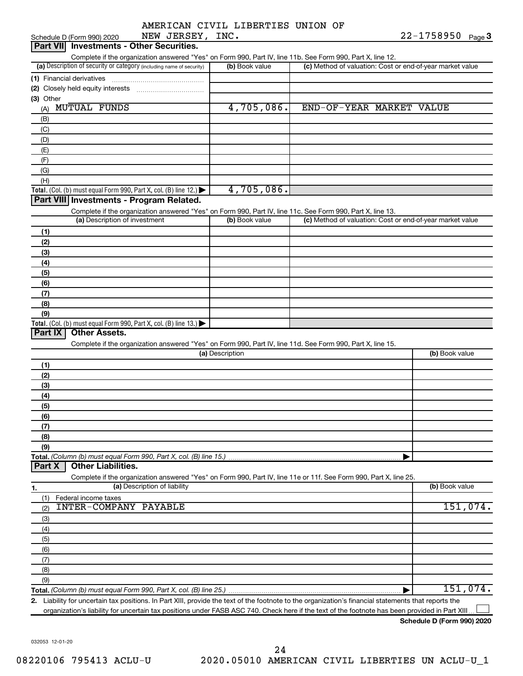|  | AMERICAN CIVIL LIBERTIES UNION OF |  |
|--|-----------------------------------|--|
|  |                                   |  |

| NEW JERSEY, INC.<br>Schedule D (Form 990) 2020                                                                                                       |                 | $22 - 1758950$ Page 3                                     |
|------------------------------------------------------------------------------------------------------------------------------------------------------|-----------------|-----------------------------------------------------------|
| Part VII Investments - Other Securities.                                                                                                             |                 |                                                           |
| Complete if the organization answered "Yes" on Form 990, Part IV, line 11b. See Form 990, Part X, line 12.                                           |                 |                                                           |
| (a) Description of security or category (including name of security)                                                                                 | (b) Book value  | (c) Method of valuation: Cost or end-of-year market value |
| (1) Financial derivatives                                                                                                                            |                 |                                                           |
| (2) Closely held equity interests                                                                                                                    |                 |                                                           |
| (3) Other                                                                                                                                            |                 |                                                           |
| <b>MUTUAL FUNDS</b><br>(A)                                                                                                                           | 4,705,086.      | END-OF-YEAR MARKET VALUE                                  |
| (B)                                                                                                                                                  |                 |                                                           |
| (C)                                                                                                                                                  |                 |                                                           |
| (D)                                                                                                                                                  |                 |                                                           |
| (E)                                                                                                                                                  |                 |                                                           |
| (F)                                                                                                                                                  |                 |                                                           |
| (G)                                                                                                                                                  |                 |                                                           |
| (H)                                                                                                                                                  |                 |                                                           |
| Total. (Col. (b) must equal Form 990, Part X, col. (B) line 12.)                                                                                     | 4,705,086.      |                                                           |
| Part VIII Investments - Program Related.                                                                                                             |                 |                                                           |
| Complete if the organization answered "Yes" on Form 990, Part IV, line 11c. See Form 990, Part X, line 13.                                           |                 |                                                           |
| (a) Description of investment                                                                                                                        | (b) Book value  | (c) Method of valuation: Cost or end-of-year market value |
| (1)                                                                                                                                                  |                 |                                                           |
| (2)                                                                                                                                                  |                 |                                                           |
| (3)                                                                                                                                                  |                 |                                                           |
| (4)                                                                                                                                                  |                 |                                                           |
| (5)                                                                                                                                                  |                 |                                                           |
| (6)                                                                                                                                                  |                 |                                                           |
| (7)                                                                                                                                                  |                 |                                                           |
| (8)                                                                                                                                                  |                 |                                                           |
| (9)                                                                                                                                                  |                 |                                                           |
| Total. (Col. (b) must equal Form 990, Part X, col. (B) line $13.$ )                                                                                  |                 |                                                           |
| Part IX<br><b>Other Assets.</b>                                                                                                                      |                 |                                                           |
| Complete if the organization answered "Yes" on Form 990, Part IV, line 11d. See Form 990, Part X, line 15.                                           |                 |                                                           |
|                                                                                                                                                      | (a) Description | (b) Book value                                            |
| (1)                                                                                                                                                  |                 |                                                           |
| (2)                                                                                                                                                  |                 |                                                           |
| (3)                                                                                                                                                  |                 |                                                           |
| (4)                                                                                                                                                  |                 |                                                           |
| (5)                                                                                                                                                  |                 |                                                           |
| (6)                                                                                                                                                  |                 |                                                           |
| (7)                                                                                                                                                  |                 |                                                           |
| (8)                                                                                                                                                  |                 |                                                           |
| (9)                                                                                                                                                  |                 |                                                           |
| Total. (Column (b) must equal Form 990, Part X, col. (B) line 15.)                                                                                   |                 |                                                           |
| <b>Other Liabilities.</b><br>Part X                                                                                                                  |                 |                                                           |
| Complete if the organization answered "Yes" on Form 990, Part IV, line 11e or 11f. See Form 990, Part X, line 25.                                    |                 |                                                           |
| (a) Description of liability<br>1.                                                                                                                   |                 | (b) Book value                                            |
| Federal income taxes<br>(1)                                                                                                                          |                 |                                                           |
| <b>INTER-COMPANY PAYABLE</b><br>(2)                                                                                                                  |                 | 151,074.                                                  |
| (3)                                                                                                                                                  |                 |                                                           |
| (4)                                                                                                                                                  |                 |                                                           |
| (5)                                                                                                                                                  |                 |                                                           |
| (6)                                                                                                                                                  |                 |                                                           |
| (7)                                                                                                                                                  |                 |                                                           |
| (8)                                                                                                                                                  |                 |                                                           |
| (9)                                                                                                                                                  |                 |                                                           |
| Total. (Column (b) must equal Form 990, Part X, col. (B) line 25.)                                                                                   |                 | 151,074.                                                  |
| 2. Liability for uncertain tax positions. In Part XIII, provide the text of the footnote to the organization's financial statements that reports the |                 |                                                           |
|                                                                                                                                                      |                 |                                                           |

organization's liability for uncertain tax positions under FASB ASC 740. Check here if the text of the footnote has been provided in Part XIII...

**Schedule D (Form 990) 2020**

032053 12-01-20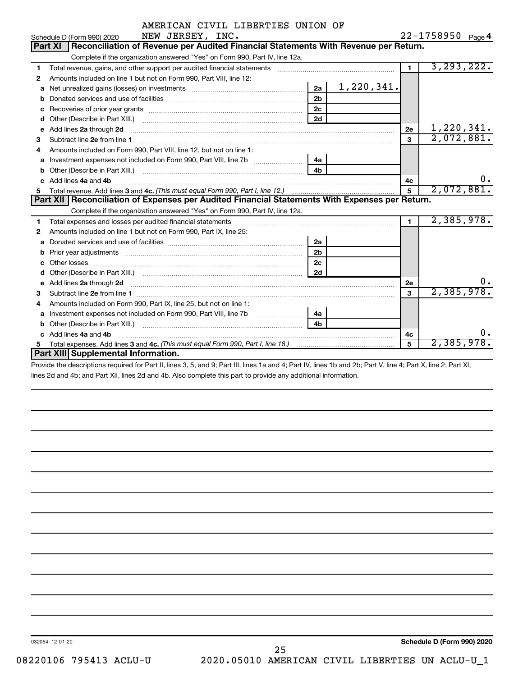|    | AMERICAN CIVIL LIBERTIES UNION OF                                                                                                                                                                                                   |                |            |                |                   |    |
|----|-------------------------------------------------------------------------------------------------------------------------------------------------------------------------------------------------------------------------------------|----------------|------------|----------------|-------------------|----|
|    | NEW JERSEY, INC.<br>Schedule D (Form 990) 2020                                                                                                                                                                                      |                |            |                | 22-1758950 Page 4 |    |
|    | Reconciliation of Revenue per Audited Financial Statements With Revenue per Return.<br><b>Part XI</b>                                                                                                                               |                |            |                |                   |    |
|    | Complete if the organization answered "Yes" on Form 990, Part IV, line 12a.                                                                                                                                                         |                |            |                |                   |    |
| 1  | Total revenue, gains, and other support per audited financial statements [111][11] Total revenue, gains, and other support per audited financial statements                                                                         |                |            | $\overline{1}$ | 3, 293, 222.      |    |
| 2  | Amounts included on line 1 but not on Form 990, Part VIII, line 12:                                                                                                                                                                 |                |            |                |                   |    |
| a  |                                                                                                                                                                                                                                     |                |            |                |                   |    |
|    |                                                                                                                                                                                                                                     | 2 <sub>b</sub> |            |                |                   |    |
| с  |                                                                                                                                                                                                                                     | 2 <sub>c</sub> |            |                |                   |    |
| d  |                                                                                                                                                                                                                                     | 2d             |            |                |                   |    |
| е  | Add lines 2a through 2d                                                                                                                                                                                                             |                |            | 2е             | 1,220,341.        |    |
| 3  | Subtract line 2e from line 1                                                                                                                                                                                                        |                |            | $\mathbf{a}$   | 2,072,881.        |    |
| 4  | Amounts included on Form 990, Part VIII, line 12, but not on line 1:                                                                                                                                                                |                |            |                |                   |    |
| a  |                                                                                                                                                                                                                                     | 4a             |            |                |                   |    |
| b  |                                                                                                                                                                                                                                     | 4 <sub>h</sub> |            |                |                   |    |
|    | Add lines 4a and 4b                                                                                                                                                                                                                 |                |            | 4c             |                   | 0. |
| 5. |                                                                                                                                                                                                                                     | 5              | 2,072,881. |                |                   |    |
|    | Part XII   Reconciliation of Expenses per Audited Financial Statements With Expenses per Return.                                                                                                                                    |                |            |                |                   |    |
|    | Complete if the organization answered "Yes" on Form 990, Part IV, line 12a.                                                                                                                                                         |                |            |                |                   |    |
| 1  |                                                                                                                                                                                                                                     |                |            | $\mathbf{1}$   | 2,385,978.        |    |
| 2  | Amounts included on line 1 but not on Form 990, Part IX, line 25:                                                                                                                                                                   |                |            |                |                   |    |
| a  |                                                                                                                                                                                                                                     | 2a             |            |                |                   |    |
| b  |                                                                                                                                                                                                                                     | 2 <sub>b</sub> |            |                |                   |    |
|    | Other losses                                                                                                                                                                                                                        | 2 <sub>c</sub> |            |                |                   |    |
|    |                                                                                                                                                                                                                                     | 2d             |            |                |                   |    |
| e  | Add lines 2a through 2d <b>contained a contained a contained a</b> contained a contact the state of the contained and contained a contact the contact of the contact of the contact of the contact of the contact of the contact of |                |            | 2е             |                   |    |
| 3  |                                                                                                                                                                                                                                     |                |            | 3              | 2,385,978.        |    |
| 4  | Amounts included on Form 990, Part IX, line 25, but not on line 1:                                                                                                                                                                  |                |            |                |                   |    |
| a  |                                                                                                                                                                                                                                     | 4a l           |            |                |                   |    |
| b  |                                                                                                                                                                                                                                     | 4h             |            |                |                   |    |
|    | Add lines 4a and 4b                                                                                                                                                                                                                 |                |            | 4c             |                   | О. |
|    |                                                                                                                                                                                                                                     |                |            | 5              | 2,385,978.        |    |
|    | Part XIII Supplemental Information.                                                                                                                                                                                                 |                |            |                |                   |    |

Provide the descriptions required for Part II, lines 3, 5, and 9; Part III, lines 1a and 4; Part IV, lines 1b and 2b; Part V, line 4; Part X, line 2; Part XI, lines 2d and 4b; and Part XII, lines 2d and 4b. Also complete this part to provide any additional information.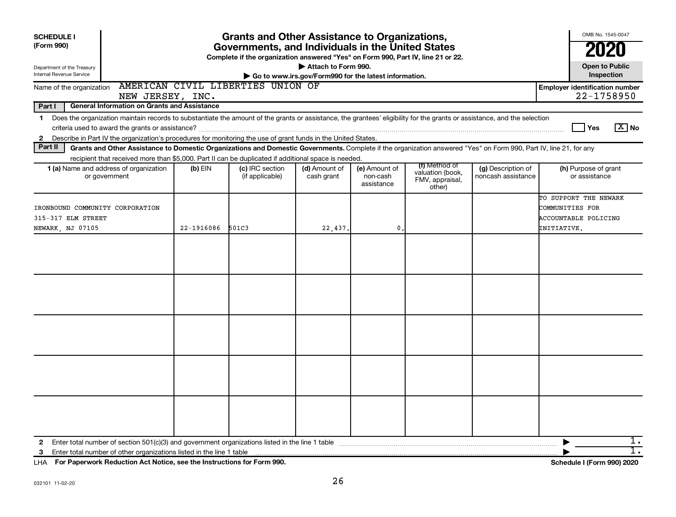| <b>SCHEDULE I</b>                                                                                                                                                                                                                                                                                                        |            | <b>Grants and Other Assistance to Organizations,</b>                                                                                  |                                                       |                                         |                                                                |                                          | OMB No. 1545-0047                                                               |
|--------------------------------------------------------------------------------------------------------------------------------------------------------------------------------------------------------------------------------------------------------------------------------------------------------------------------|------------|---------------------------------------------------------------------------------------------------------------------------------------|-------------------------------------------------------|-----------------------------------------|----------------------------------------------------------------|------------------------------------------|---------------------------------------------------------------------------------|
| (Form 990)                                                                                                                                                                                                                                                                                                               |            | Governments, and Individuals in the United States<br>Complete if the organization answered "Yes" on Form 990, Part IV, line 21 or 22. |                                                       |                                         |                                                                |                                          | 2020                                                                            |
| Department of the Treasury<br>Internal Revenue Service                                                                                                                                                                                                                                                                   |            |                                                                                                                                       | Attach to Form 990.                                   |                                         |                                                                |                                          | <b>Open to Public</b><br>Inspection                                             |
| Name of the organization                                                                                                                                                                                                                                                                                                 |            | AMERICAN CIVIL LIBERTIES UNION OF                                                                                                     | Go to www.irs.gov/Form990 for the latest information. |                                         |                                                                |                                          | <b>Employer identification number</b>                                           |
| NEW JERSEY, INC.                                                                                                                                                                                                                                                                                                         |            |                                                                                                                                       |                                                       |                                         |                                                                |                                          | 22-1758950                                                                      |
| Part I<br><b>General Information on Grants and Assistance</b>                                                                                                                                                                                                                                                            |            |                                                                                                                                       |                                                       |                                         |                                                                |                                          |                                                                                 |
| Does the organization maintain records to substantiate the amount of the grants or assistance, the grantees' eligibility for the grants or assistance, and the selection<br>$\mathbf 1$<br>Describe in Part IV the organization's procedures for monitoring the use of grant funds in the United States.<br>$\mathbf{2}$ |            |                                                                                                                                       |                                                       |                                         |                                                                |                                          | $\boxed{\text{X}}$ No<br>Yes                                                    |
| Part II<br>Grants and Other Assistance to Domestic Organizations and Domestic Governments. Complete if the organization answered "Yes" on Form 990, Part IV, line 21, for any                                                                                                                                            |            |                                                                                                                                       |                                                       |                                         |                                                                |                                          |                                                                                 |
| recipient that received more than \$5,000. Part II can be duplicated if additional space is needed.                                                                                                                                                                                                                      |            |                                                                                                                                       |                                                       |                                         |                                                                |                                          |                                                                                 |
| 1 (a) Name and address of organization<br>or government                                                                                                                                                                                                                                                                  | $(b)$ EIN  | (c) IRC section<br>(if applicable)                                                                                                    | (d) Amount of<br>cash grant                           | (e) Amount of<br>non-cash<br>assistance | (f) Method of<br>valuation (book,<br>FMV, appraisal,<br>other) | (g) Description of<br>noncash assistance | (h) Purpose of grant<br>or assistance                                           |
| IRONBOUND COMMUNITY CORPORATION<br>315-317 ELM STREET<br>NEWARK, NJ 07105                                                                                                                                                                                                                                                | 22-1916086 | 501C3                                                                                                                                 | 22,437.                                               | $\mathbf{0}$                            |                                                                |                                          | TO SUPPORT THE NEWARK<br>COMMUNITIES FOR<br>ACCOUNTABLE POLICING<br>INITIATIVE. |
|                                                                                                                                                                                                                                                                                                                          |            |                                                                                                                                       |                                                       |                                         |                                                                |                                          |                                                                                 |
|                                                                                                                                                                                                                                                                                                                          |            |                                                                                                                                       |                                                       |                                         |                                                                |                                          |                                                                                 |
|                                                                                                                                                                                                                                                                                                                          |            |                                                                                                                                       |                                                       |                                         |                                                                |                                          |                                                                                 |
|                                                                                                                                                                                                                                                                                                                          |            |                                                                                                                                       |                                                       |                                         |                                                                |                                          |                                                                                 |
|                                                                                                                                                                                                                                                                                                                          |            |                                                                                                                                       |                                                       |                                         |                                                                |                                          |                                                                                 |
| $\mathbf{2}$                                                                                                                                                                                                                                                                                                             |            |                                                                                                                                       |                                                       |                                         |                                                                |                                          | 1.<br>▶                                                                         |
| 3                                                                                                                                                                                                                                                                                                                        |            |                                                                                                                                       |                                                       |                                         |                                                                |                                          | $\overline{1}$ .                                                                |

**For Paperwork Reduction Act Notice, see the Instructions for Form 990. Schedule I (Form 990) 2020** LHA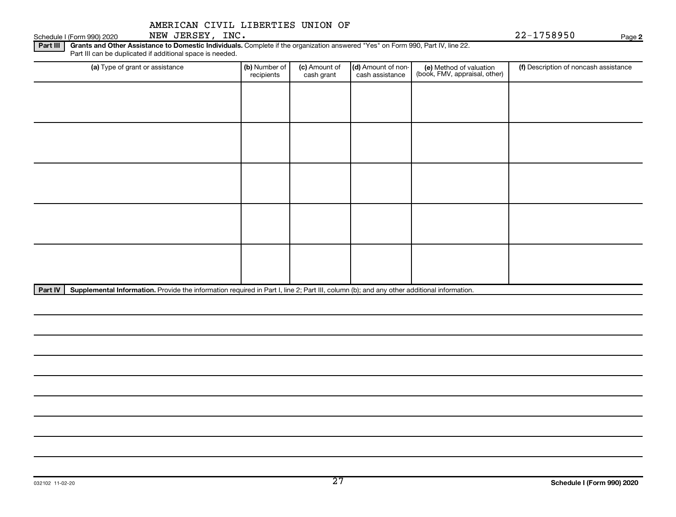## Schedule I (Form 990) 2020 NEW JERSEY, INC. And the state of the state of the state of the Page Page Page 22-1758950

**2**

Part III | Grants and Other Assistance to Domestic Individuals. Complete if the organization answered "Yes" on Form 990, Part IV, line 22. Part III can be duplicated if additional space is needed.

| (a) Type of grant or assistance | (b) Number of<br>recipients | (c) Amount of<br>cash grant        | (d) Amount of non-<br>cash assistance                                | (e) Method of valuation<br>(book, FMV, appraisal, other) | (f) Description of noncash assistance |
|---------------------------------|-----------------------------|------------------------------------|----------------------------------------------------------------------|----------------------------------------------------------|---------------------------------------|
|                                 |                             |                                    |                                                                      |                                                          |                                       |
|                                 |                             |                                    |                                                                      |                                                          |                                       |
|                                 |                             |                                    |                                                                      |                                                          |                                       |
|                                 |                             |                                    |                                                                      |                                                          |                                       |
|                                 |                             |                                    |                                                                      |                                                          |                                       |
|                                 |                             |                                    |                                                                      |                                                          |                                       |
|                                 |                             |                                    |                                                                      |                                                          |                                       |
|                                 |                             |                                    |                                                                      |                                                          |                                       |
|                                 |                             |                                    |                                                                      |                                                          |                                       |
|                                 |                             |                                    |                                                                      |                                                          |                                       |
| $\cdots$                        |                             | $\sim$ $\sim$ $\sim$ $\sim$ $\sim$ | $\mathbf{a}$<br>$\sim$<br><b>Contract Contract Contract Contract</b> | $\cdots$                                                 |                                       |

Part IV | Supplemental Information. Provide the information required in Part I, line 2; Part III, column (b); and any other additional information.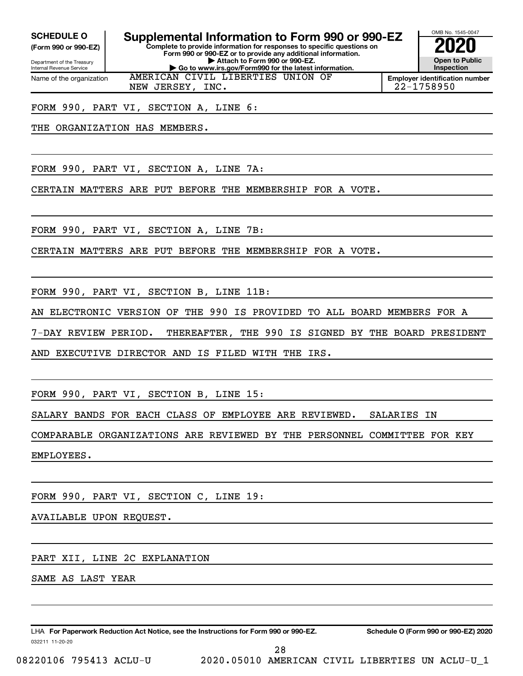**(Form 990 or 990-EZ)**

Department of the Treasury Internal Revenue Service Name of the organization

**Complete to provide information for responses to specific questions on Form 990 or 990-EZ or to provide any additional information. SCHEDULE O Supplemental Information to Form 990 or 990-EZ 2020** 

**| Attach to Form 990 or 990-EZ. | Go to www.irs.gov/Form990 for the latest information.**

AMERICAN CIVIL LIBERTIES UNION OF

**Open to Public Inspection**

OMB No. 1545-0047

**Employer identification number** NEW JERSEY, INC. 22-1758950

FORM 990, PART VI, SECTION A, LINE 6:

THE ORGANIZATION HAS MEMBERS.

FORM 990, PART VI, SECTION A, LINE 7A:

CERTAIN MATTERS ARE PUT BEFORE THE MEMBERSHIP FOR A VOTE.

FORM 990, PART VI, SECTION A, LINE 7B:

CERTAIN MATTERS ARE PUT BEFORE THE MEMBERSHIP FOR A VOTE.

FORM 990, PART VI, SECTION B, LINE 11B:

AN ELECTRONIC VERSION OF THE 990 IS PROVIDED TO ALL BOARD MEMBERS FOR A

7-DAY REVIEW PERIOD. THEREAFTER, THE 990 IS SIGNED BY THE BOARD PRESIDENT

AND EXECUTIVE DIRECTOR AND IS FILED WITH THE IRS.

FORM 990, PART VI, SECTION B, LINE 15:

SALARY BANDS FOR EACH CLASS OF EMPLOYEE ARE REVIEWED. SALARIES IN

COMPARABLE ORGANIZATIONS ARE REVIEWED BY THE PERSONNEL COMMITTEE FOR KEY

EMPLOYEES.

FORM 990, PART VI, SECTION C, LINE 19:

AVAILABLE UPON REQUEST.

PART XII, LINE 2C EXPLANATION

SAME AS LAST YEAR

032211 11-20-20 **For Paperwork Reduction Act Notice, see the Instructions for Form 990 or 990-EZ. Schedule O (Form 990 or 990-EZ) 2020** LHA

08220106 795413 ACLU-U 2020.05010 AMERICAN CIVIL LIBERTIES UN ACLU-U\_1

28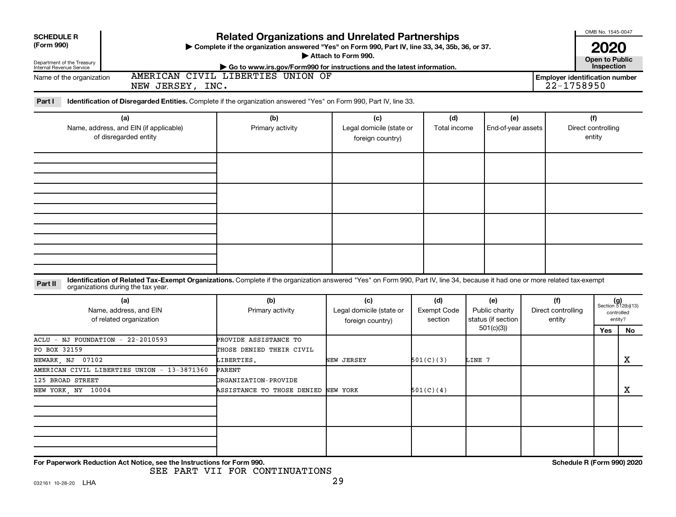| <b>Related Organizations and Unrelated Partnerships</b><br><b>SCHEDULE R</b><br>(Form 990)<br>> Complete if the organization answered "Yes" on Form 990, Part IV, line 33, 34, 35b, 36, or 37.<br>Attach to Form 990.<br>Department of the Treasury<br>Internal Revenue Service<br>Go to www.irs.gov/Form990 for instructions and the latest information.<br>AMERICAN CIVIL LIBERTIES UNION OF |                                                             |                                                     |                                      |                                                          |  |                                                     |                                     |                                                      |  |  |  |  |
|------------------------------------------------------------------------------------------------------------------------------------------------------------------------------------------------------------------------------------------------------------------------------------------------------------------------------------------------------------------------------------------------|-------------------------------------------------------------|-----------------------------------------------------|--------------------------------------|----------------------------------------------------------|--|-----------------------------------------------------|-------------------------------------|------------------------------------------------------|--|--|--|--|
| Name of the organization<br>NEW JERSEY, INC.                                                                                                                                                                                                                                                                                                                                                   |                                                             |                                                     |                                      |                                                          |  | <b>Employer identification number</b><br>22-1758950 |                                     |                                                      |  |  |  |  |
| Part I<br>Identification of Disregarded Entities. Complete if the organization answered "Yes" on Form 990, Part IV, line 33.                                                                                                                                                                                                                                                                   |                                                             |                                                     |                                      |                                                          |  |                                                     |                                     |                                                      |  |  |  |  |
| (a)<br>Name, address, and EIN (if applicable)<br>of disregarded entity                                                                                                                                                                                                                                                                                                                         | (b)<br>Primary activity                                     | (c)<br>Legal domicile (state or<br>foreign country) | (d)<br>Total income                  | (e)<br>End-of-year assets                                |  |                                                     | (f)<br>Direct controlling<br>entity |                                                      |  |  |  |  |
|                                                                                                                                                                                                                                                                                                                                                                                                |                                                             |                                                     |                                      |                                                          |  |                                                     |                                     |                                                      |  |  |  |  |
|                                                                                                                                                                                                                                                                                                                                                                                                |                                                             |                                                     |                                      |                                                          |  |                                                     |                                     |                                                      |  |  |  |  |
|                                                                                                                                                                                                                                                                                                                                                                                                |                                                             |                                                     |                                      |                                                          |  |                                                     |                                     |                                                      |  |  |  |  |
| Identification of Related Tax-Exempt Organizations. Complete if the organization answered "Yes" on Form 990, Part IV, line 34, because it had one or more related tax-exempt<br>Part II<br>organizations during the tax year.                                                                                                                                                                  |                                                             |                                                     |                                      |                                                          |  |                                                     |                                     |                                                      |  |  |  |  |
| (a)<br>Name, address, and EIN<br>of related organization                                                                                                                                                                                                                                                                                                                                       | (b)<br>Primary activity                                     | (c)<br>Legal domicile (state or<br>foreign country) | (d)<br><b>Exempt Code</b><br>section | (e)<br>Public charity<br>status (if section<br>501(c)(3) |  | (f)<br>Direct controlling<br>entity                 |                                     | $(g)$<br>Section 512(b)(13)<br>controlled<br>entity? |  |  |  |  |
| ACLU - NJ FOUNDATION - 22-2010593                                                                                                                                                                                                                                                                                                                                                              | PROVIDE ASSISTANCE TO                                       |                                                     |                                      |                                                          |  |                                                     | <b>Yes</b>                          | No.                                                  |  |  |  |  |
| PO BOX 32159<br>NEWARK, NJ 07102                                                                                                                                                                                                                                                                                                                                                               | THOSE DENIED THEIR CIVIL<br>LIBERTIES.                      | NEW JERSEY                                          | 501(C)(3)                            | LINE 7                                                   |  |                                                     |                                     | $\mathbf X$                                          |  |  |  |  |
| AMERICAN CIVIL LIBERTIES UNION - 13-3871360                                                                                                                                                                                                                                                                                                                                                    | <b>PARENT</b>                                               |                                                     |                                      |                                                          |  |                                                     |                                     |                                                      |  |  |  |  |
| 125 BROAD STREET<br>NEW YORK, NY 10004                                                                                                                                                                                                                                                                                                                                                         | ORGANIZATION-PROVIDE<br>ASSISTANCE TO THOSE DENIED NEW YORK |                                                     | 501(C)(4)                            |                                                          |  |                                                     |                                     | $\mathbf X$                                          |  |  |  |  |
|                                                                                                                                                                                                                                                                                                                                                                                                |                                                             |                                                     |                                      |                                                          |  |                                                     |                                     |                                                      |  |  |  |  |
|                                                                                                                                                                                                                                                                                                                                                                                                |                                                             |                                                     |                                      |                                                          |  |                                                     |                                     |                                                      |  |  |  |  |
| For Paperwork Reduction Act Notice, see the Instructions for Form 990.                                                                                                                                                                                                                                                                                                                         |                                                             |                                                     |                                      |                                                          |  | Schedule R (Form 990) 2020                          |                                     |                                                      |  |  |  |  |

SEE PART VII FOR CONTINUATIONS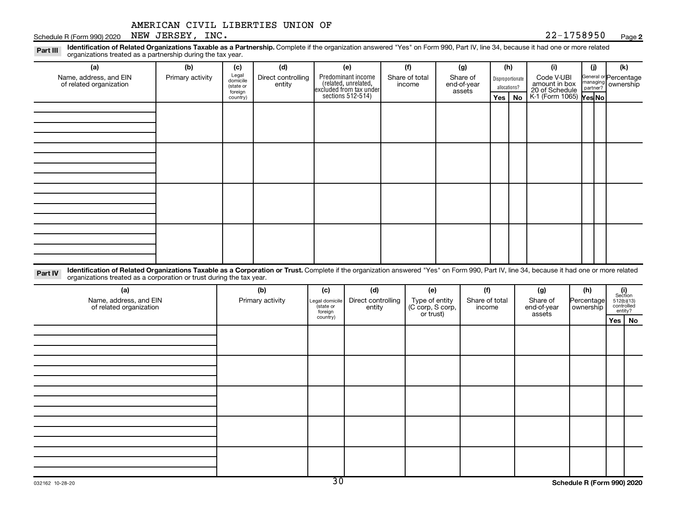## **2**

|                                                                                                                                                                                                                                                                                          | AMERICAN CIVIL LIBERTIES UNION OF<br>NEW JERSEY, INC. |                                       |                                     |                                               |                                                                                                         |                                           |                                 |                                 |              |                         | 22-1758950                                           |                                |                       |                                                         |
|------------------------------------------------------------------------------------------------------------------------------------------------------------------------------------------------------------------------------------------------------------------------------------------|-------------------------------------------------------|---------------------------------------|-------------------------------------|-----------------------------------------------|---------------------------------------------------------------------------------------------------------|-------------------------------------------|---------------------------------|---------------------------------|--------------|-------------------------|------------------------------------------------------|--------------------------------|-----------------------|---------------------------------------------------------|
| Schedule R (Form 990) 2020<br>Identification of Related Organizations Taxable as a Partnership. Complete if the organization answered "Yes" on Form 990, Part IV, line 34, because it had one or more related<br>Part III<br>organizations treated as a partnership during the tax year. |                                                       |                                       |                                     |                                               |                                                                                                         |                                           |                                 |                                 |              |                         |                                                      |                                |                       | Page 2                                                  |
| (a)<br>Name, address, and EIN<br>of related organization                                                                                                                                                                                                                                 | (b)<br>Primary activity                               | (c)<br>Legal<br>domicile<br>(state or | (d)<br>Direct controlling<br>entity |                                               | (e)<br>Predominant income<br>(related, unrelated,                                                       |                                           | (f)<br>Share of total<br>income | (g)<br>Share of<br>end-of-year  | allocations? | (h)<br>Disproportionate | (i)<br>Code V-UBI<br>amount in box<br>20 of Schedule | (j)<br>managing<br>partner?    | General or Percentage | (k)<br>ownership                                        |
|                                                                                                                                                                                                                                                                                          |                                                       | foreign<br>country)                   |                                     |                                               | $\left  \begin{array}{c} \text{excluded from tax under} \\ \text{sections 512-514} \end{array} \right $ |                                           |                                 | assets                          | <b>Yes</b>   | No                      | K-1 (Form 1065) Yes No                               |                                |                       |                                                         |
|                                                                                                                                                                                                                                                                                          |                                                       |                                       |                                     |                                               |                                                                                                         |                                           |                                 |                                 |              |                         |                                                      |                                |                       |                                                         |
|                                                                                                                                                                                                                                                                                          |                                                       |                                       |                                     |                                               |                                                                                                         |                                           |                                 |                                 |              |                         |                                                      |                                |                       |                                                         |
|                                                                                                                                                                                                                                                                                          |                                                       |                                       |                                     |                                               |                                                                                                         |                                           |                                 |                                 |              |                         |                                                      |                                |                       |                                                         |
|                                                                                                                                                                                                                                                                                          |                                                       |                                       |                                     |                                               |                                                                                                         |                                           |                                 |                                 |              |                         |                                                      |                                |                       |                                                         |
| Identification of Related Organizations Taxable as a Corporation or Trust. Complete if the organization answered "Yes" on Form 990, Part IV, line 34, because it had one or more related<br>Part IV<br>organizations treated as a corporation or trust during the tax year.              |                                                       |                                       |                                     |                                               |                                                                                                         |                                           |                                 |                                 |              |                         |                                                      |                                |                       |                                                         |
| (a)<br>Name, address, and EIN<br>of related organization                                                                                                                                                                                                                                 |                                                       |                                       | (b)<br>Primary activity             | (c)<br>Legal domicile<br>(state or<br>foreign | (d)<br>Direct controlling<br>entity                                                                     | (e)<br>Type of entity<br>(C corp, S corp, |                                 | (f)<br>Share of total<br>income |              |                         | (g)<br>Share of<br>end-of-year                       | (h)<br>Percentage<br>ownership |                       | (i)<br>Section<br>$512(b)(13)$<br>controlled<br>entity? |
|                                                                                                                                                                                                                                                                                          |                                                       |                                       |                                     | country)                                      |                                                                                                         |                                           | or trust)                       |                                 |              |                         | assets                                               |                                |                       | Yes   No                                                |
|                                                                                                                                                                                                                                                                                          |                                                       |                                       |                                     |                                               |                                                                                                         |                                           |                                 |                                 |              |                         |                                                      |                                |                       |                                                         |
|                                                                                                                                                                                                                                                                                          |                                                       |                                       |                                     |                                               |                                                                                                         |                                           |                                 |                                 |              |                         |                                                      |                                |                       |                                                         |
|                                                                                                                                                                                                                                                                                          |                                                       |                                       |                                     |                                               |                                                                                                         |                                           |                                 |                                 |              |                         |                                                      |                                |                       |                                                         |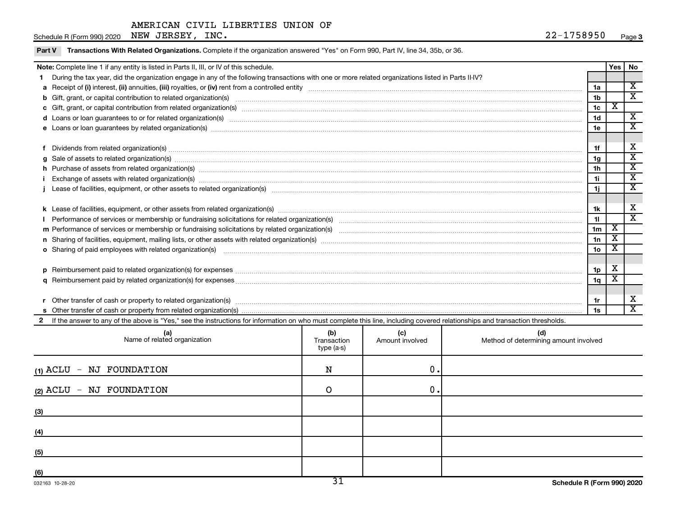Schedule R (Form 990) 2020 Page NEW JERSEY, INC. 22-1758950

 $\overline{\phantom{a}}$ 

Part V Transactions With Related Organizations. Complete if the organization answered "Yes" on Form 990, Part IV, line 34, 35b, or 36.

| Note: Complete line 1 if any entity is listed in Parts II, III, or IV of this schedule.                                                                                                                                                                                                                                                                                                                                                                                                                                                                                                                                                                        |                 | Yes   No |                             |  |  |  |
|----------------------------------------------------------------------------------------------------------------------------------------------------------------------------------------------------------------------------------------------------------------------------------------------------------------------------------------------------------------------------------------------------------------------------------------------------------------------------------------------------------------------------------------------------------------------------------------------------------------------------------------------------------------|-----------------|----------|-----------------------------|--|--|--|
| 1 During the tax year, did the organization engage in any of the following transactions with one or more related organizations listed in Parts II-IV?                                                                                                                                                                                                                                                                                                                                                                                                                                                                                                          |                 |          |                             |  |  |  |
|                                                                                                                                                                                                                                                                                                                                                                                                                                                                                                                                                                                                                                                                | 1a              |          | $\mathbf{x}$                |  |  |  |
|                                                                                                                                                                                                                                                                                                                                                                                                                                                                                                                                                                                                                                                                | 1 <sub>b</sub>  |          | $\mathbf x$                 |  |  |  |
|                                                                                                                                                                                                                                                                                                                                                                                                                                                                                                                                                                                                                                                                | 1 <sub>c</sub>  | х        |                             |  |  |  |
|                                                                                                                                                                                                                                                                                                                                                                                                                                                                                                                                                                                                                                                                | 1 <sub>d</sub>  |          | $\overline{\mathbf{X}}$     |  |  |  |
| e Loans or loan guarantees by related organization(s) material content and content to content the content of the content of the content of the content of the content of the content of the content of the content of the cont                                                                                                                                                                                                                                                                                                                                                                                                                                 | 1e              |          | X                           |  |  |  |
|                                                                                                                                                                                                                                                                                                                                                                                                                                                                                                                                                                                                                                                                |                 |          |                             |  |  |  |
|                                                                                                                                                                                                                                                                                                                                                                                                                                                                                                                                                                                                                                                                | 1f              |          | х                           |  |  |  |
| $g$ Sale of assets to related organization(s) with the contraction of the contraction of the contract of the contract of the contract of the contract of the contract of the contract of the contract of the contract of the                                                                                                                                                                                                                                                                                                                                                                                                                                   | 1g              |          | X                           |  |  |  |
|                                                                                                                                                                                                                                                                                                                                                                                                                                                                                                                                                                                                                                                                | 1 <sub>h</sub>  |          | X                           |  |  |  |
| Exchange of assets with related organization(s) measurements are constructed as a set of the construction of the constraint of the construction of the constraint of the constraint of the constraint of the constraint of the                                                                                                                                                                                                                                                                                                                                                                                                                                 | 1i.             |          | $\overline{\textnormal{x}}$ |  |  |  |
|                                                                                                                                                                                                                                                                                                                                                                                                                                                                                                                                                                                                                                                                | 1i.             |          | $\mathbf x$                 |  |  |  |
|                                                                                                                                                                                                                                                                                                                                                                                                                                                                                                                                                                                                                                                                |                 |          |                             |  |  |  |
|                                                                                                                                                                                                                                                                                                                                                                                                                                                                                                                                                                                                                                                                | 1k              |          | X                           |  |  |  |
|                                                                                                                                                                                                                                                                                                                                                                                                                                                                                                                                                                                                                                                                | 11              |          | $\overline{\mathbf{x}}$     |  |  |  |
|                                                                                                                                                                                                                                                                                                                                                                                                                                                                                                                                                                                                                                                                | 1 <sub>m</sub>  | X        |                             |  |  |  |
|                                                                                                                                                                                                                                                                                                                                                                                                                                                                                                                                                                                                                                                                | 1n              | х        |                             |  |  |  |
|                                                                                                                                                                                                                                                                                                                                                                                                                                                                                                                                                                                                                                                                | 10 <sub>o</sub> | х        |                             |  |  |  |
|                                                                                                                                                                                                                                                                                                                                                                                                                                                                                                                                                                                                                                                                |                 |          |                             |  |  |  |
|                                                                                                                                                                                                                                                                                                                                                                                                                                                                                                                                                                                                                                                                | 1p              | X        |                             |  |  |  |
|                                                                                                                                                                                                                                                                                                                                                                                                                                                                                                                                                                                                                                                                | 1q              | x        |                             |  |  |  |
|                                                                                                                                                                                                                                                                                                                                                                                                                                                                                                                                                                                                                                                                |                 |          |                             |  |  |  |
|                                                                                                                                                                                                                                                                                                                                                                                                                                                                                                                                                                                                                                                                | 1r              |          | х                           |  |  |  |
|                                                                                                                                                                                                                                                                                                                                                                                                                                                                                                                                                                                                                                                                | 1s              |          | $\mathbf x$                 |  |  |  |
| <b>o</b> Sharing of paid employees with related organization(s)<br>p Reimbursement paid to related organization(s) for expenses [111111] [1211] The manufacture manufacture manufacture manufacture manufacture manufacture manufacture manufacture manufacture manufacture manufacture manufactu<br>r Other transfer of cash or property to related organization(s) encourance contains an account of the container transfer of cash or property to related organization(s)<br>2 If the answer to any of the above is "Yes," see the instructions for information on who must complete this line, including covered relationships and transaction thresholds. |                 |          |                             |  |  |  |

| (a)<br>Name of related organization | (b)<br>Transaction<br>type (a-s) | (c)<br>Amount involved | (d)<br>Method of determining amount involved |
|-------------------------------------|----------------------------------|------------------------|----------------------------------------------|
| (1) ACLU - NJ FOUNDATION            | N                                | $\bm{0}$ .             |                                              |
| (2) ACLU - NJ FOUNDATION            | ∩                                | $0$ .                  |                                              |
| (3)                                 |                                  |                        |                                              |
| (4)                                 |                                  |                        |                                              |
| (5)                                 |                                  |                        |                                              |
| (6)                                 | $\overline{\phantom{a}}$         |                        |                                              |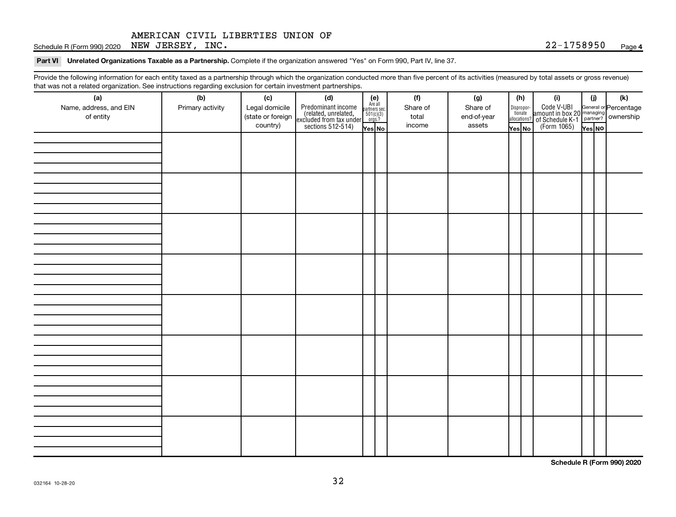Schedule R (Form 990) 2020 Page NEW JERSEY, INC. 22-1758950

Part VI Unrelated Organizations Taxable as a Partnership. Complete if the organization answered "Yes" on Form 990, Part IV, line 37.

Provide the following information for each entity taxed as a partnership through which the organization conducted more than five percent of its activities (measured by total assets or gross revenue) that was not a related organization. See instructions regarding exclusion for certain investment partnerships.

| (a)                                 | (b)              | (c)                                             | mat mac not a rolated organization. Oce included by regarding exercision for contain invectment partneremper<br>(d) |                                                                    |  | (f)                         | (g)                               |        | (h)                                                                                                                                       | (i)                                                                                                  | (i)    |  | $(\mathsf{k})$ |  |
|-------------------------------------|------------------|-------------------------------------------------|---------------------------------------------------------------------------------------------------------------------|--------------------------------------------------------------------|--|-----------------------------|-----------------------------------|--------|-------------------------------------------------------------------------------------------------------------------------------------------|------------------------------------------------------------------------------------------------------|--------|--|----------------|--|
| Name, address, and EIN<br>of entity | Primary activity | Legal domicile<br>(state or foreign<br>country) | Predominant income<br>(related, unrelated,<br>excluded from tax under<br>sections 512-514)                          | (e)<br>Are all<br>partners sec.<br>$501(c)(3)$<br>orgs.?<br>Yes No |  | Share of<br>total<br>income | Share of<br>end-of-year<br>assets | Yes No | $\fbox{\parbox{0.5cm}{\begin{tabular}{ l l } \hline Disproportion} \\ \hline \text{tion} \\ \hline allocations? \\ \hline \end{tabular}}$ | Code V-UBI<br>amount in box 20 managing<br>of Schedule K-1<br>(Form 1065)<br>$\overline{Y}_{res}$ No | Yes No |  |                |  |
|                                     |                  |                                                 |                                                                                                                     |                                                                    |  |                             |                                   |        |                                                                                                                                           |                                                                                                      |        |  |                |  |
|                                     |                  |                                                 |                                                                                                                     |                                                                    |  |                             |                                   |        |                                                                                                                                           |                                                                                                      |        |  |                |  |
|                                     |                  |                                                 |                                                                                                                     |                                                                    |  |                             |                                   |        |                                                                                                                                           |                                                                                                      |        |  |                |  |
|                                     |                  |                                                 |                                                                                                                     |                                                                    |  |                             |                                   |        |                                                                                                                                           |                                                                                                      |        |  |                |  |
|                                     |                  |                                                 |                                                                                                                     |                                                                    |  |                             |                                   |        |                                                                                                                                           |                                                                                                      |        |  |                |  |
|                                     |                  |                                                 |                                                                                                                     |                                                                    |  |                             |                                   |        |                                                                                                                                           |                                                                                                      |        |  |                |  |
|                                     |                  |                                                 |                                                                                                                     |                                                                    |  |                             |                                   |        |                                                                                                                                           |                                                                                                      |        |  |                |  |
|                                     |                  |                                                 |                                                                                                                     |                                                                    |  |                             |                                   |        |                                                                                                                                           |                                                                                                      |        |  |                |  |
|                                     |                  |                                                 |                                                                                                                     |                                                                    |  |                             |                                   |        |                                                                                                                                           |                                                                                                      |        |  |                |  |
|                                     |                  |                                                 |                                                                                                                     |                                                                    |  |                             |                                   |        |                                                                                                                                           |                                                                                                      |        |  |                |  |
|                                     |                  |                                                 |                                                                                                                     |                                                                    |  |                             |                                   |        |                                                                                                                                           |                                                                                                      |        |  |                |  |
|                                     |                  |                                                 |                                                                                                                     |                                                                    |  |                             |                                   |        |                                                                                                                                           |                                                                                                      |        |  |                |  |
|                                     |                  |                                                 |                                                                                                                     |                                                                    |  |                             |                                   |        |                                                                                                                                           |                                                                                                      |        |  |                |  |
|                                     |                  |                                                 |                                                                                                                     |                                                                    |  |                             |                                   |        |                                                                                                                                           |                                                                                                      |        |  |                |  |
|                                     |                  |                                                 |                                                                                                                     |                                                                    |  |                             |                                   |        |                                                                                                                                           |                                                                                                      |        |  |                |  |
|                                     |                  |                                                 |                                                                                                                     |                                                                    |  |                             |                                   |        |                                                                                                                                           |                                                                                                      |        |  |                |  |
|                                     |                  |                                                 |                                                                                                                     |                                                                    |  |                             |                                   |        |                                                                                                                                           |                                                                                                      |        |  |                |  |
|                                     |                  |                                                 |                                                                                                                     |                                                                    |  |                             |                                   |        |                                                                                                                                           |                                                                                                      |        |  |                |  |
|                                     |                  |                                                 |                                                                                                                     |                                                                    |  |                             |                                   |        |                                                                                                                                           |                                                                                                      |        |  |                |  |
|                                     |                  |                                                 |                                                                                                                     |                                                                    |  |                             |                                   |        |                                                                                                                                           |                                                                                                      |        |  |                |  |
|                                     |                  |                                                 |                                                                                                                     |                                                                    |  |                             |                                   |        |                                                                                                                                           |                                                                                                      |        |  |                |  |
|                                     |                  |                                                 |                                                                                                                     |                                                                    |  |                             |                                   |        |                                                                                                                                           |                                                                                                      |        |  |                |  |
|                                     |                  |                                                 |                                                                                                                     |                                                                    |  |                             |                                   |        |                                                                                                                                           |                                                                                                      |        |  |                |  |
|                                     |                  |                                                 |                                                                                                                     |                                                                    |  |                             |                                   |        |                                                                                                                                           |                                                                                                      |        |  |                |  |
|                                     |                  |                                                 |                                                                                                                     |                                                                    |  |                             |                                   |        |                                                                                                                                           |                                                                                                      |        |  |                |  |

**Schedule R (Form 990) 2020**